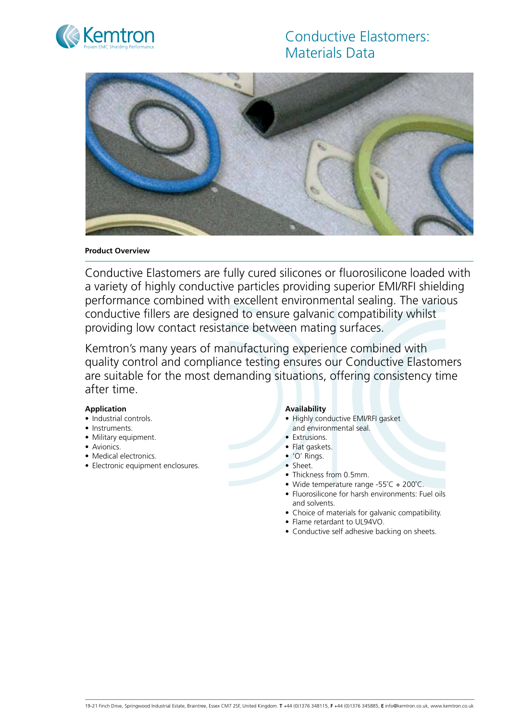

# Conductive Elastomers: Materials Data



#### **Product Overview**

Conductive Elastomers are fully cured silicones or fluorosilicone loaded with a variety of highly conductive particles providing superior EMI/RFI shielding performance combined with excellent environmental sealing. The various conductive fillers are designed to ensure galvanic compatibility whilst providing low contact resistance between mating surfaces.

Kemtron's many years of manufacturing experience combined with quality control and compliance testing ensures our Conductive Elastomers are suitable for the most demanding situations, offering consistency time after time.

#### **Application**

- Industrial controls.
- Instruments.
- Military equipment.
- Avionics.
- Medical electronics.
- Electronic equipment enclosures.

#### **Availability**

- Highly conductive EMI/RFI gasket and environmental seal.
- Extrusions.
- Flat gaskets.
- • 'O' Rings.
- Sheet.
- Thickness from 0.5mm.
- Wide temperature range -55°C + 200°C.
- Fluorosilicone for harsh environments: Fuel oils and solvents.
- Choice of materials for galvanic compatibility.
- Flame retardant to UL94VO.
- Conductive self adhesive backing on sheets.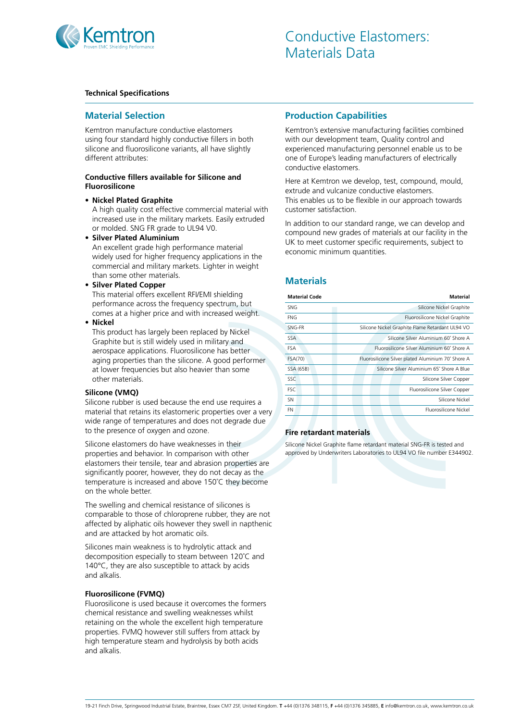

#### **Technical Specifications**

# **Material Selection**

Kemtron manufacture conductive elastomers using four standard highly conductive fillers in both silicone and fluorosilicone variants, all have slightly different attributes:

#### **Conductive fillers available for Silicone and Fluorosilicone**

**• Nickel Plated Graphite**

A high quality cost effective commercial material with increased use in the military markets. Easily extruded or molded. SNG FR grade to UL94 V0.

**• Silver Plated Aluminium**

An excellent grade high performance material widely used for higher frequency applications in the commercial and military markets. Lighter in weight than some other materials.

**• Silver Plated Copper**

This material offers excellent RFI/EMI shielding performance across the frequency spectrum, but comes at a higher price and with increased weight.

#### **• Nickel**

This product has largely been replaced by Nickel Graphite but is still widely used in military and aerospace applications. Fluorosilicone has better aging properties than the silicone. A good performer at lower frequencies but also heavier than some other materials.

#### **Silicone (VMQ)**

Silicone rubber is used because the end use requires a material that retains its elastomeric properties over a very wide range of temperatures and does not degrade due to the presence of oxygen and ozone.

Silicone elastomers do have weaknesses in their properties and behavior. In comparison with other elastomers their tensile, tear and abrasion properties are significantly poorer, however, they do not decay as the temperature is increased and above 150˚C they become on the whole better.

The swelling and chemical resistance of silicones is comparable to those of chloroprene rubber, they are not affected by aliphatic oils however they swell in napthenic and are attacked by hot aromatic oils.

Silicones main weakness is to hydrolytic attack and decomposition especially to steam between 120˚C and 140°C, they are also susceptible to attack by acids and alkalis.

#### **Fluorosilicone (FVMQ)**

Fluorosilicone is used because it overcomes the formers chemical resistance and swelling weaknesses whilst retaining on the whole the excellent high temperature properties. FVMQ however still suffers from attack by high temperature steam and hydrolysis by both acids and alkalis.

# **Production Capabilities**

Kemtron's extensive manufacturing facilities combined with our development team, Quality control and experienced manufacturing personnel enable us to be one of Europe's leading manufacturers of electrically conductive elastomers.

Here at Kemtron we develop, test, compound, mould, extrude and vulcanize conductive elastomers. This enables us to be flexible in our approach towards customer satisfaction.

In addition to our standard range, we can develop and compound new grades of materials at our facility in the UK to meet customer specific requirements, subject to economic minimum quantities.

# **Materials**

| <b>Material Code</b> | Material                                           |  |  |  |  |
|----------------------|----------------------------------------------------|--|--|--|--|
| <b>SNG</b>           | Silicone Nickel Graphite                           |  |  |  |  |
| FNG                  | Fluorosilicone Nickel Graphite                     |  |  |  |  |
| SNG-FR               | Silicone Nickel Graphite Flame Retardant UL94 VO   |  |  |  |  |
| <b>SSA</b>           | Silicone Silver Aluminium 60° Shore A              |  |  |  |  |
| <b>FSA</b>           | Fluorosilicone Silver Aluminium 60° Shore A        |  |  |  |  |
| FSA(70)              | Fluorosilicone Silver plated Aluminium 70° Shore A |  |  |  |  |
| SSA (65B)            | Silicone Silver Aluminium 65° Shore A Blue         |  |  |  |  |
| SSC                  | Silicone Silver Copper                             |  |  |  |  |
| <b>FSC</b>           | Fluorosilicone Silver Copper                       |  |  |  |  |
| <b>SN</b>            | Silicone Nickel                                    |  |  |  |  |
| <b>FN</b>            | Eluorosilicone Nickel                              |  |  |  |  |
|                      |                                                    |  |  |  |  |

# **Fire retardant materials**

Silicone Nickel Graphite flame retardant material SNG-FR is tested and approved by Underwriters Laboratories to UL94 VO file number E344902.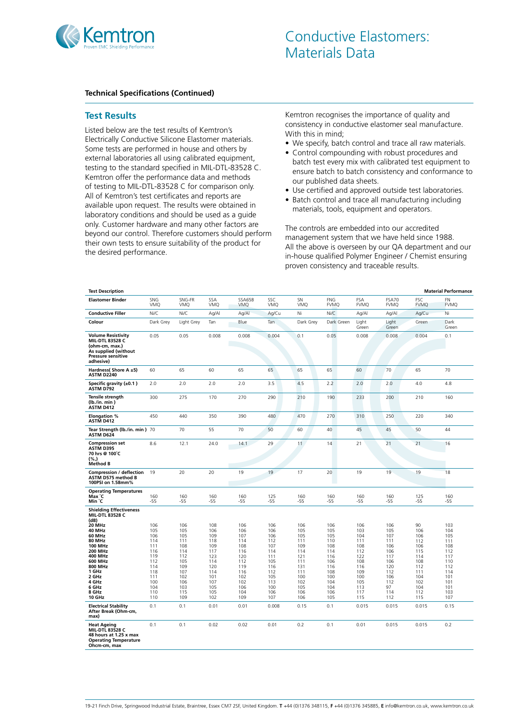

#### **Test Results**

Listed below are the test results of Kemtron's Electrically Conductive Silicone Elastomer materials. Some tests are performed in house and others by external laboratories all using calibrated equipment, testing to the standard specified in MIL-DTL-83528 C. Kemtron offer the performance data and methods of testing to MIL-DTL-83528 C for comparison only. All of Kemtron's test certificates and reports are available upon request. The results were obtained in laboratory conditions and should be used as a guide only. Customer hardware and many other factors are beyond our control. Therefore customers should perform their own tests to ensure suitability of the product for the desired performance.

Kemtron recognises the importance of quality and consistency in conductive elastomer seal manufacture. With this in mind;

- We specify, batch control and trace all raw materials.
- Control compounding with robust procedures and batch test every mix with calibrated test equipment to ensure batch to batch consistency and conformance to our published data sheets.
- Use certified and approved outside test laboratories.
- Batch control and trace all manufacturing including materials, tools, equipment and operators.

The controls are embedded into our accredited management system that we have held since 1988. All the above is overseen by our QA department and our in-house qualified Polymer Engineer / Chemist ensuring proven consistency and traceable results.

| <b>Test Description</b>                                                                                                                                                                                                                                                                                    |                                                                                                              |                                                                                                              |                                                                                                               |                                                                                                               |                                                                                                                |                                                                                                               |                                                                                                              |                                                                                                                |                                                                                                               |                                                                                                               | <b>Material Performance</b>                                                                                   |
|------------------------------------------------------------------------------------------------------------------------------------------------------------------------------------------------------------------------------------------------------------------------------------------------------------|--------------------------------------------------------------------------------------------------------------|--------------------------------------------------------------------------------------------------------------|---------------------------------------------------------------------------------------------------------------|---------------------------------------------------------------------------------------------------------------|----------------------------------------------------------------------------------------------------------------|---------------------------------------------------------------------------------------------------------------|--------------------------------------------------------------------------------------------------------------|----------------------------------------------------------------------------------------------------------------|---------------------------------------------------------------------------------------------------------------|---------------------------------------------------------------------------------------------------------------|---------------------------------------------------------------------------------------------------------------|
| <b>Elastomer Binder</b>                                                                                                                                                                                                                                                                                    | SNG<br>VMQ                                                                                                   | SNG-FR<br>VMQ                                                                                                | SSA<br>VMQ                                                                                                    | SSA65B<br><b>VMQ</b>                                                                                          | SSC<br><b>VMO</b>                                                                                              | SN<br><b>VMQ</b>                                                                                              | FNG<br><b>FVMQ</b>                                                                                           | FSA<br><b>FVMQ</b>                                                                                             | FSA70<br><b>FVMQ</b>                                                                                          | <b>FSC</b><br><b>FVMQ</b>                                                                                     | FN<br><b>FVMQ</b>                                                                                             |
| <b>Conductive Filler</b>                                                                                                                                                                                                                                                                                   | Ni/C                                                                                                         | Ni/C                                                                                                         | Aq/Al                                                                                                         | Ag/Al                                                                                                         | Ag/Cu                                                                                                          | Ni                                                                                                            | Ni/C                                                                                                         | Ag/Al                                                                                                          | Ag/Al                                                                                                         | Ag/Cu                                                                                                         | Ni                                                                                                            |
| Colour                                                                                                                                                                                                                                                                                                     | Dark Grey                                                                                                    | Light Grey                                                                                                   | Tan                                                                                                           | Blue                                                                                                          | Tan                                                                                                            | Dark Grey                                                                                                     | Dark Green                                                                                                   | Light<br>Green                                                                                                 | Light<br>Green                                                                                                | Green                                                                                                         | Dark<br>Green                                                                                                 |
| <b>Volume Resistivity</b><br><b>MIL-DTL 83528 C</b><br>(ohm-cm, max.)<br>As supplied (without<br><b>Pressure sensitive</b><br>adhesive)                                                                                                                                                                    | 0.05                                                                                                         | 0.05                                                                                                         | 0.008                                                                                                         | 0.008                                                                                                         | 0.004                                                                                                          | 0.1                                                                                                           | 0.05                                                                                                         | 0.008                                                                                                          | 0.008                                                                                                         | 0.004                                                                                                         | 0.1                                                                                                           |
| Hardness( Shore A ±5)<br><b>ASTM D2240</b>                                                                                                                                                                                                                                                                 | 60                                                                                                           | 65                                                                                                           | 60                                                                                                            | 65                                                                                                            | 65                                                                                                             | 65                                                                                                            | 65                                                                                                           | 60                                                                                                             | 70                                                                                                            | 65                                                                                                            | 70                                                                                                            |
| Specific gravity $(\pm 0.1)$<br>ASTM D792                                                                                                                                                                                                                                                                  | 2.0                                                                                                          | 2.0                                                                                                          | 2.0                                                                                                           | 2.0                                                                                                           | 3.5                                                                                                            | 4.5                                                                                                           | 2.2                                                                                                          | 2.0                                                                                                            | 2.0                                                                                                           | 4.0                                                                                                           | 4.8                                                                                                           |
| Tensile strength<br>(lb./in. min)<br>ASTM D412                                                                                                                                                                                                                                                             | 300                                                                                                          | 275                                                                                                          | 170                                                                                                           | 270                                                                                                           | 290                                                                                                            | 210                                                                                                           | 190                                                                                                          | 233                                                                                                            | 200                                                                                                           | 210                                                                                                           | 160                                                                                                           |
| <b>Elongation %</b><br>ASTM D412                                                                                                                                                                                                                                                                           | 450                                                                                                          | 440                                                                                                          | 350                                                                                                           | 390                                                                                                           | 480                                                                                                            | 470                                                                                                           | 270                                                                                                          | 310                                                                                                            | 250                                                                                                           | 220                                                                                                           | 340                                                                                                           |
| Tear Strength (lb./in. min) 70<br>ASTM D624                                                                                                                                                                                                                                                                |                                                                                                              | 70                                                                                                           | 55                                                                                                            | 70                                                                                                            | 50                                                                                                             | 60                                                                                                            | 40                                                                                                           | 45                                                                                                             | 45                                                                                                            | 50                                                                                                            | 44                                                                                                            |
| <b>Compression set</b><br>ASTM D395<br>70 hrs @ 100°C<br>(%,)<br><b>Method B</b>                                                                                                                                                                                                                           | 8.6                                                                                                          | 12.1                                                                                                         | 24.0                                                                                                          | 14.1                                                                                                          | 29                                                                                                             | 11                                                                                                            | 14                                                                                                           | 21                                                                                                             | 21                                                                                                            | 21                                                                                                            | 16                                                                                                            |
| Compression / deflection<br><b>ASTM D575 method B</b><br>100PSI on 1.58mm%                                                                                                                                                                                                                                 | 19                                                                                                           | 20                                                                                                           | 20                                                                                                            | 19                                                                                                            | 19                                                                                                             | 17                                                                                                            | 20                                                                                                           | 19                                                                                                             | 19                                                                                                            | 19                                                                                                            | 18                                                                                                            |
| <b>Operating Temperatures</b><br>Max °C<br>Min °C                                                                                                                                                                                                                                                          | 160<br>$-55$                                                                                                 | 160<br>$-55$                                                                                                 | 160<br>$-55$                                                                                                  | 160<br>$-55$                                                                                                  | 125<br>$-55$                                                                                                   | 160<br>$-55$                                                                                                  | 160<br>$-55$                                                                                                 | 160<br>$-55$                                                                                                   | 160<br>$-55$                                                                                                  | 125<br>$-55$                                                                                                  | 160<br>$-55$                                                                                                  |
| <b>Shielding Effectiveness</b><br><b>MIL-DTL 83528 C</b><br>(dB)<br>20 MHz<br>40 MHz<br>60 MHz<br><b>80 MHz</b><br><b>100 MHz</b><br><b>200 MHz</b><br>400 MHz<br>600 MHz<br>800 MHz<br>1 GHz<br>2 GHz<br>4 GHz<br>6 GHz<br>8 GHz<br>10 GHz<br><b>Electrical Stability</b><br>After Break (Ohm-cm,<br>max) | 106<br>105<br>106<br>114<br>111<br>116<br>119<br>112<br>114<br>118<br>111<br>100<br>104<br>110<br>110<br>0.1 | 106<br>105<br>105<br>111<br>108<br>114<br>112<br>105<br>109<br>107<br>102<br>106<br>103<br>115<br>109<br>0.1 | 108<br>106<br>109<br>118<br>109<br>117<br>123<br>114<br>120<br>114<br>101<br>107<br>105<br>105<br>102<br>0.01 | 106<br>106<br>107<br>114<br>108<br>116<br>120<br>112<br>119<br>116<br>102<br>102<br>106<br>104<br>109<br>0.01 | 106<br>106<br>106<br>112<br>107<br>114<br>111<br>105<br>116<br>112<br>105<br>113<br>100<br>106<br>107<br>0.008 | 106<br>105<br>105<br>111<br>109<br>114<br>121<br>111<br>131<br>111<br>100<br>102<br>105<br>106<br>106<br>0.15 | 106<br>105<br>105<br>110<br>108<br>114<br>116<br>106<br>116<br>108<br>100<br>104<br>104<br>106<br>105<br>0.1 | 106<br>103<br>104<br>111<br>108<br>112<br>122<br>108<br>116<br>109<br>100<br>105<br>113<br>117<br>115<br>0.015 | 106<br>105<br>107<br>111<br>106<br>106<br>117<br>106<br>120<br>112<br>106<br>112<br>97<br>114<br>112<br>0.015 | 90<br>106<br>106<br>112<br>106<br>115<br>114<br>108<br>112<br>111<br>104<br>102<br>104<br>112<br>115<br>0.015 | 103<br>104<br>105<br>111<br>108<br>112<br>117<br>110<br>112<br>114<br>101<br>101<br>101<br>103<br>107<br>0.15 |
| <b>Heat Ageing</b><br><b>MIL-DTL 83528 C</b><br>48 hours at 1.25 x max<br><b>Operating Temperature</b><br>Ohcm-cm, max                                                                                                                                                                                     | 0.1                                                                                                          | 0.1                                                                                                          | 0.02                                                                                                          | 0.02                                                                                                          | 0.01                                                                                                           | 0.2                                                                                                           | 0.1                                                                                                          | 0.01                                                                                                           | 0.015                                                                                                         | 0.015                                                                                                         | 0.2                                                                                                           |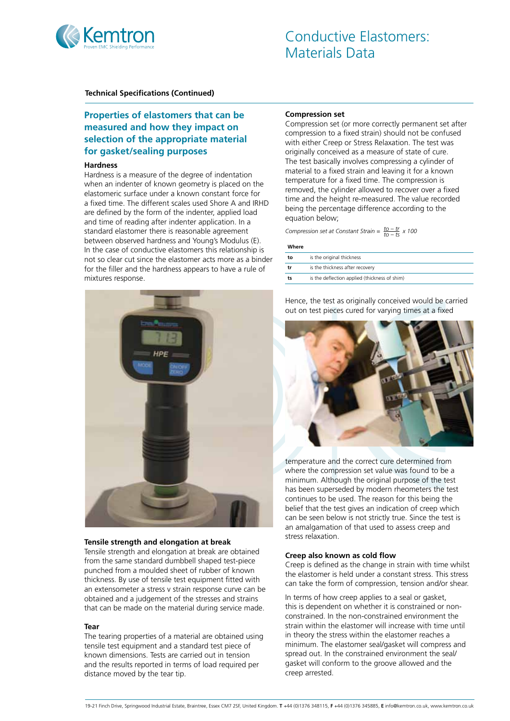

# **Properties of elastomers that can be measured and how they impact on selection of the appropriate material for gasket/sealing purposes**

#### **Hardness**

Hardness is a measure of the degree of indentation when an indenter of known geometry is placed on the elastomeric surface under a known constant force for a fixed time. The different scales used Shore A and IRHD are defined by the form of the indenter, applied load and time of reading after indenter application. In a standard elastomer there is reasonable agreement between observed hardness and Young's Modulus (E). In the case of conductive elastomers this relationship is not so clear cut since the elastomer acts more as a binder for the filler and the hardness appears to have a rule of mixtures response.



#### **Tensile strength and elongation at break**

Tensile strength and elongation at break are obtained from the same standard dumbbell shaped test-piece punched from a moulded sheet of rubber of known thickness. By use of tensile test equipment fitted with an extensometer a stress v strain response curve can be obtained and a judgement of the stresses and strains that can be made on the material during service made.

#### **Tear**

The tearing properties of a material are obtained using tensile test equipment and a standard test piece of known dimensions. Tests are carried out in tension and the results reported in terms of load required per distance moved by the tear tip.

#### **Compression set**

Compression set (or more correctly permanent set after compression to a fixed strain) should not be confused with either Creep or Stress Relaxation. The test was originally conceived as a measure of state of cure. The test basically involves compressing a cylinder of material to a fixed strain and leaving it for a known temperature for a fixed time. The compression is removed, the cylinder allowed to recover over a fixed time and the height re-measured. The value recorded being the percentage difference according to the equation below;

*Compression set at Constant Strain =*  $\frac{to - tr}{to - t s} \times 100$ 

#### **Where**

| to | is the original thickness                     |
|----|-----------------------------------------------|
| tr | is the thickness after recovery               |
| ts | is the deflection applied (thickness of shim) |

Hence, the test as originally conceived would be carried out on test pieces cured for varying times at a fixed



temperature and the correct cure determined from where the compression set value was found to be a minimum. Although the original purpose of the test has been superseded by modern rheometers the test continues to be used. The reason for this being the belief that the test gives an indication of creep which can be seen below is not strictly true. Since the test is an amalgamation of that used to assess creep and stress relaxation.

#### **Creep also known as cold flow**

Creep is defined as the change in strain with time whilst the elastomer is held under a constant stress. This stress can take the form of compression, tension and/or shear.

In terms of how creep applies to a seal or gasket, this is dependent on whether it is constrained or nonconstrained. In the non-constrained environment the strain within the elastomer will increase with time until in theory the stress within the elastomer reaches a minimum. The elastomer seal/gasket will compress and spread out. In the constrained environment the seal/ gasket will conform to the groove allowed and the creep arrested.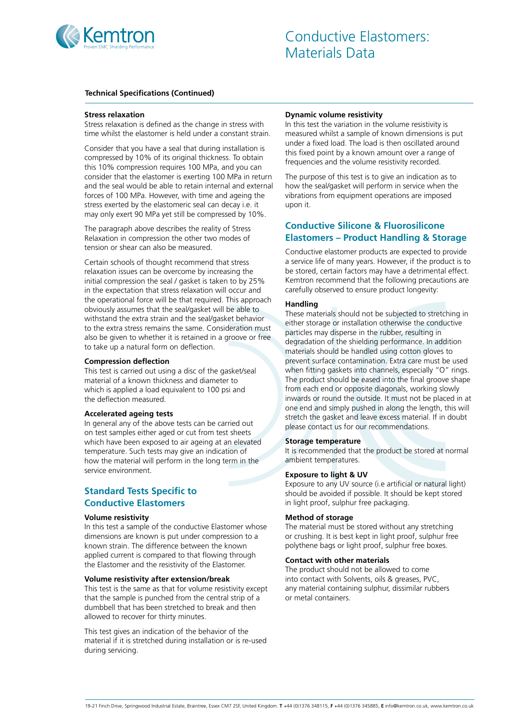

#### **Stress relaxation**

Stress relaxation is defined as the change in stress with time whilst the elastomer is held under a constant strain.

Consider that you have a seal that during installation is compressed by 10% of its original thickness. To obtain this 10% compression requires 100 MPa, and you can consider that the elastomer is exerting 100 MPa in return and the seal would be able to retain internal and external forces of 100 MPa. However, with time and ageing the stress exerted by the elastomeric seal can decay i.e. it may only exert 90 MPa yet still be compressed by 10%.

The paragraph above describes the reality of Stress Relaxation in compression the other two modes of tension or shear can also be measured.

Certain schools of thought recommend that stress relaxation issues can be overcome by increasing the initial compression the seal / gasket is taken to by 25% in the expectation that stress relaxation will occur and the operational force will be that required. This approach obviously assumes that the seal/gasket will be able to withstand the extra strain and the seal/gasket behavior to the extra stress remains the same. Consideration must also be given to whether it is retained in a groove or free to take up a natural form on deflection.

#### **Compression deflection**

This test is carried out using a disc of the gasket/seal material of a known thickness and diameter to which is applied a load equivalent to 100 psi and the deflection measured.

#### **Accelerated ageing tests**

In general any of the above tests can be carried out on test samples either aged or cut from test sheets which have been exposed to air ageing at an elevated temperature. Such tests may give an indication of how the material will perform in the long term in the service environment.

# **Standard Tests Specific to Conductive Elastomers**

#### **Volume resistivity**

In this test a sample of the conductive Elastomer whose dimensions are known is put under compression to a known strain. The difference between the known applied current is compared to that flowing through the Elastomer and the resistivity of the Elastomer.

#### **Volume resistivity after extension/break**

This test is the same as that for volume resistivity except that the sample is punched from the central strip of a dumbbell that has been stretched to break and then allowed to recover for thirty minutes.

This test gives an indication of the behavior of the material if it is stretched during installation or is re-used during servicing.

#### **Dynamic volume resistivity**

In this test the variation in the volume resistivity is measured whilst a sample of known dimensions is put under a fixed load. The load is then oscillated around this fixed point by a known amount over a range of frequencies and the volume resistivity recorded.

The purpose of this test is to give an indication as to how the seal/gasket will perform in service when the vibrations from equipment operations are imposed upon it.

## **Conductive Silicone & Fluorosilicone Elastomers – Product Handling & Storage**

Conductive elastomer products are expected to provide a service life of many years. However, if the product is to be stored, certain factors may have a detrimental effect. Kemtron recommend that the following precautions are carefully observed to ensure product longevity:

#### **Handling**

These materials should not be subjected to stretching in either storage or installation otherwise the conductive particles may disperse in the rubber, resulting in degradation of the shielding performance. In addition materials should be handled using cotton gloves to prevent surface contamination. Extra care must be used when fitting gaskets into channels, especially "O" rings. The product should be eased into the final groove shape from each end or opposite diagonals, working slowly inwards or round the outside. It must not be placed in at one end and simply pushed in along the length, this will stretch the gasket and leave excess material. If in doubt please contact us for our recommendations.

#### **Storage temperature**

It is recommended that the product be stored at normal ambient temperatures.

#### **Exposure to light & UV**

Exposure to any UV source (i.e artificial or natural light) should be avoided if possible. It should be kept stored in light proof, sulphur free packaging.

#### **Method of storage**

The material must be stored without any stretching or crushing. It is best kept in light proof, sulphur free polythene bags or light proof, sulphur free boxes.

#### **Contact with other materials**

The product should not be allowed to come into contact with Solvents, oils & greases, PVC, any material containing sulphur, dissimilar rubbers or metal containers.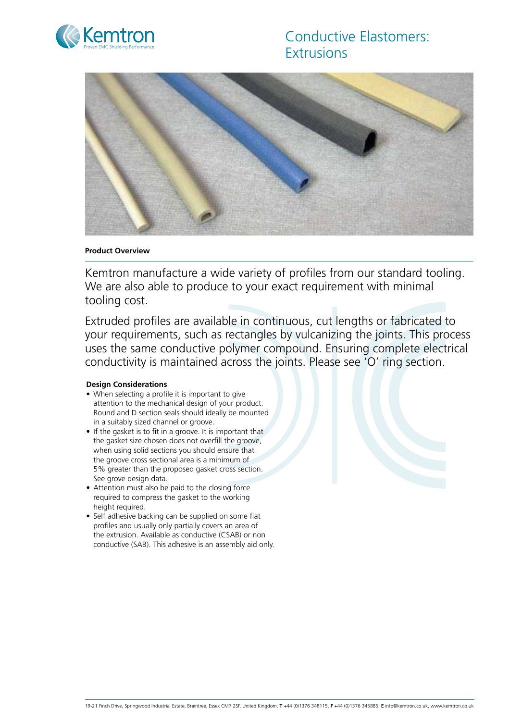

# Conductive Elastomers: **Extrusions**



#### **Product Overview**

Kemtron manufacture a wide variety of profiles from our standard tooling. We are also able to produce to your exact requirement with minimal tooling cost.

Extruded profiles are available in continuous, cut lengths or fabricated to your requirements, such as rectangles by vulcanizing the joints. This process uses the same conductive polymer compound. Ensuring complete electrical conductivity is maintained across the joints. Please see 'O' ring section.

#### **Design Considerations**

- When selecting a profile it is important to give attention to the mechanical design of your product. Round and D section seals should ideally be mounted in a suitably sized channel or groove.
- If the gasket is to fit in a groove. It is important that the gasket size chosen does not overfill the groove, when using solid sections you should ensure that the groove cross sectional area is a minimum of 5% greater than the proposed gasket cross section. See grove design data.
- Attention must also be paid to the closing force required to compress the gasket to the working height required.
- Self adhesive backing can be supplied on some flat profiles and usually only partially covers an area of the extrusion. Available as conductive (CSAB) or non conductive (SAB). This adhesive is an assembly aid only.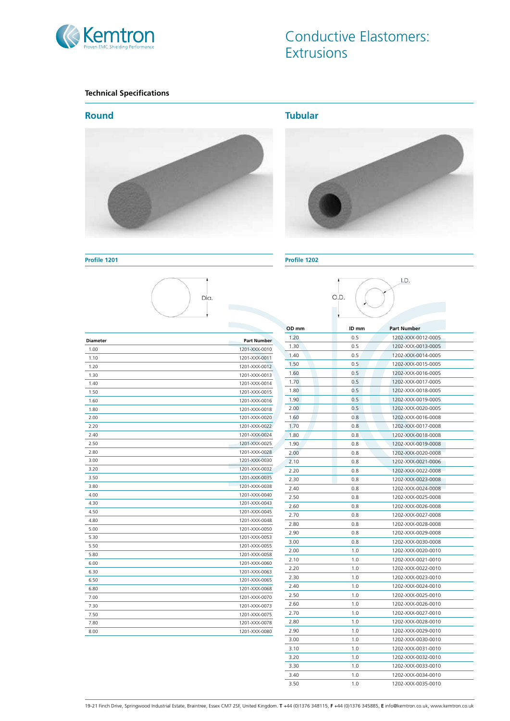

# Conductive Elastomers: **Extrusions**

## **Technical Specifications**



**Tubular**



#### **Profile 1201 Profile 1202**



| OD mm | ID mm | <b>Part Number</b> |
|-------|-------|--------------------|
| 1.20  | 0.5   | 1202-XXX-0012-0005 |
| 1.30  | 0.5   | 1202-XXX-0013-0005 |
| 1.40  | 0.5   | 1202-XXX-0014-0005 |
| 1.50  | 0.5   | 1202-XXX-0015-0005 |
| 1.60  | 0.5   | 1202-XXX-0016-0005 |
| 1.70  | 0.5   | 1202-XXX-0017-0005 |
| 1.80  | 0.5   | 1202-XXX-0018-0005 |
| 1.90  | 0.5   | 1202-XXX-0019-0005 |
| 2.00  | 0.5   | 1202-XXX-0020-0005 |
| 1.60  | 0.8   | 1202-XXX-0016-0008 |
| 1.70  | 0.8   | 1202-XXX-0017-0008 |
| 1.80  | 0.8   | 1202-XXX-0018-0008 |
| 1.90  | 0.8   | 1202-XXX-0019-0008 |
| 2.00  | 0.8   | 1202-XXX-0020-0008 |
| 2.10  | 0.8   | 1202-XXX-0021-0006 |
| 2.20  | 0.8   | 1202-XXX-0022-0008 |
| 2.30  | 0.8   | 1202-XXX-0023-0008 |
| 2.40  | 0.8   | 1202-XXX-0024-0008 |
| 2.50  | 0.8   | 1202-XXX-0025-0008 |
| 2.60  | 0.8   | 1202-XXX-0026-0008 |
| 2.70  | 0.8   | 1202-XXX-0027-0008 |
| 2.80  | 0.8   | 1202-XXX-0028-0008 |
| 2.90  | 0.8   | 1202-XXX-0029-0008 |
| 3.00  | 0.8   | 1202-XXX-0030-0008 |
| 2.00  | 1.0   | 1202-XXX-0020-0010 |
| 2.10  | 1.0   | 1202-XXX-0021-0010 |
| 2.20  | 1.0   | 1202-XXX-0022-0010 |
| 2.30  | 1.0   | 1202-XXX-0023-0010 |
| 2.40  | 1.0   | 1202-XXX-0024-0010 |
| 2.50  | 1.0   | 1202-XXX-0025-0010 |
| 2.60  | 1.0   | 1202-XXX-0026-0010 |
| 2.70  | 1.0   | 1202-XXX-0027-0010 |
| 2.80  | 1.0   | 1202-XXX-0028-0010 |
| 2.90  | 1.0   | 1202-XXX-0029-0010 |
| 3.00  | 1.0   | 1202-XXX-0030-0010 |
| 3.10  | 1.0   | 1202-XXX-0031-0010 |
| 3.20  | 1.0   | 1202-XXX-0032-0010 |
| 3.30  | 1.0   | 1202-XXX-0033-0010 |
| 3.40  | 1.0   | 1202-XXX-0034-0010 |
| 3.50  | 1.0   | 1202-XXX-0035-0010 |



| <b>Diameter</b> | <b>Part Number</b> |
|-----------------|--------------------|
| 1.00            | 1201-XXX-0010      |
| 1.10            | 1201-XXX-0011      |
| 1.20            | 1201-XXX-0012      |
| 1.30            | 1201-XXX-0013      |
| 1.40            | 1201-XXX-0014      |
| 1.50            | 1201-XXX-0015      |
| 1.60            | 1201-XXX-0016      |
| 1.80            | 1201-XXX-0018      |
| 2.00            | 1201-XXX-0020      |
| 2.20            | 1201-XXX-0022      |
| 2.40            | 1201-XXX-0024      |
| 2.50            | 1201-XXX-0025      |
| 2.80            | 1201-XXX-0028      |
| 3.00            | 1201-XXX-0030      |
| 3.20            | 1201-XXX-0032      |
| 3.50            | 1201-XXX-0035      |
| 3.80            | 1201-XXX-0038      |
| 4.00            | 1201-XXX-0040      |
| 4.30            | 1201-XXX-0043      |
| 4.50            | 1201-XXX-0045      |
| 4.80            | 1201-XXX-0048      |
| 5.00            | 1201-XXX-0050      |
| 5.30            | 1201-XXX-0053      |
| 5.50            | 1201-XXX-0055      |
| 5.80            | 1201-XXX-0058      |
| 6.00            | 1201-XXX-0060      |
| 6.30            | 1201-XXX-0063      |
| 6.50            | 1201-XXX-0065      |
| 6.80            | 1201-XXX-0068      |
| 7.00            | 1201-XXX-0070      |
| 7.30            | 1201-XXX-0073      |
| 7.50            | 1201-XXX-0075      |
| 7.80            | 1201-XXX-0078      |
| 8.00            | 1201-XXX-0080      |

19-21 Finch Drive, Springwood Industrial Estate, Braintree, Essex CM7 2SF, United Kingdom. **T** +44 (0)1376 348115, **F** +44 (0)1376 345885, **E** info@kemtron.co.uk, www.kemtron.co.uk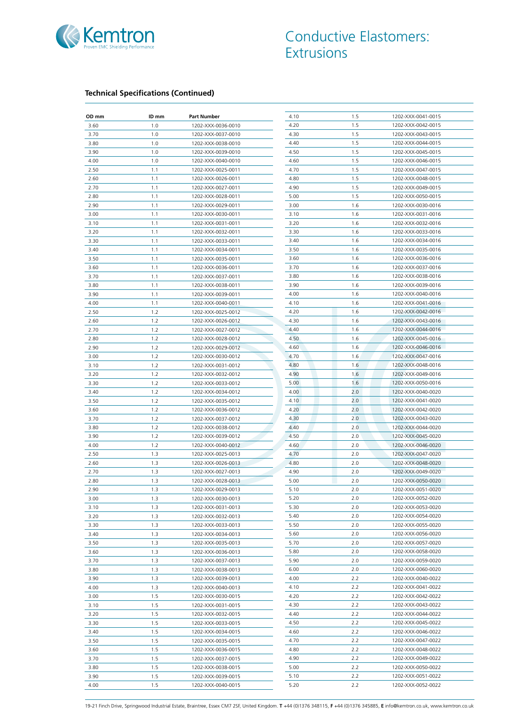

| OD mm | ID mm | <b>Part Number</b> | 4.10 | 1.5 | 1202-XXX-0041-0015 |
|-------|-------|--------------------|------|-----|--------------------|
| 3.60  | 1.0   | 1202-XXX-0036-0010 | 4.20 | 1.5 | 1202-XXX-0042-0015 |
| 3.70  | 1.0   | 1202-XXX-0037-0010 | 4.30 | 1.5 | 1202-XXX-0043-0015 |
| 3.80  | 1.0   | 1202-XXX-0038-0010 | 4.40 | 1.5 | 1202-XXX-0044-0015 |
| 3.90  | 1.0   | 1202-XXX-0039-0010 | 4.50 | 1.5 | 1202-XXX-0045-0015 |
| 4.00  | 1.0   | 1202-XXX-0040-0010 | 4.60 | 1.5 | 1202-XXX-0046-0015 |
| 2.50  | 1.1   | 1202-XXX-0025-0011 | 4.70 | 1.5 | 1202-XXX-0047-0015 |
| 2.60  | 1.1   | 1202-XXX-0026-0011 | 4.80 | 1.5 | 1202-XXX-0048-0015 |
| 2.70  | 1.1   | 1202-XXX-0027-0011 | 4.90 | 1.5 | 1202-XXX-0049-0015 |
| 2.80  | 1.1   | 1202-XXX-0028-0011 | 5.00 | 1.5 | 1202-XXX-0050-0015 |
| 2.90  | 1.1   | 1202-XXX-0029-0011 | 3.00 | 1.6 | 1202-XXX-0030-0016 |
| 3.00  | 1.1   | 1202-XXX-0030-0011 | 3.10 | 1.6 | 1202-XXX-0031-0016 |
| 3.10  | 1.1   | 1202-XXX-0031-0011 | 3.20 | 1.6 | 1202-XXX-0032-0016 |
| 3.20  | 1.1   | 1202-XXX-0032-0011 | 3.30 | 1.6 | 1202-XXX-0033-0016 |
| 3.30  | 1.1   | 1202-XXX-0033-0011 | 3.40 | 1.6 | 1202-XXX-0034-0016 |
| 3.40  | 1.1   | 1202-XXX-0034-0011 | 3.50 | 1.6 | 1202-XXX-0035-0016 |
| 3.50  | 1.1   | 1202-XXX-0035-0011 | 3.60 | 1.6 | 1202-XXX-0036-0016 |
| 3.60  | 1.1   | 1202-XXX-0036-0011 | 3.70 | 1.6 | 1202-XXX-0037-0016 |
| 3.70  | 1.1   | 1202-XXX-0037-0011 | 3.80 | 1.6 | 1202-XXX-0038-0016 |
| 3.80  | 1.1   | 1202-XXX-0038-0011 | 3.90 | 1.6 | 1202-XXX-0039-0016 |
| 3.90  | 1.1   | 1202-XXX-0039-0011 | 4.00 | 1.6 | 1202-XXX-0040-0016 |
| 4.00  | 1.1   | 1202-XXX-0040-0011 | 4.10 | 1.6 | 1202-XXX-0041-0016 |
| 2.50  | 1.2   | 1202-XXX-0025-0012 | 4.20 | 1.6 | 1202-XXX-0042-0016 |
| 2.60  | 1.2   | 1202-XXX-0026-0012 | 4.30 | 1.6 | 1202-XXX-0043-0016 |
| 2.70  | 1.2   | 1202-XXX-0027-0012 | 4.40 | 1.6 | 1202-XXX-0044-0016 |
| 2.80  | 1.2   | 1202-XXX-0028-0012 | 4.50 | 1.6 | 1202-XXX-0045-0016 |
| 2.90  | 1.2   | 1202-XXX-0029-0012 | 4.60 | 1.6 | 1202-XXX-0046-0016 |
| 3.00  | 1.2   | 1202-XXX-0030-0012 | 4.70 | 1.6 | 1202-XXX-0047-0016 |
| 3.10  | 1.2   | 1202-XXX-0031-0012 | 4.80 | 1.6 | 1202-XXX-0048-0016 |
| 3.20  | 1.2   | 1202-XXX-0032-0012 | 4.90 | 1.6 | 1202-XXX-0049-0016 |
| 3.30  | 1.2   | 1202-XXX-0033-0012 | 5.00 | 1.6 | 1202-XXX-0050-0016 |
| 3.40  | 1.2   | 1202-XXX-0034-0012 | 4.00 | 2.0 | 1202-XXX-0040-0020 |
| 3.50  | 1.2   | 1202-XXX-0035-0012 | 4.10 | 2.0 | 1202-XXX-0041-0020 |
| 3.60  | 1.2   | 1202-XXX-0036-0012 | 4.20 | 2.0 | 1202-XXX-0042-0020 |
| 3.70  | 1.2   | 1202-XXX-0037-0012 | 4.30 | 2.0 | 1202-XXX-0043-0020 |
| 3.80  | 1.2   | 1202-XXX-0038-0012 | 4.40 | 2.0 | 1202-XXX-0044-0020 |
| 3.90  | 1.2   | 1202-XXX-0039-0012 | 4.50 | 2.0 | 1202-XXX-0045-0020 |
| 4.00  | 1.2   | 1202-XXX-0040-0012 | 4.60 | 2.0 | 1202-XXX-0046-0020 |
| 2.50  | 1.3   | 1202-XXX-0025-0013 | 4.70 | 2.0 | 1202-XXX-0047-0020 |
| 2.60  | 1.3   | 1202-XXX-0026-0013 | 4.80 | 2.0 | 1202-XXX-0048-0020 |
| 2.70  | 1.3   | 1202-XXX-0027-0013 | 4.90 | 2.0 | 1202-XXX-0049-0020 |
| 2.80  | 1.3   | 1202-XXX-0028-0013 | 5.00 | 2.0 | 1202-XXX-0050-0020 |
| 2.90  | 1.3   | 1202-XXX-0029-0013 | 5.10 | 2.0 | 1202-XXX-0051-0020 |
| 3.00  | 1.3   | 1202-XXX-0030-0013 | 5.20 | 2.0 | 1202-XXX-0052-0020 |
| 3.10  | 1.3   | 1202-XXX-0031-0013 | 5.30 | 2.0 | 1202-XXX-0053-0020 |
| 3.20  | 1.3   | 1202-XXX-0032-0013 | 5.40 | 2.0 | 1202-XXX-0054-0020 |
| 3.30  | 1.3   | 1202-XXX-0033-0013 | 5.50 | 2.0 | 1202-XXX-0055-0020 |
| 3.40  | 1.3   | 1202-XXX-0034-0013 | 5.60 | 2.0 | 1202-XXX-0056-0020 |
| 3.50  | 1.3   | 1202-XXX-0035-0013 | 5.70 | 2.0 | 1202-XXX-0057-0020 |
| 3.60  | 1.3   | 1202-XXX-0036-0013 | 5.80 | 2.0 | 1202-XXX-0058-0020 |
| 3.70  | 1.3   | 1202-XXX-0037-0013 | 5.90 | 2.0 | 1202-XXX-0059-0020 |
| 3.80  | 1.3   | 1202-XXX-0038-0013 | 6.00 | 2.0 | 1202-XXX-0060-0020 |
| 3.90  | 1.3   | 1202-XXX-0039-0013 | 4.00 | 2.2 | 1202-XXX-0040-0022 |
| 4.00  | 1.3   | 1202-XXX-0040-0013 | 4.10 | 2.2 | 1202-XXX-0041-0022 |
| 3.00  | 1.5   | 1202-XXX-0030-0015 | 4.20 | 2.2 | 1202-XXX-0042-0022 |
| 3.10  | 1.5   | 1202-XXX-0031-0015 | 4.30 | 2.2 | 1202-XXX-0043-0022 |
| 3.20  | 1.5   | 1202-XXX-0032-0015 | 4.40 | 2.2 | 1202-XXX-0044-0022 |
| 3.30  | 1.5   | 1202-XXX-0033-0015 | 4.50 | 2.2 | 1202-XXX-0045-0022 |
| 3.40  | 1.5   | 1202-XXX-0034-0015 | 4.60 | 2.2 | 1202-XXX-0046-0022 |
| 3.50  | 1.5   | 1202-XXX-0035-0015 | 4.70 | 2.2 | 1202-XXX-0047-0022 |
| 3.60  | 1.5   | 1202-XXX-0036-0015 | 4.80 | 2.2 | 1202-XXX-0048-0022 |
| 3.70  | 1.5   | 1202-XXX-0037-0015 | 4.90 | 2.2 | 1202-XXX-0049-0022 |
| 3.80  | 1.5   | 1202-XXX-0038-0015 | 5.00 | 2.2 | 1202-XXX-0050-0022 |
| 3.90  | 1.5   | 1202-XXX-0039-0015 | 5.10 | 2.2 | 1202-XXX-0051-0022 |
| 4.00  | 1.5   | 1202-XXX-0040-0015 | 5.20 | 2.2 | 1202-XXX-0052-0022 |
|       |       |                    |      |     |                    |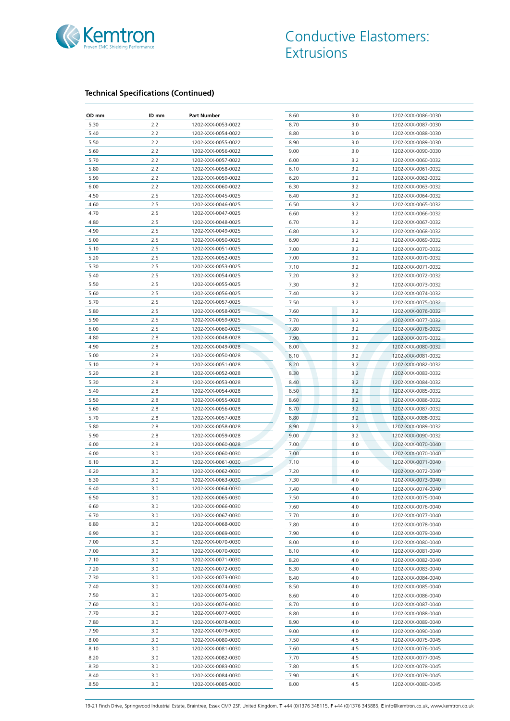

| 2.2<br>5.30<br>1202-XXX-0053-0022<br>8.70<br>3.0<br>1202-XXX-0087-0030<br>5.40<br>2.2<br>1202-XXX-0054-0022<br>8.80<br>3.0<br>1202-XXX-0088-0030<br>5.50<br>2.2<br>1202-XXX-0055-0022<br>8.90<br>3.0<br>1202-XXX-0089-0030<br>2.2<br>5.60<br>9.00<br>3.0<br>1202-XXX-0056-0022<br>1202-XXX-0090-0030<br>5.70<br>2.2<br>6.00<br>3.2<br>1202-XXX-0057-0022<br>1202-XXX-0060-0032<br>2.2<br>5.80<br>1202-XXX-0058-0022<br>6.10<br>3.2<br>1202-XXX-0061-0032<br>2.2<br>5.90<br>1202-XXX-0059-0022<br>6.20<br>3.2<br>1202-XXX-0062-0032<br>6.00<br>2.2<br>1202-XXX-0060-0022<br>6.30<br>3.2<br>1202-XXX-0063-0032<br>4.50<br>2.5<br>1202-XXX-0045-0025<br>6.40<br>3.2<br>1202-XXX-0064-0032<br>2.5<br>4.60<br>1202-XXX-0046-0025<br>6.50<br>3.2<br>1202-XXX-0065-0032<br>4.70<br>2.5<br>1202-XXX-0047-0025<br>6.60<br>3.2<br>1202-XXX-0066-0032<br>2.5<br>4.80<br>1202-XXX-0048-0025<br>6.70<br>3.2<br>1202-XXX-0067-0032<br>4.90<br>2.5<br>1202-XXX-0049-0025<br>6.80<br>3.2<br>1202-XXX-0068-0032<br>5.00<br>2.5<br>1202-XXX-0050-0025<br>6.90<br>3.2<br>1202-XXX-0069-0032<br>2.5<br>5.10<br>1202-XXX-0051-0025<br>7.00<br>3.2<br>1202-XXX-0070-0032<br>5.20<br>2.5<br>1202-XXX-0052-0025<br>7.00<br>3.2<br>1202-XXX-0070-0032<br>3.2<br>5.30<br>2.5<br>7.10<br>1202-XXX-0053-0025<br>1202-XXX-0071-0032<br>5.40<br>2.5<br>7.20<br>3.2<br>1202-XXX-0054-0025<br>1202-XXX-0072-0032<br>5.50<br>2.5<br>1202-XXX-0055-0025<br>7.30<br>3.2<br>1202-XXX-0073-0032<br>2.5<br>5.60<br>1202-XXX-0056-0025<br>7.40<br>3.2<br>1202-XXX-0074-0032<br>2.5<br>7.50<br>3.2<br>5.70<br>1202-XXX-0057-0025<br>1202-XXX-0075-0032<br>5.80<br>2.5<br>1202-XXX-0058-0025<br>3.2<br>1202-XXX-0076-0032<br>7.60<br>2.5<br>7.70<br>5.90<br>1202-XXX-0059-0025<br>3.2<br>1202-XXX-0077-0032<br>6.00<br>2.5<br>1202-XXX-0060-0025<br>7.80<br>3.2<br>1202-XXX-0078-0032<br>4.80<br>2.8<br>1202-XXX-0048-0028<br>7.90<br>3.2<br>1202-XXX-0079-0032<br>4.90<br>2.8<br>1202-XXX-0049-0028<br>8.00<br>3.2<br>1202-XXX-0080-0032<br>5.00<br>2.8<br>1202-XXX-0050-0028<br>8.10<br>3.2<br>1202-XXX-0081-0032<br>5.10<br>2.8<br>1202-XXX-0051-0028<br>8.20<br>3.2<br>1202-XXX-0082-0032<br>5.20<br>2.8<br>8.30<br>3.2<br>1202-XXX-0052-0028<br>1202-XXX-0083-0032<br>5.30<br>2.8<br>8.40<br>3.2<br>1202-XXX-0053-0028<br>1202-XXX-0084-0032<br>5.40<br>2.8<br>1202-XXX-0054-0028<br>8.50<br>3.2<br>1202-XXX-0085-0032<br>5.50<br>2.8<br>8.60<br>3.2<br>1202-XXX-0055-0028<br>1202-XXX-0086-0032<br>5.60<br>2.8<br>8.70<br>3.2<br>1202-XXX-0056-0028<br>1202-XXX-0087-0032<br>2.8<br>5.70<br>1202-XXX-0057-0028<br>8.80<br>3.2<br>1202-XXX-0088-0032<br>5.80<br>2.8<br>1202-XXX-0058-0028<br>8.90<br>3.2<br>1202-XXX-0089-0032<br>5.90<br>2.8<br>1202-XXX-0059-0028<br>9.00<br>3.2<br>1202-XXX-0090-0032<br>6.00<br>2.8<br>1202-XXX-0060-0028<br>7.00<br>4.0<br>1202-XXX-0070-0040<br>6.00<br>3.0<br>1202-XXX-0060-0030<br>7.00<br>4.0<br>1202-XXX-0070-0040<br>6.10<br>3.0<br>1202-XXX-0061-0030<br>7.10<br>4.0<br>1202-XXX-0071-0040<br>6.20<br>3.0<br>1202-XXX-0062-0030<br>7.20<br>4.0<br>1202-XXX-0072-0040<br>6.30<br>3.0<br>1202-XXX-0063-0030<br>7.30<br>4.0<br>1202-XXX-0073-0040<br>3.0<br>7.40<br>6.40<br>4.0<br>1202-XXX-0074-0040<br>1202-XXX-0064-0030<br>6.50<br>3.0<br>1202-XXX-0065-0030<br>7.50<br>4.0<br>1202-XXX-0075-0040<br>6.60<br>3.0<br>1202-XXX-0066-0030<br>7.60<br>4.0<br>1202-XXX-0076-0040<br>3.0<br>6.70<br>1202-XXX-0067-0030<br>7.70<br>4.0<br>1202-XXX-0077-0040<br>6.80<br>3.0<br>1202-XXX-0068-0030<br>7.80<br>4.0<br>1202-XXX-0078-0040<br>6.90<br>3.0<br>1202-XXX-0069-0030<br>7.90<br>4.0<br>1202-XXX-0079-0040<br>7.00<br>3.0<br>1202-XXX-0070-0030<br>8.00<br>4.0<br>1202-XXX-0080-0040<br>7.00<br>3.0<br>1202-XXX-0070-0030<br>8.10<br>4.0<br>1202-XXX-0081-0040<br>7.10<br>3.0<br>1202-XXX-0071-0030<br>8.20<br>4.0<br>1202-XXX-0082-0040<br>7.20<br>3.0<br>1202-XXX-0072-0030<br>8.30<br>4.0<br>1202-XXX-0083-0040<br>7.30<br>3.0<br>1202-XXX-0073-0030<br>8.40<br>4.0<br>1202-XXX-0084-0040<br>7.40<br>3.0<br>1202-XXX-0074-0030<br>8.50<br>4.0<br>1202-XXX-0085-0040<br>7.50<br>3.0<br>8.60<br>4.0<br>1202-XXX-0075-0030<br>1202-XXX-0086-0040<br>7.60<br>3.0<br>1202-XXX-0076-0030<br>8.70<br>4.0<br>1202-XXX-0087-0040<br>7.70<br>3.0<br>1202-XXX-0077-0030<br>8.80<br>4.0<br>1202-XXX-0088-0040<br>7.80<br>3.0<br>8.90<br>4.0<br>1202-XXX-0078-0030<br>1202-XXX-0089-0040<br>7.90<br>3.0<br>9.00<br>4.0<br>1202-XXX-0079-0030<br>1202-XXX-0090-0040<br>8.00<br>3.0<br>1202-XXX-0080-0030<br>7.50<br>4.5<br>1202-XXX-0075-0045<br>3.0<br>8.10<br>1202-XXX-0081-0030<br>7.60<br>4.5<br>1202-XXX-0076-0045<br>8.20<br>3.0<br>1202-XXX-0082-0030<br>7.70<br>4.5<br>1202-XXX-0077-0045<br>8.30<br>3.0<br>1202-XXX-0083-0030<br>7.80<br>4.5<br>1202-XXX-0078-0045<br>8.40<br>3.0<br>1202-XXX-0084-0030<br>7.90<br>4.5<br>1202-XXX-0079-0045<br>8.50<br>3.0<br>1202-XXX-0085-0030<br>8.00<br>4.5<br>1202-XXX-0080-0045 | OD mm | ID mm | <b>Part Number</b> | 8.60 | 3.0 | 1202-XXX-0086-0030 |
|------------------------------------------------------------------------------------------------------------------------------------------------------------------------------------------------------------------------------------------------------------------------------------------------------------------------------------------------------------------------------------------------------------------------------------------------------------------------------------------------------------------------------------------------------------------------------------------------------------------------------------------------------------------------------------------------------------------------------------------------------------------------------------------------------------------------------------------------------------------------------------------------------------------------------------------------------------------------------------------------------------------------------------------------------------------------------------------------------------------------------------------------------------------------------------------------------------------------------------------------------------------------------------------------------------------------------------------------------------------------------------------------------------------------------------------------------------------------------------------------------------------------------------------------------------------------------------------------------------------------------------------------------------------------------------------------------------------------------------------------------------------------------------------------------------------------------------------------------------------------------------------------------------------------------------------------------------------------------------------------------------------------------------------------------------------------------------------------------------------------------------------------------------------------------------------------------------------------------------------------------------------------------------------------------------------------------------------------------------------------------------------------------------------------------------------------------------------------------------------------------------------------------------------------------------------------------------------------------------------------------------------------------------------------------------------------------------------------------------------------------------------------------------------------------------------------------------------------------------------------------------------------------------------------------------------------------------------------------------------------------------------------------------------------------------------------------------------------------------------------------------------------------------------------------------------------------------------------------------------------------------------------------------------------------------------------------------------------------------------------------------------------------------------------------------------------------------------------------------------------------------------------------------------------------------------------------------------------------------------------------------------------------------------------------------------------------------------------------------------------------------------------------------------------------------------------------------------------------------------------------------------------------------------------------------------------------------------------------------------------------------------------------------------------------------------------------------------------------------------------------------------------------------------------------------------------------------------------------------------------------------------------------------------------------------------------------------------------------------------------------------------------------------------------------------------------------------------------------------------------------------------------------------------------------------------------------------------------------------------------------------------------------------------------------------------------------------------------------------------------------------------------------------------------------------------------------------------------------------------------------------------------------------------------------|-------|-------|--------------------|------|-----|--------------------|
|                                                                                                                                                                                                                                                                                                                                                                                                                                                                                                                                                                                                                                                                                                                                                                                                                                                                                                                                                                                                                                                                                                                                                                                                                                                                                                                                                                                                                                                                                                                                                                                                                                                                                                                                                                                                                                                                                                                                                                                                                                                                                                                                                                                                                                                                                                                                                                                                                                                                                                                                                                                                                                                                                                                                                                                                                                                                                                                                                                                                                                                                                                                                                                                                                                                                                                                                                                                                                                                                                                                                                                                                                                                                                                                                                                                                                                                                                                                                                                                                                                                                                                                                                                                                                                                                                                                                                                                                                                                                                                                                                                                                                                                                                                                                                                                                                                                                                                                              |       |       |                    |      |     |                    |
|                                                                                                                                                                                                                                                                                                                                                                                                                                                                                                                                                                                                                                                                                                                                                                                                                                                                                                                                                                                                                                                                                                                                                                                                                                                                                                                                                                                                                                                                                                                                                                                                                                                                                                                                                                                                                                                                                                                                                                                                                                                                                                                                                                                                                                                                                                                                                                                                                                                                                                                                                                                                                                                                                                                                                                                                                                                                                                                                                                                                                                                                                                                                                                                                                                                                                                                                                                                                                                                                                                                                                                                                                                                                                                                                                                                                                                                                                                                                                                                                                                                                                                                                                                                                                                                                                                                                                                                                                                                                                                                                                                                                                                                                                                                                                                                                                                                                                                                              |       |       |                    |      |     |                    |
|                                                                                                                                                                                                                                                                                                                                                                                                                                                                                                                                                                                                                                                                                                                                                                                                                                                                                                                                                                                                                                                                                                                                                                                                                                                                                                                                                                                                                                                                                                                                                                                                                                                                                                                                                                                                                                                                                                                                                                                                                                                                                                                                                                                                                                                                                                                                                                                                                                                                                                                                                                                                                                                                                                                                                                                                                                                                                                                                                                                                                                                                                                                                                                                                                                                                                                                                                                                                                                                                                                                                                                                                                                                                                                                                                                                                                                                                                                                                                                                                                                                                                                                                                                                                                                                                                                                                                                                                                                                                                                                                                                                                                                                                                                                                                                                                                                                                                                                              |       |       |                    |      |     |                    |
|                                                                                                                                                                                                                                                                                                                                                                                                                                                                                                                                                                                                                                                                                                                                                                                                                                                                                                                                                                                                                                                                                                                                                                                                                                                                                                                                                                                                                                                                                                                                                                                                                                                                                                                                                                                                                                                                                                                                                                                                                                                                                                                                                                                                                                                                                                                                                                                                                                                                                                                                                                                                                                                                                                                                                                                                                                                                                                                                                                                                                                                                                                                                                                                                                                                                                                                                                                                                                                                                                                                                                                                                                                                                                                                                                                                                                                                                                                                                                                                                                                                                                                                                                                                                                                                                                                                                                                                                                                                                                                                                                                                                                                                                                                                                                                                                                                                                                                                              |       |       |                    |      |     |                    |
|                                                                                                                                                                                                                                                                                                                                                                                                                                                                                                                                                                                                                                                                                                                                                                                                                                                                                                                                                                                                                                                                                                                                                                                                                                                                                                                                                                                                                                                                                                                                                                                                                                                                                                                                                                                                                                                                                                                                                                                                                                                                                                                                                                                                                                                                                                                                                                                                                                                                                                                                                                                                                                                                                                                                                                                                                                                                                                                                                                                                                                                                                                                                                                                                                                                                                                                                                                                                                                                                                                                                                                                                                                                                                                                                                                                                                                                                                                                                                                                                                                                                                                                                                                                                                                                                                                                                                                                                                                                                                                                                                                                                                                                                                                                                                                                                                                                                                                                              |       |       |                    |      |     |                    |
|                                                                                                                                                                                                                                                                                                                                                                                                                                                                                                                                                                                                                                                                                                                                                                                                                                                                                                                                                                                                                                                                                                                                                                                                                                                                                                                                                                                                                                                                                                                                                                                                                                                                                                                                                                                                                                                                                                                                                                                                                                                                                                                                                                                                                                                                                                                                                                                                                                                                                                                                                                                                                                                                                                                                                                                                                                                                                                                                                                                                                                                                                                                                                                                                                                                                                                                                                                                                                                                                                                                                                                                                                                                                                                                                                                                                                                                                                                                                                                                                                                                                                                                                                                                                                                                                                                                                                                                                                                                                                                                                                                                                                                                                                                                                                                                                                                                                                                                              |       |       |                    |      |     |                    |
|                                                                                                                                                                                                                                                                                                                                                                                                                                                                                                                                                                                                                                                                                                                                                                                                                                                                                                                                                                                                                                                                                                                                                                                                                                                                                                                                                                                                                                                                                                                                                                                                                                                                                                                                                                                                                                                                                                                                                                                                                                                                                                                                                                                                                                                                                                                                                                                                                                                                                                                                                                                                                                                                                                                                                                                                                                                                                                                                                                                                                                                                                                                                                                                                                                                                                                                                                                                                                                                                                                                                                                                                                                                                                                                                                                                                                                                                                                                                                                                                                                                                                                                                                                                                                                                                                                                                                                                                                                                                                                                                                                                                                                                                                                                                                                                                                                                                                                                              |       |       |                    |      |     |                    |
|                                                                                                                                                                                                                                                                                                                                                                                                                                                                                                                                                                                                                                                                                                                                                                                                                                                                                                                                                                                                                                                                                                                                                                                                                                                                                                                                                                                                                                                                                                                                                                                                                                                                                                                                                                                                                                                                                                                                                                                                                                                                                                                                                                                                                                                                                                                                                                                                                                                                                                                                                                                                                                                                                                                                                                                                                                                                                                                                                                                                                                                                                                                                                                                                                                                                                                                                                                                                                                                                                                                                                                                                                                                                                                                                                                                                                                                                                                                                                                                                                                                                                                                                                                                                                                                                                                                                                                                                                                                                                                                                                                                                                                                                                                                                                                                                                                                                                                                              |       |       |                    |      |     |                    |
|                                                                                                                                                                                                                                                                                                                                                                                                                                                                                                                                                                                                                                                                                                                                                                                                                                                                                                                                                                                                                                                                                                                                                                                                                                                                                                                                                                                                                                                                                                                                                                                                                                                                                                                                                                                                                                                                                                                                                                                                                                                                                                                                                                                                                                                                                                                                                                                                                                                                                                                                                                                                                                                                                                                                                                                                                                                                                                                                                                                                                                                                                                                                                                                                                                                                                                                                                                                                                                                                                                                                                                                                                                                                                                                                                                                                                                                                                                                                                                                                                                                                                                                                                                                                                                                                                                                                                                                                                                                                                                                                                                                                                                                                                                                                                                                                                                                                                                                              |       |       |                    |      |     |                    |
|                                                                                                                                                                                                                                                                                                                                                                                                                                                                                                                                                                                                                                                                                                                                                                                                                                                                                                                                                                                                                                                                                                                                                                                                                                                                                                                                                                                                                                                                                                                                                                                                                                                                                                                                                                                                                                                                                                                                                                                                                                                                                                                                                                                                                                                                                                                                                                                                                                                                                                                                                                                                                                                                                                                                                                                                                                                                                                                                                                                                                                                                                                                                                                                                                                                                                                                                                                                                                                                                                                                                                                                                                                                                                                                                                                                                                                                                                                                                                                                                                                                                                                                                                                                                                                                                                                                                                                                                                                                                                                                                                                                                                                                                                                                                                                                                                                                                                                                              |       |       |                    |      |     |                    |
|                                                                                                                                                                                                                                                                                                                                                                                                                                                                                                                                                                                                                                                                                                                                                                                                                                                                                                                                                                                                                                                                                                                                                                                                                                                                                                                                                                                                                                                                                                                                                                                                                                                                                                                                                                                                                                                                                                                                                                                                                                                                                                                                                                                                                                                                                                                                                                                                                                                                                                                                                                                                                                                                                                                                                                                                                                                                                                                                                                                                                                                                                                                                                                                                                                                                                                                                                                                                                                                                                                                                                                                                                                                                                                                                                                                                                                                                                                                                                                                                                                                                                                                                                                                                                                                                                                                                                                                                                                                                                                                                                                                                                                                                                                                                                                                                                                                                                                                              |       |       |                    |      |     |                    |
|                                                                                                                                                                                                                                                                                                                                                                                                                                                                                                                                                                                                                                                                                                                                                                                                                                                                                                                                                                                                                                                                                                                                                                                                                                                                                                                                                                                                                                                                                                                                                                                                                                                                                                                                                                                                                                                                                                                                                                                                                                                                                                                                                                                                                                                                                                                                                                                                                                                                                                                                                                                                                                                                                                                                                                                                                                                                                                                                                                                                                                                                                                                                                                                                                                                                                                                                                                                                                                                                                                                                                                                                                                                                                                                                                                                                                                                                                                                                                                                                                                                                                                                                                                                                                                                                                                                                                                                                                                                                                                                                                                                                                                                                                                                                                                                                                                                                                                                              |       |       |                    |      |     |                    |
|                                                                                                                                                                                                                                                                                                                                                                                                                                                                                                                                                                                                                                                                                                                                                                                                                                                                                                                                                                                                                                                                                                                                                                                                                                                                                                                                                                                                                                                                                                                                                                                                                                                                                                                                                                                                                                                                                                                                                                                                                                                                                                                                                                                                                                                                                                                                                                                                                                                                                                                                                                                                                                                                                                                                                                                                                                                                                                                                                                                                                                                                                                                                                                                                                                                                                                                                                                                                                                                                                                                                                                                                                                                                                                                                                                                                                                                                                                                                                                                                                                                                                                                                                                                                                                                                                                                                                                                                                                                                                                                                                                                                                                                                                                                                                                                                                                                                                                                              |       |       |                    |      |     |                    |
|                                                                                                                                                                                                                                                                                                                                                                                                                                                                                                                                                                                                                                                                                                                                                                                                                                                                                                                                                                                                                                                                                                                                                                                                                                                                                                                                                                                                                                                                                                                                                                                                                                                                                                                                                                                                                                                                                                                                                                                                                                                                                                                                                                                                                                                                                                                                                                                                                                                                                                                                                                                                                                                                                                                                                                                                                                                                                                                                                                                                                                                                                                                                                                                                                                                                                                                                                                                                                                                                                                                                                                                                                                                                                                                                                                                                                                                                                                                                                                                                                                                                                                                                                                                                                                                                                                                                                                                                                                                                                                                                                                                                                                                                                                                                                                                                                                                                                                                              |       |       |                    |      |     |                    |
|                                                                                                                                                                                                                                                                                                                                                                                                                                                                                                                                                                                                                                                                                                                                                                                                                                                                                                                                                                                                                                                                                                                                                                                                                                                                                                                                                                                                                                                                                                                                                                                                                                                                                                                                                                                                                                                                                                                                                                                                                                                                                                                                                                                                                                                                                                                                                                                                                                                                                                                                                                                                                                                                                                                                                                                                                                                                                                                                                                                                                                                                                                                                                                                                                                                                                                                                                                                                                                                                                                                                                                                                                                                                                                                                                                                                                                                                                                                                                                                                                                                                                                                                                                                                                                                                                                                                                                                                                                                                                                                                                                                                                                                                                                                                                                                                                                                                                                                              |       |       |                    |      |     |                    |
|                                                                                                                                                                                                                                                                                                                                                                                                                                                                                                                                                                                                                                                                                                                                                                                                                                                                                                                                                                                                                                                                                                                                                                                                                                                                                                                                                                                                                                                                                                                                                                                                                                                                                                                                                                                                                                                                                                                                                                                                                                                                                                                                                                                                                                                                                                                                                                                                                                                                                                                                                                                                                                                                                                                                                                                                                                                                                                                                                                                                                                                                                                                                                                                                                                                                                                                                                                                                                                                                                                                                                                                                                                                                                                                                                                                                                                                                                                                                                                                                                                                                                                                                                                                                                                                                                                                                                                                                                                                                                                                                                                                                                                                                                                                                                                                                                                                                                                                              |       |       |                    |      |     |                    |
|                                                                                                                                                                                                                                                                                                                                                                                                                                                                                                                                                                                                                                                                                                                                                                                                                                                                                                                                                                                                                                                                                                                                                                                                                                                                                                                                                                                                                                                                                                                                                                                                                                                                                                                                                                                                                                                                                                                                                                                                                                                                                                                                                                                                                                                                                                                                                                                                                                                                                                                                                                                                                                                                                                                                                                                                                                                                                                                                                                                                                                                                                                                                                                                                                                                                                                                                                                                                                                                                                                                                                                                                                                                                                                                                                                                                                                                                                                                                                                                                                                                                                                                                                                                                                                                                                                                                                                                                                                                                                                                                                                                                                                                                                                                                                                                                                                                                                                                              |       |       |                    |      |     |                    |
|                                                                                                                                                                                                                                                                                                                                                                                                                                                                                                                                                                                                                                                                                                                                                                                                                                                                                                                                                                                                                                                                                                                                                                                                                                                                                                                                                                                                                                                                                                                                                                                                                                                                                                                                                                                                                                                                                                                                                                                                                                                                                                                                                                                                                                                                                                                                                                                                                                                                                                                                                                                                                                                                                                                                                                                                                                                                                                                                                                                                                                                                                                                                                                                                                                                                                                                                                                                                                                                                                                                                                                                                                                                                                                                                                                                                                                                                                                                                                                                                                                                                                                                                                                                                                                                                                                                                                                                                                                                                                                                                                                                                                                                                                                                                                                                                                                                                                                                              |       |       |                    |      |     |                    |
|                                                                                                                                                                                                                                                                                                                                                                                                                                                                                                                                                                                                                                                                                                                                                                                                                                                                                                                                                                                                                                                                                                                                                                                                                                                                                                                                                                                                                                                                                                                                                                                                                                                                                                                                                                                                                                                                                                                                                                                                                                                                                                                                                                                                                                                                                                                                                                                                                                                                                                                                                                                                                                                                                                                                                                                                                                                                                                                                                                                                                                                                                                                                                                                                                                                                                                                                                                                                                                                                                                                                                                                                                                                                                                                                                                                                                                                                                                                                                                                                                                                                                                                                                                                                                                                                                                                                                                                                                                                                                                                                                                                                                                                                                                                                                                                                                                                                                                                              |       |       |                    |      |     |                    |
|                                                                                                                                                                                                                                                                                                                                                                                                                                                                                                                                                                                                                                                                                                                                                                                                                                                                                                                                                                                                                                                                                                                                                                                                                                                                                                                                                                                                                                                                                                                                                                                                                                                                                                                                                                                                                                                                                                                                                                                                                                                                                                                                                                                                                                                                                                                                                                                                                                                                                                                                                                                                                                                                                                                                                                                                                                                                                                                                                                                                                                                                                                                                                                                                                                                                                                                                                                                                                                                                                                                                                                                                                                                                                                                                                                                                                                                                                                                                                                                                                                                                                                                                                                                                                                                                                                                                                                                                                                                                                                                                                                                                                                                                                                                                                                                                                                                                                                                              |       |       |                    |      |     |                    |
|                                                                                                                                                                                                                                                                                                                                                                                                                                                                                                                                                                                                                                                                                                                                                                                                                                                                                                                                                                                                                                                                                                                                                                                                                                                                                                                                                                                                                                                                                                                                                                                                                                                                                                                                                                                                                                                                                                                                                                                                                                                                                                                                                                                                                                                                                                                                                                                                                                                                                                                                                                                                                                                                                                                                                                                                                                                                                                                                                                                                                                                                                                                                                                                                                                                                                                                                                                                                                                                                                                                                                                                                                                                                                                                                                                                                                                                                                                                                                                                                                                                                                                                                                                                                                                                                                                                                                                                                                                                                                                                                                                                                                                                                                                                                                                                                                                                                                                                              |       |       |                    |      |     |                    |
|                                                                                                                                                                                                                                                                                                                                                                                                                                                                                                                                                                                                                                                                                                                                                                                                                                                                                                                                                                                                                                                                                                                                                                                                                                                                                                                                                                                                                                                                                                                                                                                                                                                                                                                                                                                                                                                                                                                                                                                                                                                                                                                                                                                                                                                                                                                                                                                                                                                                                                                                                                                                                                                                                                                                                                                                                                                                                                                                                                                                                                                                                                                                                                                                                                                                                                                                                                                                                                                                                                                                                                                                                                                                                                                                                                                                                                                                                                                                                                                                                                                                                                                                                                                                                                                                                                                                                                                                                                                                                                                                                                                                                                                                                                                                                                                                                                                                                                                              |       |       |                    |      |     |                    |
|                                                                                                                                                                                                                                                                                                                                                                                                                                                                                                                                                                                                                                                                                                                                                                                                                                                                                                                                                                                                                                                                                                                                                                                                                                                                                                                                                                                                                                                                                                                                                                                                                                                                                                                                                                                                                                                                                                                                                                                                                                                                                                                                                                                                                                                                                                                                                                                                                                                                                                                                                                                                                                                                                                                                                                                                                                                                                                                                                                                                                                                                                                                                                                                                                                                                                                                                                                                                                                                                                                                                                                                                                                                                                                                                                                                                                                                                                                                                                                                                                                                                                                                                                                                                                                                                                                                                                                                                                                                                                                                                                                                                                                                                                                                                                                                                                                                                                                                              |       |       |                    |      |     |                    |
|                                                                                                                                                                                                                                                                                                                                                                                                                                                                                                                                                                                                                                                                                                                                                                                                                                                                                                                                                                                                                                                                                                                                                                                                                                                                                                                                                                                                                                                                                                                                                                                                                                                                                                                                                                                                                                                                                                                                                                                                                                                                                                                                                                                                                                                                                                                                                                                                                                                                                                                                                                                                                                                                                                                                                                                                                                                                                                                                                                                                                                                                                                                                                                                                                                                                                                                                                                                                                                                                                                                                                                                                                                                                                                                                                                                                                                                                                                                                                                                                                                                                                                                                                                                                                                                                                                                                                                                                                                                                                                                                                                                                                                                                                                                                                                                                                                                                                                                              |       |       |                    |      |     |                    |
|                                                                                                                                                                                                                                                                                                                                                                                                                                                                                                                                                                                                                                                                                                                                                                                                                                                                                                                                                                                                                                                                                                                                                                                                                                                                                                                                                                                                                                                                                                                                                                                                                                                                                                                                                                                                                                                                                                                                                                                                                                                                                                                                                                                                                                                                                                                                                                                                                                                                                                                                                                                                                                                                                                                                                                                                                                                                                                                                                                                                                                                                                                                                                                                                                                                                                                                                                                                                                                                                                                                                                                                                                                                                                                                                                                                                                                                                                                                                                                                                                                                                                                                                                                                                                                                                                                                                                                                                                                                                                                                                                                                                                                                                                                                                                                                                                                                                                                                              |       |       |                    |      |     |                    |
|                                                                                                                                                                                                                                                                                                                                                                                                                                                                                                                                                                                                                                                                                                                                                                                                                                                                                                                                                                                                                                                                                                                                                                                                                                                                                                                                                                                                                                                                                                                                                                                                                                                                                                                                                                                                                                                                                                                                                                                                                                                                                                                                                                                                                                                                                                                                                                                                                                                                                                                                                                                                                                                                                                                                                                                                                                                                                                                                                                                                                                                                                                                                                                                                                                                                                                                                                                                                                                                                                                                                                                                                                                                                                                                                                                                                                                                                                                                                                                                                                                                                                                                                                                                                                                                                                                                                                                                                                                                                                                                                                                                                                                                                                                                                                                                                                                                                                                                              |       |       |                    |      |     |                    |
|                                                                                                                                                                                                                                                                                                                                                                                                                                                                                                                                                                                                                                                                                                                                                                                                                                                                                                                                                                                                                                                                                                                                                                                                                                                                                                                                                                                                                                                                                                                                                                                                                                                                                                                                                                                                                                                                                                                                                                                                                                                                                                                                                                                                                                                                                                                                                                                                                                                                                                                                                                                                                                                                                                                                                                                                                                                                                                                                                                                                                                                                                                                                                                                                                                                                                                                                                                                                                                                                                                                                                                                                                                                                                                                                                                                                                                                                                                                                                                                                                                                                                                                                                                                                                                                                                                                                                                                                                                                                                                                                                                                                                                                                                                                                                                                                                                                                                                                              |       |       |                    |      |     |                    |
|                                                                                                                                                                                                                                                                                                                                                                                                                                                                                                                                                                                                                                                                                                                                                                                                                                                                                                                                                                                                                                                                                                                                                                                                                                                                                                                                                                                                                                                                                                                                                                                                                                                                                                                                                                                                                                                                                                                                                                                                                                                                                                                                                                                                                                                                                                                                                                                                                                                                                                                                                                                                                                                                                                                                                                                                                                                                                                                                                                                                                                                                                                                                                                                                                                                                                                                                                                                                                                                                                                                                                                                                                                                                                                                                                                                                                                                                                                                                                                                                                                                                                                                                                                                                                                                                                                                                                                                                                                                                                                                                                                                                                                                                                                                                                                                                                                                                                                                              |       |       |                    |      |     |                    |
|                                                                                                                                                                                                                                                                                                                                                                                                                                                                                                                                                                                                                                                                                                                                                                                                                                                                                                                                                                                                                                                                                                                                                                                                                                                                                                                                                                                                                                                                                                                                                                                                                                                                                                                                                                                                                                                                                                                                                                                                                                                                                                                                                                                                                                                                                                                                                                                                                                                                                                                                                                                                                                                                                                                                                                                                                                                                                                                                                                                                                                                                                                                                                                                                                                                                                                                                                                                                                                                                                                                                                                                                                                                                                                                                                                                                                                                                                                                                                                                                                                                                                                                                                                                                                                                                                                                                                                                                                                                                                                                                                                                                                                                                                                                                                                                                                                                                                                                              |       |       |                    |      |     |                    |
|                                                                                                                                                                                                                                                                                                                                                                                                                                                                                                                                                                                                                                                                                                                                                                                                                                                                                                                                                                                                                                                                                                                                                                                                                                                                                                                                                                                                                                                                                                                                                                                                                                                                                                                                                                                                                                                                                                                                                                                                                                                                                                                                                                                                                                                                                                                                                                                                                                                                                                                                                                                                                                                                                                                                                                                                                                                                                                                                                                                                                                                                                                                                                                                                                                                                                                                                                                                                                                                                                                                                                                                                                                                                                                                                                                                                                                                                                                                                                                                                                                                                                                                                                                                                                                                                                                                                                                                                                                                                                                                                                                                                                                                                                                                                                                                                                                                                                                                              |       |       |                    |      |     |                    |
|                                                                                                                                                                                                                                                                                                                                                                                                                                                                                                                                                                                                                                                                                                                                                                                                                                                                                                                                                                                                                                                                                                                                                                                                                                                                                                                                                                                                                                                                                                                                                                                                                                                                                                                                                                                                                                                                                                                                                                                                                                                                                                                                                                                                                                                                                                                                                                                                                                                                                                                                                                                                                                                                                                                                                                                                                                                                                                                                                                                                                                                                                                                                                                                                                                                                                                                                                                                                                                                                                                                                                                                                                                                                                                                                                                                                                                                                                                                                                                                                                                                                                                                                                                                                                                                                                                                                                                                                                                                                                                                                                                                                                                                                                                                                                                                                                                                                                                                              |       |       |                    |      |     |                    |
|                                                                                                                                                                                                                                                                                                                                                                                                                                                                                                                                                                                                                                                                                                                                                                                                                                                                                                                                                                                                                                                                                                                                                                                                                                                                                                                                                                                                                                                                                                                                                                                                                                                                                                                                                                                                                                                                                                                                                                                                                                                                                                                                                                                                                                                                                                                                                                                                                                                                                                                                                                                                                                                                                                                                                                                                                                                                                                                                                                                                                                                                                                                                                                                                                                                                                                                                                                                                                                                                                                                                                                                                                                                                                                                                                                                                                                                                                                                                                                                                                                                                                                                                                                                                                                                                                                                                                                                                                                                                                                                                                                                                                                                                                                                                                                                                                                                                                                                              |       |       |                    |      |     |                    |
|                                                                                                                                                                                                                                                                                                                                                                                                                                                                                                                                                                                                                                                                                                                                                                                                                                                                                                                                                                                                                                                                                                                                                                                                                                                                                                                                                                                                                                                                                                                                                                                                                                                                                                                                                                                                                                                                                                                                                                                                                                                                                                                                                                                                                                                                                                                                                                                                                                                                                                                                                                                                                                                                                                                                                                                                                                                                                                                                                                                                                                                                                                                                                                                                                                                                                                                                                                                                                                                                                                                                                                                                                                                                                                                                                                                                                                                                                                                                                                                                                                                                                                                                                                                                                                                                                                                                                                                                                                                                                                                                                                                                                                                                                                                                                                                                                                                                                                                              |       |       |                    |      |     |                    |
|                                                                                                                                                                                                                                                                                                                                                                                                                                                                                                                                                                                                                                                                                                                                                                                                                                                                                                                                                                                                                                                                                                                                                                                                                                                                                                                                                                                                                                                                                                                                                                                                                                                                                                                                                                                                                                                                                                                                                                                                                                                                                                                                                                                                                                                                                                                                                                                                                                                                                                                                                                                                                                                                                                                                                                                                                                                                                                                                                                                                                                                                                                                                                                                                                                                                                                                                                                                                                                                                                                                                                                                                                                                                                                                                                                                                                                                                                                                                                                                                                                                                                                                                                                                                                                                                                                                                                                                                                                                                                                                                                                                                                                                                                                                                                                                                                                                                                                                              |       |       |                    |      |     |                    |
|                                                                                                                                                                                                                                                                                                                                                                                                                                                                                                                                                                                                                                                                                                                                                                                                                                                                                                                                                                                                                                                                                                                                                                                                                                                                                                                                                                                                                                                                                                                                                                                                                                                                                                                                                                                                                                                                                                                                                                                                                                                                                                                                                                                                                                                                                                                                                                                                                                                                                                                                                                                                                                                                                                                                                                                                                                                                                                                                                                                                                                                                                                                                                                                                                                                                                                                                                                                                                                                                                                                                                                                                                                                                                                                                                                                                                                                                                                                                                                                                                                                                                                                                                                                                                                                                                                                                                                                                                                                                                                                                                                                                                                                                                                                                                                                                                                                                                                                              |       |       |                    |      |     |                    |
|                                                                                                                                                                                                                                                                                                                                                                                                                                                                                                                                                                                                                                                                                                                                                                                                                                                                                                                                                                                                                                                                                                                                                                                                                                                                                                                                                                                                                                                                                                                                                                                                                                                                                                                                                                                                                                                                                                                                                                                                                                                                                                                                                                                                                                                                                                                                                                                                                                                                                                                                                                                                                                                                                                                                                                                                                                                                                                                                                                                                                                                                                                                                                                                                                                                                                                                                                                                                                                                                                                                                                                                                                                                                                                                                                                                                                                                                                                                                                                                                                                                                                                                                                                                                                                                                                                                                                                                                                                                                                                                                                                                                                                                                                                                                                                                                                                                                                                                              |       |       |                    |      |     |                    |
|                                                                                                                                                                                                                                                                                                                                                                                                                                                                                                                                                                                                                                                                                                                                                                                                                                                                                                                                                                                                                                                                                                                                                                                                                                                                                                                                                                                                                                                                                                                                                                                                                                                                                                                                                                                                                                                                                                                                                                                                                                                                                                                                                                                                                                                                                                                                                                                                                                                                                                                                                                                                                                                                                                                                                                                                                                                                                                                                                                                                                                                                                                                                                                                                                                                                                                                                                                                                                                                                                                                                                                                                                                                                                                                                                                                                                                                                                                                                                                                                                                                                                                                                                                                                                                                                                                                                                                                                                                                                                                                                                                                                                                                                                                                                                                                                                                                                                                                              |       |       |                    |      |     |                    |
|                                                                                                                                                                                                                                                                                                                                                                                                                                                                                                                                                                                                                                                                                                                                                                                                                                                                                                                                                                                                                                                                                                                                                                                                                                                                                                                                                                                                                                                                                                                                                                                                                                                                                                                                                                                                                                                                                                                                                                                                                                                                                                                                                                                                                                                                                                                                                                                                                                                                                                                                                                                                                                                                                                                                                                                                                                                                                                                                                                                                                                                                                                                                                                                                                                                                                                                                                                                                                                                                                                                                                                                                                                                                                                                                                                                                                                                                                                                                                                                                                                                                                                                                                                                                                                                                                                                                                                                                                                                                                                                                                                                                                                                                                                                                                                                                                                                                                                                              |       |       |                    |      |     |                    |
|                                                                                                                                                                                                                                                                                                                                                                                                                                                                                                                                                                                                                                                                                                                                                                                                                                                                                                                                                                                                                                                                                                                                                                                                                                                                                                                                                                                                                                                                                                                                                                                                                                                                                                                                                                                                                                                                                                                                                                                                                                                                                                                                                                                                                                                                                                                                                                                                                                                                                                                                                                                                                                                                                                                                                                                                                                                                                                                                                                                                                                                                                                                                                                                                                                                                                                                                                                                                                                                                                                                                                                                                                                                                                                                                                                                                                                                                                                                                                                                                                                                                                                                                                                                                                                                                                                                                                                                                                                                                                                                                                                                                                                                                                                                                                                                                                                                                                                                              |       |       |                    |      |     |                    |
|                                                                                                                                                                                                                                                                                                                                                                                                                                                                                                                                                                                                                                                                                                                                                                                                                                                                                                                                                                                                                                                                                                                                                                                                                                                                                                                                                                                                                                                                                                                                                                                                                                                                                                                                                                                                                                                                                                                                                                                                                                                                                                                                                                                                                                                                                                                                                                                                                                                                                                                                                                                                                                                                                                                                                                                                                                                                                                                                                                                                                                                                                                                                                                                                                                                                                                                                                                                                                                                                                                                                                                                                                                                                                                                                                                                                                                                                                                                                                                                                                                                                                                                                                                                                                                                                                                                                                                                                                                                                                                                                                                                                                                                                                                                                                                                                                                                                                                                              |       |       |                    |      |     |                    |
|                                                                                                                                                                                                                                                                                                                                                                                                                                                                                                                                                                                                                                                                                                                                                                                                                                                                                                                                                                                                                                                                                                                                                                                                                                                                                                                                                                                                                                                                                                                                                                                                                                                                                                                                                                                                                                                                                                                                                                                                                                                                                                                                                                                                                                                                                                                                                                                                                                                                                                                                                                                                                                                                                                                                                                                                                                                                                                                                                                                                                                                                                                                                                                                                                                                                                                                                                                                                                                                                                                                                                                                                                                                                                                                                                                                                                                                                                                                                                                                                                                                                                                                                                                                                                                                                                                                                                                                                                                                                                                                                                                                                                                                                                                                                                                                                                                                                                                                              |       |       |                    |      |     |                    |
|                                                                                                                                                                                                                                                                                                                                                                                                                                                                                                                                                                                                                                                                                                                                                                                                                                                                                                                                                                                                                                                                                                                                                                                                                                                                                                                                                                                                                                                                                                                                                                                                                                                                                                                                                                                                                                                                                                                                                                                                                                                                                                                                                                                                                                                                                                                                                                                                                                                                                                                                                                                                                                                                                                                                                                                                                                                                                                                                                                                                                                                                                                                                                                                                                                                                                                                                                                                                                                                                                                                                                                                                                                                                                                                                                                                                                                                                                                                                                                                                                                                                                                                                                                                                                                                                                                                                                                                                                                                                                                                                                                                                                                                                                                                                                                                                                                                                                                                              |       |       |                    |      |     |                    |
|                                                                                                                                                                                                                                                                                                                                                                                                                                                                                                                                                                                                                                                                                                                                                                                                                                                                                                                                                                                                                                                                                                                                                                                                                                                                                                                                                                                                                                                                                                                                                                                                                                                                                                                                                                                                                                                                                                                                                                                                                                                                                                                                                                                                                                                                                                                                                                                                                                                                                                                                                                                                                                                                                                                                                                                                                                                                                                                                                                                                                                                                                                                                                                                                                                                                                                                                                                                                                                                                                                                                                                                                                                                                                                                                                                                                                                                                                                                                                                                                                                                                                                                                                                                                                                                                                                                                                                                                                                                                                                                                                                                                                                                                                                                                                                                                                                                                                                                              |       |       |                    |      |     |                    |
|                                                                                                                                                                                                                                                                                                                                                                                                                                                                                                                                                                                                                                                                                                                                                                                                                                                                                                                                                                                                                                                                                                                                                                                                                                                                                                                                                                                                                                                                                                                                                                                                                                                                                                                                                                                                                                                                                                                                                                                                                                                                                                                                                                                                                                                                                                                                                                                                                                                                                                                                                                                                                                                                                                                                                                                                                                                                                                                                                                                                                                                                                                                                                                                                                                                                                                                                                                                                                                                                                                                                                                                                                                                                                                                                                                                                                                                                                                                                                                                                                                                                                                                                                                                                                                                                                                                                                                                                                                                                                                                                                                                                                                                                                                                                                                                                                                                                                                                              |       |       |                    |      |     |                    |
|                                                                                                                                                                                                                                                                                                                                                                                                                                                                                                                                                                                                                                                                                                                                                                                                                                                                                                                                                                                                                                                                                                                                                                                                                                                                                                                                                                                                                                                                                                                                                                                                                                                                                                                                                                                                                                                                                                                                                                                                                                                                                                                                                                                                                                                                                                                                                                                                                                                                                                                                                                                                                                                                                                                                                                                                                                                                                                                                                                                                                                                                                                                                                                                                                                                                                                                                                                                                                                                                                                                                                                                                                                                                                                                                                                                                                                                                                                                                                                                                                                                                                                                                                                                                                                                                                                                                                                                                                                                                                                                                                                                                                                                                                                                                                                                                                                                                                                                              |       |       |                    |      |     |                    |
|                                                                                                                                                                                                                                                                                                                                                                                                                                                                                                                                                                                                                                                                                                                                                                                                                                                                                                                                                                                                                                                                                                                                                                                                                                                                                                                                                                                                                                                                                                                                                                                                                                                                                                                                                                                                                                                                                                                                                                                                                                                                                                                                                                                                                                                                                                                                                                                                                                                                                                                                                                                                                                                                                                                                                                                                                                                                                                                                                                                                                                                                                                                                                                                                                                                                                                                                                                                                                                                                                                                                                                                                                                                                                                                                                                                                                                                                                                                                                                                                                                                                                                                                                                                                                                                                                                                                                                                                                                                                                                                                                                                                                                                                                                                                                                                                                                                                                                                              |       |       |                    |      |     |                    |
|                                                                                                                                                                                                                                                                                                                                                                                                                                                                                                                                                                                                                                                                                                                                                                                                                                                                                                                                                                                                                                                                                                                                                                                                                                                                                                                                                                                                                                                                                                                                                                                                                                                                                                                                                                                                                                                                                                                                                                                                                                                                                                                                                                                                                                                                                                                                                                                                                                                                                                                                                                                                                                                                                                                                                                                                                                                                                                                                                                                                                                                                                                                                                                                                                                                                                                                                                                                                                                                                                                                                                                                                                                                                                                                                                                                                                                                                                                                                                                                                                                                                                                                                                                                                                                                                                                                                                                                                                                                                                                                                                                                                                                                                                                                                                                                                                                                                                                                              |       |       |                    |      |     |                    |
|                                                                                                                                                                                                                                                                                                                                                                                                                                                                                                                                                                                                                                                                                                                                                                                                                                                                                                                                                                                                                                                                                                                                                                                                                                                                                                                                                                                                                                                                                                                                                                                                                                                                                                                                                                                                                                                                                                                                                                                                                                                                                                                                                                                                                                                                                                                                                                                                                                                                                                                                                                                                                                                                                                                                                                                                                                                                                                                                                                                                                                                                                                                                                                                                                                                                                                                                                                                                                                                                                                                                                                                                                                                                                                                                                                                                                                                                                                                                                                                                                                                                                                                                                                                                                                                                                                                                                                                                                                                                                                                                                                                                                                                                                                                                                                                                                                                                                                                              |       |       |                    |      |     |                    |
|                                                                                                                                                                                                                                                                                                                                                                                                                                                                                                                                                                                                                                                                                                                                                                                                                                                                                                                                                                                                                                                                                                                                                                                                                                                                                                                                                                                                                                                                                                                                                                                                                                                                                                                                                                                                                                                                                                                                                                                                                                                                                                                                                                                                                                                                                                                                                                                                                                                                                                                                                                                                                                                                                                                                                                                                                                                                                                                                                                                                                                                                                                                                                                                                                                                                                                                                                                                                                                                                                                                                                                                                                                                                                                                                                                                                                                                                                                                                                                                                                                                                                                                                                                                                                                                                                                                                                                                                                                                                                                                                                                                                                                                                                                                                                                                                                                                                                                                              |       |       |                    |      |     |                    |
|                                                                                                                                                                                                                                                                                                                                                                                                                                                                                                                                                                                                                                                                                                                                                                                                                                                                                                                                                                                                                                                                                                                                                                                                                                                                                                                                                                                                                                                                                                                                                                                                                                                                                                                                                                                                                                                                                                                                                                                                                                                                                                                                                                                                                                                                                                                                                                                                                                                                                                                                                                                                                                                                                                                                                                                                                                                                                                                                                                                                                                                                                                                                                                                                                                                                                                                                                                                                                                                                                                                                                                                                                                                                                                                                                                                                                                                                                                                                                                                                                                                                                                                                                                                                                                                                                                                                                                                                                                                                                                                                                                                                                                                                                                                                                                                                                                                                                                                              |       |       |                    |      |     |                    |
|                                                                                                                                                                                                                                                                                                                                                                                                                                                                                                                                                                                                                                                                                                                                                                                                                                                                                                                                                                                                                                                                                                                                                                                                                                                                                                                                                                                                                                                                                                                                                                                                                                                                                                                                                                                                                                                                                                                                                                                                                                                                                                                                                                                                                                                                                                                                                                                                                                                                                                                                                                                                                                                                                                                                                                                                                                                                                                                                                                                                                                                                                                                                                                                                                                                                                                                                                                                                                                                                                                                                                                                                                                                                                                                                                                                                                                                                                                                                                                                                                                                                                                                                                                                                                                                                                                                                                                                                                                                                                                                                                                                                                                                                                                                                                                                                                                                                                                                              |       |       |                    |      |     |                    |
|                                                                                                                                                                                                                                                                                                                                                                                                                                                                                                                                                                                                                                                                                                                                                                                                                                                                                                                                                                                                                                                                                                                                                                                                                                                                                                                                                                                                                                                                                                                                                                                                                                                                                                                                                                                                                                                                                                                                                                                                                                                                                                                                                                                                                                                                                                                                                                                                                                                                                                                                                                                                                                                                                                                                                                                                                                                                                                                                                                                                                                                                                                                                                                                                                                                                                                                                                                                                                                                                                                                                                                                                                                                                                                                                                                                                                                                                                                                                                                                                                                                                                                                                                                                                                                                                                                                                                                                                                                                                                                                                                                                                                                                                                                                                                                                                                                                                                                                              |       |       |                    |      |     |                    |
|                                                                                                                                                                                                                                                                                                                                                                                                                                                                                                                                                                                                                                                                                                                                                                                                                                                                                                                                                                                                                                                                                                                                                                                                                                                                                                                                                                                                                                                                                                                                                                                                                                                                                                                                                                                                                                                                                                                                                                                                                                                                                                                                                                                                                                                                                                                                                                                                                                                                                                                                                                                                                                                                                                                                                                                                                                                                                                                                                                                                                                                                                                                                                                                                                                                                                                                                                                                                                                                                                                                                                                                                                                                                                                                                                                                                                                                                                                                                                                                                                                                                                                                                                                                                                                                                                                                                                                                                                                                                                                                                                                                                                                                                                                                                                                                                                                                                                                                              |       |       |                    |      |     |                    |
|                                                                                                                                                                                                                                                                                                                                                                                                                                                                                                                                                                                                                                                                                                                                                                                                                                                                                                                                                                                                                                                                                                                                                                                                                                                                                                                                                                                                                                                                                                                                                                                                                                                                                                                                                                                                                                                                                                                                                                                                                                                                                                                                                                                                                                                                                                                                                                                                                                                                                                                                                                                                                                                                                                                                                                                                                                                                                                                                                                                                                                                                                                                                                                                                                                                                                                                                                                                                                                                                                                                                                                                                                                                                                                                                                                                                                                                                                                                                                                                                                                                                                                                                                                                                                                                                                                                                                                                                                                                                                                                                                                                                                                                                                                                                                                                                                                                                                                                              |       |       |                    |      |     |                    |
|                                                                                                                                                                                                                                                                                                                                                                                                                                                                                                                                                                                                                                                                                                                                                                                                                                                                                                                                                                                                                                                                                                                                                                                                                                                                                                                                                                                                                                                                                                                                                                                                                                                                                                                                                                                                                                                                                                                                                                                                                                                                                                                                                                                                                                                                                                                                                                                                                                                                                                                                                                                                                                                                                                                                                                                                                                                                                                                                                                                                                                                                                                                                                                                                                                                                                                                                                                                                                                                                                                                                                                                                                                                                                                                                                                                                                                                                                                                                                                                                                                                                                                                                                                                                                                                                                                                                                                                                                                                                                                                                                                                                                                                                                                                                                                                                                                                                                                                              |       |       |                    |      |     |                    |
|                                                                                                                                                                                                                                                                                                                                                                                                                                                                                                                                                                                                                                                                                                                                                                                                                                                                                                                                                                                                                                                                                                                                                                                                                                                                                                                                                                                                                                                                                                                                                                                                                                                                                                                                                                                                                                                                                                                                                                                                                                                                                                                                                                                                                                                                                                                                                                                                                                                                                                                                                                                                                                                                                                                                                                                                                                                                                                                                                                                                                                                                                                                                                                                                                                                                                                                                                                                                                                                                                                                                                                                                                                                                                                                                                                                                                                                                                                                                                                                                                                                                                                                                                                                                                                                                                                                                                                                                                                                                                                                                                                                                                                                                                                                                                                                                                                                                                                                              |       |       |                    |      |     |                    |
|                                                                                                                                                                                                                                                                                                                                                                                                                                                                                                                                                                                                                                                                                                                                                                                                                                                                                                                                                                                                                                                                                                                                                                                                                                                                                                                                                                                                                                                                                                                                                                                                                                                                                                                                                                                                                                                                                                                                                                                                                                                                                                                                                                                                                                                                                                                                                                                                                                                                                                                                                                                                                                                                                                                                                                                                                                                                                                                                                                                                                                                                                                                                                                                                                                                                                                                                                                                                                                                                                                                                                                                                                                                                                                                                                                                                                                                                                                                                                                                                                                                                                                                                                                                                                                                                                                                                                                                                                                                                                                                                                                                                                                                                                                                                                                                                                                                                                                                              |       |       |                    |      |     |                    |
|                                                                                                                                                                                                                                                                                                                                                                                                                                                                                                                                                                                                                                                                                                                                                                                                                                                                                                                                                                                                                                                                                                                                                                                                                                                                                                                                                                                                                                                                                                                                                                                                                                                                                                                                                                                                                                                                                                                                                                                                                                                                                                                                                                                                                                                                                                                                                                                                                                                                                                                                                                                                                                                                                                                                                                                                                                                                                                                                                                                                                                                                                                                                                                                                                                                                                                                                                                                                                                                                                                                                                                                                                                                                                                                                                                                                                                                                                                                                                                                                                                                                                                                                                                                                                                                                                                                                                                                                                                                                                                                                                                                                                                                                                                                                                                                                                                                                                                                              |       |       |                    |      |     |                    |
|                                                                                                                                                                                                                                                                                                                                                                                                                                                                                                                                                                                                                                                                                                                                                                                                                                                                                                                                                                                                                                                                                                                                                                                                                                                                                                                                                                                                                                                                                                                                                                                                                                                                                                                                                                                                                                                                                                                                                                                                                                                                                                                                                                                                                                                                                                                                                                                                                                                                                                                                                                                                                                                                                                                                                                                                                                                                                                                                                                                                                                                                                                                                                                                                                                                                                                                                                                                                                                                                                                                                                                                                                                                                                                                                                                                                                                                                                                                                                                                                                                                                                                                                                                                                                                                                                                                                                                                                                                                                                                                                                                                                                                                                                                                                                                                                                                                                                                                              |       |       |                    |      |     |                    |
|                                                                                                                                                                                                                                                                                                                                                                                                                                                                                                                                                                                                                                                                                                                                                                                                                                                                                                                                                                                                                                                                                                                                                                                                                                                                                                                                                                                                                                                                                                                                                                                                                                                                                                                                                                                                                                                                                                                                                                                                                                                                                                                                                                                                                                                                                                                                                                                                                                                                                                                                                                                                                                                                                                                                                                                                                                                                                                                                                                                                                                                                                                                                                                                                                                                                                                                                                                                                                                                                                                                                                                                                                                                                                                                                                                                                                                                                                                                                                                                                                                                                                                                                                                                                                                                                                                                                                                                                                                                                                                                                                                                                                                                                                                                                                                                                                                                                                                                              |       |       |                    |      |     |                    |
|                                                                                                                                                                                                                                                                                                                                                                                                                                                                                                                                                                                                                                                                                                                                                                                                                                                                                                                                                                                                                                                                                                                                                                                                                                                                                                                                                                                                                                                                                                                                                                                                                                                                                                                                                                                                                                                                                                                                                                                                                                                                                                                                                                                                                                                                                                                                                                                                                                                                                                                                                                                                                                                                                                                                                                                                                                                                                                                                                                                                                                                                                                                                                                                                                                                                                                                                                                                                                                                                                                                                                                                                                                                                                                                                                                                                                                                                                                                                                                                                                                                                                                                                                                                                                                                                                                                                                                                                                                                                                                                                                                                                                                                                                                                                                                                                                                                                                                                              |       |       |                    |      |     |                    |
|                                                                                                                                                                                                                                                                                                                                                                                                                                                                                                                                                                                                                                                                                                                                                                                                                                                                                                                                                                                                                                                                                                                                                                                                                                                                                                                                                                                                                                                                                                                                                                                                                                                                                                                                                                                                                                                                                                                                                                                                                                                                                                                                                                                                                                                                                                                                                                                                                                                                                                                                                                                                                                                                                                                                                                                                                                                                                                                                                                                                                                                                                                                                                                                                                                                                                                                                                                                                                                                                                                                                                                                                                                                                                                                                                                                                                                                                                                                                                                                                                                                                                                                                                                                                                                                                                                                                                                                                                                                                                                                                                                                                                                                                                                                                                                                                                                                                                                                              |       |       |                    |      |     |                    |
|                                                                                                                                                                                                                                                                                                                                                                                                                                                                                                                                                                                                                                                                                                                                                                                                                                                                                                                                                                                                                                                                                                                                                                                                                                                                                                                                                                                                                                                                                                                                                                                                                                                                                                                                                                                                                                                                                                                                                                                                                                                                                                                                                                                                                                                                                                                                                                                                                                                                                                                                                                                                                                                                                                                                                                                                                                                                                                                                                                                                                                                                                                                                                                                                                                                                                                                                                                                                                                                                                                                                                                                                                                                                                                                                                                                                                                                                                                                                                                                                                                                                                                                                                                                                                                                                                                                                                                                                                                                                                                                                                                                                                                                                                                                                                                                                                                                                                                                              |       |       |                    |      |     |                    |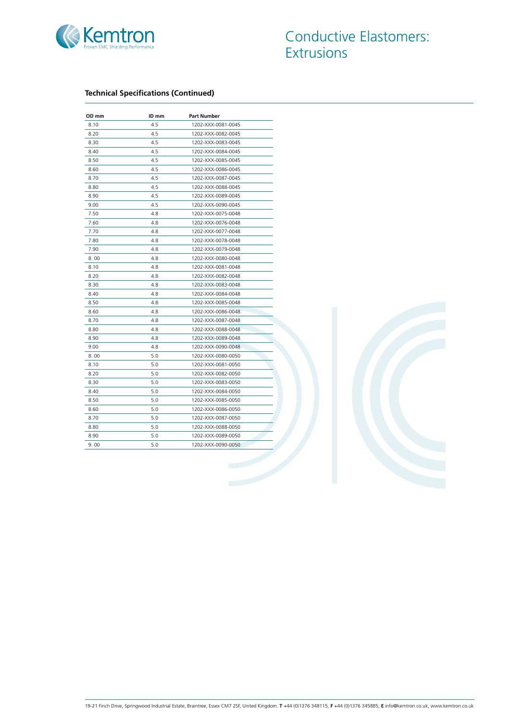

| OD mm | ID mm | <b>Part Number</b> |
|-------|-------|--------------------|
| 8.10  | 4.5   | 1202-XXX-0081-0045 |
| 8.20  | 4.5   | 1202-XXX-0082-0045 |
| 8.30  | 4.5   | 1202-XXX-0083-0045 |
| 8.40  | 4.5   | 1202-XXX-0084-0045 |
| 8.50  | 4.5   | 1202-XXX-0085-0045 |
| 8.60  | 4.5   | 1202-XXX-0086-0045 |
| 8.70  | 4.5   | 1202-XXX-0087-0045 |
| 8.80  | 4.5   | 1202-XXX-0088-0045 |
| 8.90  | 4.5   | 1202-XXX-0089-0045 |
| 9.00  | 4.5   | 1202-XXX-0090-0045 |
| 7.50  | 4.8   | 1202-XXX-0075-0048 |
| 7.60  | 4.8   | 1202-XXX-0076-0048 |
| 7.70  | 4.8   | 1202-XXX-0077-0048 |
| 7.80  | 4.8   | 1202-XXX-0078-0048 |
| 7.90  | 4.8   | 1202-XXX-0079-0048 |
| 8.00  | 4.8   | 1202-XXX-0080-0048 |
| 8.10  | 4.8   | 1202-XXX-0081-0048 |
| 8.20  | 4.8   | 1202-XXX-0082-0048 |
| 8.30  | 4.8   | 1202-XXX-0083-0048 |
| 8.40  | 4.8   | 1202-XXX-0084-0048 |
| 8.50  | 4.8   | 1202-XXX-0085-0048 |
| 8.60  | 4.8   | 1202-XXX-0086-0048 |
| 8.70  | 4.8   | 1202-XXX-0087-0048 |
| 8.80  | 4.8   | 1202-XXX-0088-0048 |
| 8.90  | 4.8   | 1202-XXX-0089-0048 |
| 9.00  | 4.8   | 1202-XXX-0090-0048 |
| 8.00  | 5.0   | 1202-XXX-0080-0050 |
| 8.10  | 5.0   | 1202-XXX-0081-0050 |
| 8.20  | 5.0   | 1202-XXX-0082-0050 |
| 8.30  | 5.0   | 1202-XXX-0083-0050 |
| 8.40  | 5.0   | 1202-XXX-0084-0050 |
| 8.50  | 5.0   | 1202-XXX-0085-0050 |
| 8.60  | 5.0   | 1202-XXX-0086-0050 |
| 8.70  | 5.0   | 1202-XXX-0087-0050 |
| 8.80  | 5.0   | 1202-XXX-0088-0050 |
| 8.90  | 5.0   | 1202-XXX-0089-0050 |
| 9.00  | 5.0   | 1202-XXX-0090-0050 |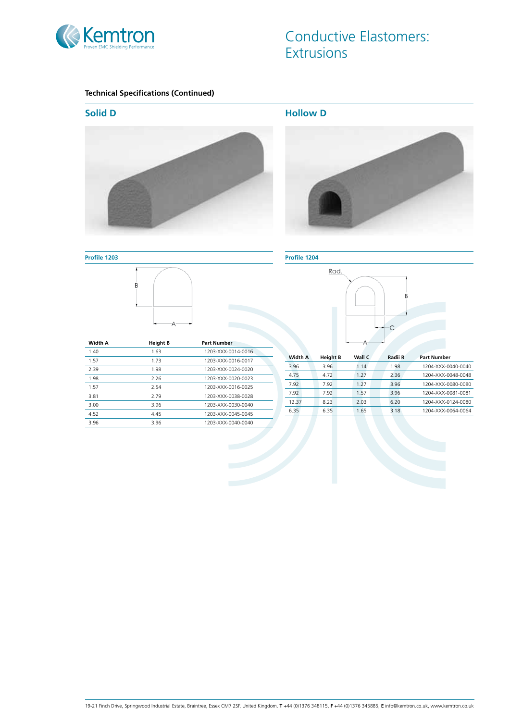

**Profile 1203**

 $\overline{B}$ 

# Conductive Elastomers: **Extrusions**

# **Technical Specifications (Continued)**



**Hollow D**



**Profile 1204**



| Width A | <b>Height B</b> | <b>Part Number</b> |
|---------|-----------------|--------------------|
| 1.40    | 1.63            | 1203-XXX-0014-0016 |
| 1.57    | 1.73            | 1203-XXX-0016-0017 |
| 2.39    | 1.98            | 1203-XXX-0024-0020 |
| 1.98    | 2.26            | 1203-XXX-0020-0023 |
| 1.57    | 2.54            | 1203-XXX-0016-0025 |
| 3.81    | 2.79            | 1203-XXX-0038-0028 |
| 3.00    | 3.96            | 1203-XXX-0030-0040 |
| 4.52    | 4.45            | 1203-XXX-0045-0045 |
| 3.96    | 3.96            | 1203-XXX-0040-0040 |

| <b>Width A</b> | <b>Height B</b> | Wall C | Radii R | <b>Part Number</b> |
|----------------|-----------------|--------|---------|--------------------|
| 3.96           | 3.96            | 1.14   | 1.98    | 1204-XXX-0040-0040 |
| 4.75           | 4.72            | 1.27   | 2.36    | 1204-XXX-0048-0048 |
| 7.92           | 7.92            | 1 2 7  | 3.96    | 1204-XXX-0080-0080 |
| 7.92           | 7.92            | 157    | 3.96    | 1204-XXX-0081-0081 |
| 12.37          | 8.23            | 2.03   | 6.20    | 1204-XXX-0124-0080 |
| 6.35           | 6.35            | 1.65   | 3.18    | 1204-XXX-0064-0064 |
|                |                 |        |         |                    |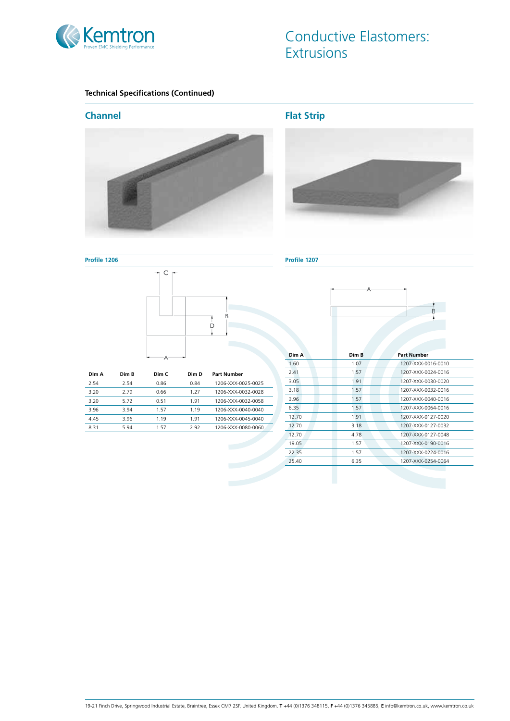

# Conductive Elastomers: **Extrusions**

# **Technical Specifications (Continued)**

# **Channel**



**Flat Strip**



**Profile 1206**



| Dim A | Dim B | Dim C | Dim D | Part Number        |
|-------|-------|-------|-------|--------------------|
| 2.54  | 2.54  | 0.86  | 0.84  | 1206-XXX-0025-0025 |
| 3.20  | 2.79  | 0.66  | 1 27  | 1206-XXX-0032-0028 |
| 3.20  | 5.72  | 0.51  | 1.91  | 1206-XXX-0032-0058 |
| 3.96  | 3.94  | 157   | 1 1 9 | 1206-XXX-0040-0040 |
| 4.45  | 3.96  | 1.19  | 1.91  | 1206-XXX-0045-0040 |
| 8.31  | 5.94  | 157   | 2.92  | 1206-XXX-0080-0060 |

#### **Profile 1207**



| Dim A | Dim R | <b>Part Number</b> |
|-------|-------|--------------------|
| 1.60  | 1.07  | 1207-XXX-0016-0010 |
| 7.41  | 1.57  | 1207-XXX-0024-0016 |
| 3.05  | 1.91  | 1207-XXX-0030-0020 |
| 3.18  | 1.57  | 1207-XXX-0032-0016 |
| 3.96  | 1.57  | 1207-XXX-0040-0016 |
| 6.35  | 1.57  | 1207-XXX-0064-0016 |
| 12.70 | 1.91  | 1207-XXX-0127-0020 |
| 12.70 | 3.18  | 1207-XXX-0127-0032 |
| 12.70 | 4.78  | 1207-XXX-0127-0048 |
| 19.05 | 1.57  | 1207-XXX-0190-0016 |
| 22.35 | 1.57  | 1207-XXX-0224-0016 |
| 25.40 | 6.35  | 1207-XXX-0254-0064 |
|       |       |                    |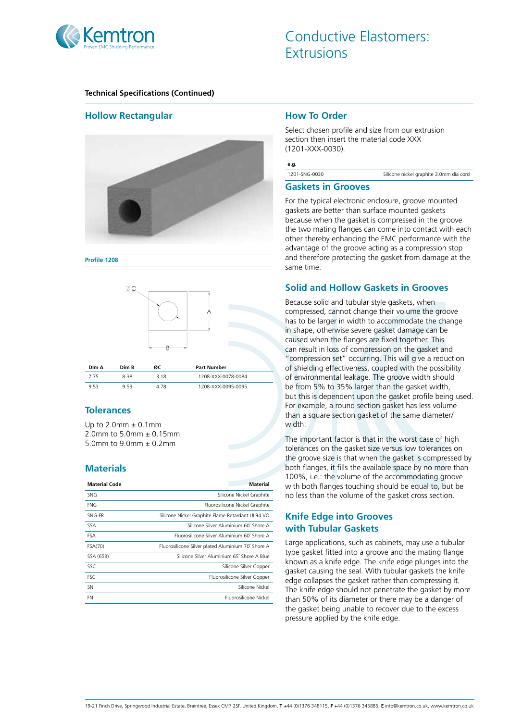

# **Hollow Rectangular**



**Profile 1208**



#### **Tolerances**

Up to  $2.0$ mm  $\pm$  0.1mm 2.0mm to 5.0mm ± 0.15mm 5.0mm to  $9.0$ mm  $\pm$  0.2mm

# **Materials**

| <b>SNG</b><br>Silicone Nickel Graphite                        |
|---------------------------------------------------------------|
|                                                               |
| <b>FNG</b><br>Fluorosilicone Nickel Graphite                  |
| SNG-FR<br>Silicone Nickel Graphite Flame Retardant UL94 VO    |
| Silicone Silver Aluminium 60° Shore A<br><b>SSA</b>           |
| Fluorosilicone Silver Aluminium 60° Shore A<br><b>FSA</b>     |
| FSA(70)<br>Fluorosilicone Silver plated Aluminium 70° Shore A |
| Silicone Silver Aluminium 65° Shore A Blue<br>SSA (65B)       |
| SSC<br>Silicone Silver Copper                                 |
| <b>FSC</b><br>Fluorosilicone Silver Copper                    |
| Silicone Nickel<br><b>SN</b>                                  |
| Eluorosilicone Nickel<br>FN                                   |

#### **How To Order**

Select chosen profile and size from our extrusion section then insert the material code XXX (1201-XXX-0030).

**e.g.**

1201-SNG-0030 Silicone nickel graphite 3.0mm dia cord

#### **Gaskets in Grooves**

For the typical electronic enclosure, groove mounted gaskets are better than surface mounted gaskets because when the gasket is compressed in the groove the two mating flanges can come into contact with each other thereby enhancing the EMC performance with the advantage of the groove acting as a compression stop and therefore protecting the gasket from damage at the same time.

# **Solid and Hollow Gaskets in Grooves**

Because solid and tubular style gaskets, when compressed, cannot change their volume the groove has to be larger in width to accommodate the change in shape, otherwise severe gasket damage can be caused when the flanges are fixed together. This can result in loss of compression on the gasket and "compression set" occurring. This will give a reduction of shielding effectiveness, coupled with the possibility of environmental leakage. The groove width should be from 5% to 35% larger than the gasket width, but this is dependent upon the gasket profile being used. For example, a round section gasket has less volume than a square section gasket of the same diameter/ width.

The important factor is that in the worst case of high tolerances on the gasket size versus low tolerances on the groove size is that when the gasket is compressed by both flanges, it fills the available space by no more than 100%, i.e.: the volume of the accommodating groove with both flanges touching should be equal to, but be no less than the volume of the gasket cross section.

# **Knife Edge into Grooves with Tubular Gaskets**

Large applications, such as cabinets, may use a tubular type gasket fitted into a groove and the mating flange known as a knife edge. The knife edge plunges into the gasket causing the seal. With tubular gaskets the knife edge collapses the gasket rather than compressing it. The knife edge should not penetrate the gasket by more than 50% of its diameter or there may be a danger of the gasket being unable to recover due to the excess pressure applied by the knife edge.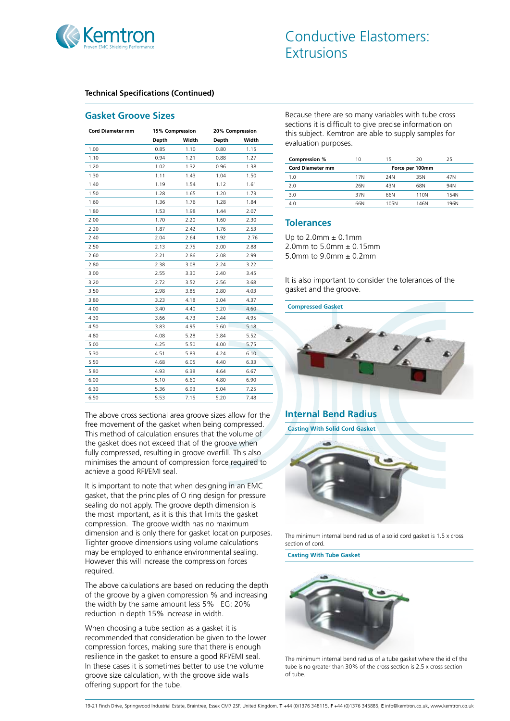

#### **Gasket Groove Sizes**

| Width<br>Width<br>Depth<br>Depth<br>1.00<br>1.10<br>1.15<br>0.85<br>0.80<br>1.10<br>0.94<br>1.21<br>0.88<br>1.27<br>1.20<br>1.02<br>1.32<br>0.96<br>1.38<br>1.30<br>1.11<br>1.43<br>1.04<br>1.50<br>1.19<br>1.40<br>1.54<br>1.12<br>1.61<br>1.50<br>1.28<br>1.65<br>1.20<br>1.73<br>1.36<br>1.76<br>1.28<br>1.60<br>1.84<br>1.53<br>1.98<br>1.44<br>1.80<br>2.07<br>2.00<br>1.70<br>2.20<br>1.60<br>2.30<br>2.20<br>1.87<br>2.42<br>1.76<br>2.53<br>2.40<br>2.04<br>2.64<br>1.92<br>2.76<br>2.50<br>2.13<br>2.75<br>2.00<br>2.88<br>2.21<br>2.60<br>2.86<br>2.08<br>2.99<br>2.80<br>2.38<br>3.08<br>2.24<br>3.22<br>2.55<br>3.00<br>3.30<br>3.45<br>2.40<br>2.72<br>2.56<br>3.20<br>3.52<br>3.68<br>3.50<br>2.98<br>3.85<br>2.80<br>4.03<br>3.80<br>3.23<br>4.18<br>3.04<br>4.37<br>4.00<br>3.40<br>4.40<br>3.20<br>4.60<br>3.66<br>4.30<br>4.73<br>3.44<br>4.95<br>4.50<br>3.83<br>4.95<br>3.60<br>5.18<br>4.80<br>4.08<br>5.28<br>3.84<br>5.52<br>5.00<br>4.25<br>5.50<br>5.75<br>4.00<br>5.30<br>4.51<br>5.83<br>4.24<br>6.10<br>5.50<br>4.68<br>6.05<br>4.40<br>6.33<br>5.80<br>4.93<br>6.38<br>6.67<br>4.64<br>6.00<br>5.10<br>6.60<br>4.80<br>6.90<br>6.30<br>6.93<br>5.36<br>5.04<br>7.25 | <b>Cord Diameter mm</b> | 15% Compression |      | 20% Compression |      |
|--------------------------------------------------------------------------------------------------------------------------------------------------------------------------------------------------------------------------------------------------------------------------------------------------------------------------------------------------------------------------------------------------------------------------------------------------------------------------------------------------------------------------------------------------------------------------------------------------------------------------------------------------------------------------------------------------------------------------------------------------------------------------------------------------------------------------------------------------------------------------------------------------------------------------------------------------------------------------------------------------------------------------------------------------------------------------------------------------------------------------------------------------------------------------------------------------|-------------------------|-----------------|------|-----------------|------|
|                                                                                                                                                                                                                                                                                                                                                                                                                                                                                                                                                                                                                                                                                                                                                                                                                                                                                                                                                                                                                                                                                                                                                                                                  |                         |                 |      |                 |      |
|                                                                                                                                                                                                                                                                                                                                                                                                                                                                                                                                                                                                                                                                                                                                                                                                                                                                                                                                                                                                                                                                                                                                                                                                  |                         |                 |      |                 |      |
|                                                                                                                                                                                                                                                                                                                                                                                                                                                                                                                                                                                                                                                                                                                                                                                                                                                                                                                                                                                                                                                                                                                                                                                                  |                         |                 |      |                 |      |
|                                                                                                                                                                                                                                                                                                                                                                                                                                                                                                                                                                                                                                                                                                                                                                                                                                                                                                                                                                                                                                                                                                                                                                                                  |                         |                 |      |                 |      |
|                                                                                                                                                                                                                                                                                                                                                                                                                                                                                                                                                                                                                                                                                                                                                                                                                                                                                                                                                                                                                                                                                                                                                                                                  |                         |                 |      |                 |      |
|                                                                                                                                                                                                                                                                                                                                                                                                                                                                                                                                                                                                                                                                                                                                                                                                                                                                                                                                                                                                                                                                                                                                                                                                  |                         |                 |      |                 |      |
|                                                                                                                                                                                                                                                                                                                                                                                                                                                                                                                                                                                                                                                                                                                                                                                                                                                                                                                                                                                                                                                                                                                                                                                                  |                         |                 |      |                 |      |
|                                                                                                                                                                                                                                                                                                                                                                                                                                                                                                                                                                                                                                                                                                                                                                                                                                                                                                                                                                                                                                                                                                                                                                                                  |                         |                 |      |                 |      |
|                                                                                                                                                                                                                                                                                                                                                                                                                                                                                                                                                                                                                                                                                                                                                                                                                                                                                                                                                                                                                                                                                                                                                                                                  |                         |                 |      |                 |      |
|                                                                                                                                                                                                                                                                                                                                                                                                                                                                                                                                                                                                                                                                                                                                                                                                                                                                                                                                                                                                                                                                                                                                                                                                  |                         |                 |      |                 |      |
|                                                                                                                                                                                                                                                                                                                                                                                                                                                                                                                                                                                                                                                                                                                                                                                                                                                                                                                                                                                                                                                                                                                                                                                                  |                         |                 |      |                 |      |
|                                                                                                                                                                                                                                                                                                                                                                                                                                                                                                                                                                                                                                                                                                                                                                                                                                                                                                                                                                                                                                                                                                                                                                                                  |                         |                 |      |                 |      |
|                                                                                                                                                                                                                                                                                                                                                                                                                                                                                                                                                                                                                                                                                                                                                                                                                                                                                                                                                                                                                                                                                                                                                                                                  |                         |                 |      |                 |      |
|                                                                                                                                                                                                                                                                                                                                                                                                                                                                                                                                                                                                                                                                                                                                                                                                                                                                                                                                                                                                                                                                                                                                                                                                  |                         |                 |      |                 |      |
|                                                                                                                                                                                                                                                                                                                                                                                                                                                                                                                                                                                                                                                                                                                                                                                                                                                                                                                                                                                                                                                                                                                                                                                                  |                         |                 |      |                 |      |
|                                                                                                                                                                                                                                                                                                                                                                                                                                                                                                                                                                                                                                                                                                                                                                                                                                                                                                                                                                                                                                                                                                                                                                                                  |                         |                 |      |                 |      |
|                                                                                                                                                                                                                                                                                                                                                                                                                                                                                                                                                                                                                                                                                                                                                                                                                                                                                                                                                                                                                                                                                                                                                                                                  |                         |                 |      |                 |      |
|                                                                                                                                                                                                                                                                                                                                                                                                                                                                                                                                                                                                                                                                                                                                                                                                                                                                                                                                                                                                                                                                                                                                                                                                  |                         |                 |      |                 |      |
|                                                                                                                                                                                                                                                                                                                                                                                                                                                                                                                                                                                                                                                                                                                                                                                                                                                                                                                                                                                                                                                                                                                                                                                                  |                         |                 |      |                 |      |
|                                                                                                                                                                                                                                                                                                                                                                                                                                                                                                                                                                                                                                                                                                                                                                                                                                                                                                                                                                                                                                                                                                                                                                                                  |                         |                 |      |                 |      |
|                                                                                                                                                                                                                                                                                                                                                                                                                                                                                                                                                                                                                                                                                                                                                                                                                                                                                                                                                                                                                                                                                                                                                                                                  |                         |                 |      |                 |      |
|                                                                                                                                                                                                                                                                                                                                                                                                                                                                                                                                                                                                                                                                                                                                                                                                                                                                                                                                                                                                                                                                                                                                                                                                  |                         |                 |      |                 |      |
|                                                                                                                                                                                                                                                                                                                                                                                                                                                                                                                                                                                                                                                                                                                                                                                                                                                                                                                                                                                                                                                                                                                                                                                                  |                         |                 |      |                 |      |
|                                                                                                                                                                                                                                                                                                                                                                                                                                                                                                                                                                                                                                                                                                                                                                                                                                                                                                                                                                                                                                                                                                                                                                                                  |                         |                 |      |                 |      |
|                                                                                                                                                                                                                                                                                                                                                                                                                                                                                                                                                                                                                                                                                                                                                                                                                                                                                                                                                                                                                                                                                                                                                                                                  |                         |                 |      |                 |      |
|                                                                                                                                                                                                                                                                                                                                                                                                                                                                                                                                                                                                                                                                                                                                                                                                                                                                                                                                                                                                                                                                                                                                                                                                  |                         |                 |      |                 |      |
|                                                                                                                                                                                                                                                                                                                                                                                                                                                                                                                                                                                                                                                                                                                                                                                                                                                                                                                                                                                                                                                                                                                                                                                                  |                         |                 |      |                 |      |
|                                                                                                                                                                                                                                                                                                                                                                                                                                                                                                                                                                                                                                                                                                                                                                                                                                                                                                                                                                                                                                                                                                                                                                                                  |                         |                 |      |                 |      |
|                                                                                                                                                                                                                                                                                                                                                                                                                                                                                                                                                                                                                                                                                                                                                                                                                                                                                                                                                                                                                                                                                                                                                                                                  |                         |                 |      |                 |      |
|                                                                                                                                                                                                                                                                                                                                                                                                                                                                                                                                                                                                                                                                                                                                                                                                                                                                                                                                                                                                                                                                                                                                                                                                  | 6.50                    | 5.53            | 7.15 | 5.20            | 7.48 |

The above cross sectional area groove sizes allow for the free movement of the gasket when being compressed. This method of calculation ensures that the volume of the gasket does not exceed that of the groove when fully compressed, resulting in groove overfill. This also minimises the amount of compression force required to achieve a good RFI/EMI seal.

It is important to note that when designing in an EMC gasket, that the principles of O ring design for pressure sealing do not apply. The groove depth dimension is the most important, as it is this that limits the gasket compression. The groove width has no maximum dimension and is only there for gasket location purposes. Tighter groove dimensions using volume calculations may be employed to enhance environmental sealing. However this will increase the compression forces required.

The above calculations are based on reducing the depth of the groove by a given compression % and increasing the width by the same amount less 5% EG: 20% reduction in depth 15% increase in width.

When choosing a tube section as a gasket it is recommended that consideration be given to the lower compression forces, making sure that there is enough resilience in the gasket to ensure a good RFI/EMI seal. In these cases it is sometimes better to use the volume groove size calculation, with the groove side walls offering support for the tube.

Because there are so many variables with tube cross sections it is difficult to give precise information on this subject. Kemtron are able to supply samples for evaluation purposes.

| Compression %           | 10  | 15   | 20              | 25   |
|-------------------------|-----|------|-----------------|------|
| <b>Cord Diameter mm</b> |     |      | Force per 100mm |      |
| 1.0                     | 17N | 24N  | 35N             | 47N  |
| 2.0                     | 26N | 43N  | 68N             | 94N  |
| 3.0                     | 37N | 66N  | 110N            | 154N |
| 4.0                     | 66N | 105N | 146N            | 196N |

## **Tolerances**

Up to  $2.0$ mm  $\pm 0.1$ mm 2.0mm to 5.0mm ± 0.15mm 5.0mm to 9.0mm ± 0.2mm

It is also important to consider the tolerances of the gasket and the groove.

**Compressed Gasket**



# **Internal Bend Radius**

**Casting With Solid Cord Gasket**



The minimum internal bend radius of a solid cord gasket is 1.5 x cross section of cord.

**Casting With Tube Gasket**



The minimum internal bend radius of a tube gasket where the id of the tube is no greater than 30% of the cross section is 2.5 x cross section of tube.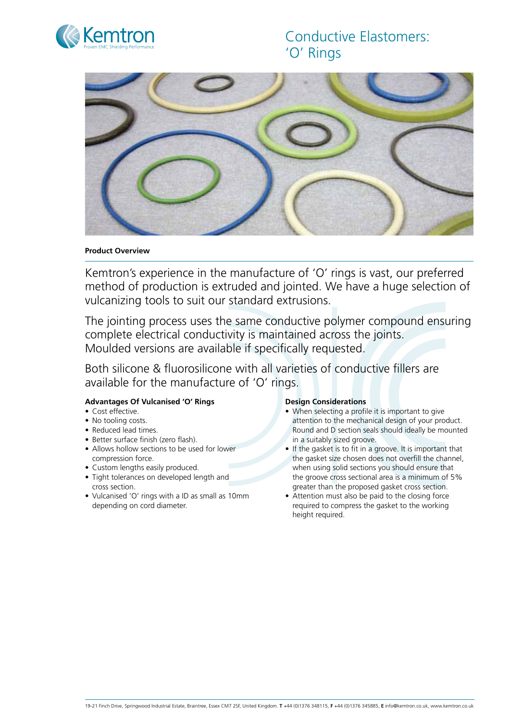



#### **Product Overview**

Kemtron's experience in the manufacture of 'O' rings is vast, our preferred method of production is extruded and jointed. We have a huge selection of vulcanizing tools to suit our standard extrusions.

The jointing process uses the same conductive polymer compound ensuring complete electrical conductivity is maintained across the joints. Moulded versions are available if specifically requested.

Both silicone & fluorosilicone with all varieties of conductive fillers are available for the manufacture of 'O' rings.

#### **Advantages Of Vulcanised 'O' Rings**

- Cost effective.
- No tooling costs.
- Reduced lead times.
- Better surface finish (zero flash).
- Allows hollow sections to be used for lower compression force.
- Custom lengths easily produced.
- Tight tolerances on developed length and cross section.
- • Vulcanised 'O' rings with a ID as small as 10mm depending on cord diameter.

#### **Design Considerations**

- When selecting a profile it is important to give attention to the mechanical design of your product. Round and D section seals should ideally be mounted in a suitably sized groove.
- If the gasket is to fit in a groove. It is important that the gasket size chosen does not overfill the channel, when using solid sections you should ensure that the groove cross sectional area is a minimum of 5% greater than the proposed gasket cross section.
- Attention must also be paid to the closing force required to compress the gasket to the working height required.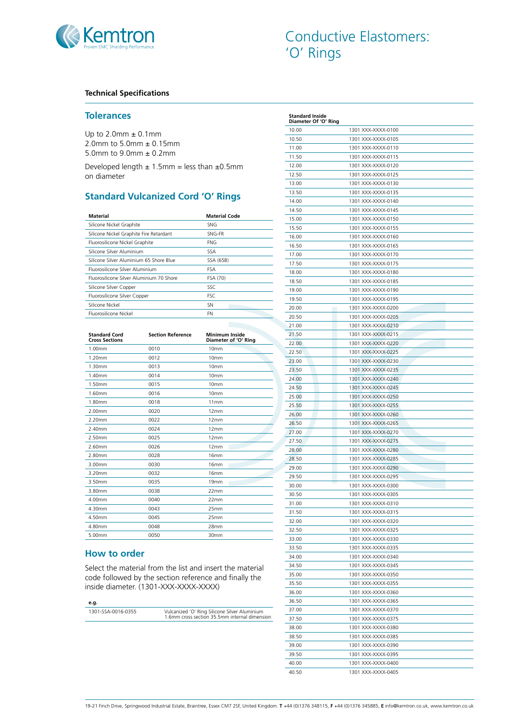

#### **Technical Specifications**

#### **Tolerances**

Up to  $2.0$ mm  $\pm$  0.1mm 2.0mm to 5.0mm ± 0.15mm 5.0mm to 9.0mm ± 0.2mm

Developed length  $\pm$  1.5mm = less than  $\pm$ 0.5mm on diameter

# **Standard Vulcanized Cord 'O' Rings**

| <b>Material</b>                          | <b>Material Code</b> |
|------------------------------------------|----------------------|
| Silicone Nickel Graphite                 | <b>SNG</b>           |
| Silicone Nickel Graphite Fire Retardant  | SNG-FR               |
| Fluorosilicone Nickel Graphite           | <b>FNG</b>           |
| Silicone Silver Aluminium                | SSA                  |
| Silicone Silver Aluminium 65 Shore Blue  | SSA (65B)            |
| Eluorosilicone Silver Aluminium          | <b>FSA</b>           |
| Eluorosilicone Silver Aluminium 70 Shore | FSA (70)             |
| Silicone Silver Copper                   | SSC                  |
| Fluorosilicone Silver Copper             | <b>FSC</b>           |
| Silicone Nickel                          | <b>SN</b>            |
| Eluorosilicone Nickel                    | FN                   |

| <b>Standard Cord</b><br><b>Cross Sections</b> | <b>Section Reference</b> | <b>Minimum Inside</b><br>Diameter of 'O' Ring |
|-----------------------------------------------|--------------------------|-----------------------------------------------|
| 1.00mm                                        | 0010                     | 10 <sub>mm</sub>                              |
| 1.20mm                                        | 0012                     | 10mm                                          |
| 1.30mm                                        | 0013                     | 10mm                                          |
| 1.40mm                                        | 0014                     | 10mm                                          |
| 1.50mm                                        | 0015                     | 10mm                                          |
| 1.60mm                                        | 0016                     | 10mm                                          |
| 1.80mm                                        | 0018                     | 11mm                                          |
| 2.00mm                                        | 0020                     | 12mm                                          |
| 2.20mm                                        | 0022                     | 12mm                                          |
| $2.40$ mm                                     | 0024                     | 12mm                                          |
| 2.50mm                                        | 0025                     | 12mm                                          |
| 2.60mm                                        | 0026                     | 12mm                                          |
| 2.80mm                                        | 0028                     | 16mm                                          |
| 3.00mm                                        | 0030                     | 16mm                                          |
| 3.20mm                                        | 0032                     | 16mm                                          |
| 3.50mm                                        | 0035                     | 19 <sub>mm</sub>                              |
| 3.80mm                                        | 0038                     | 22mm                                          |
| 4.00mm                                        | 0040                     | 22mm                                          |
| 4.30mm                                        | 0043                     | 25mm                                          |
| 4.50mm                                        | 0045                     | 25mm                                          |
| 4.80mm                                        | 0048                     | <b>28mm</b>                                   |
| 5.00mm                                        | 0050                     | 30mm                                          |
|                                               |                          |                                               |

# **How to order**

Select the material from the list and insert the material code followed by the section reference and finally the inside diameter. (1301-XXX-XXXX-XXXX)

#### **e.g.**

1301-SSA-0016-0355 Vulcanized 'O' Ring Silicone Silver Aluminium 1.6mm cross section 35.5mm internal dimension

| 10.50<br>1301 XXX-XXXX-0105<br>11.00<br>1301 XXX-XXXX-0110<br>11.50<br>1301 XXX-XXXX-0115<br>1301 XXX-XXXX-0120<br>12.00<br>12.50<br>1301 XXX-XXXX-0125<br>1301 XXX-XXXX-0130<br>13.00<br>13.50<br>1301 XXX-XXXX-0135<br>1301 XXX-XXXX-0140<br>14.00<br>1301 XXX-XXXX-0145<br>14.50<br>1301 XXX-XXXX-0150<br>15.00<br>1301 XXX-XXXX-0155<br>15.50<br>1301 XXX-XXXX-0160<br>16.00<br>16.50<br>1301 XXX-XXXX-0165<br>17.00<br>1301 XXX-XXXX-0170<br>17.50<br>1301 XXX-XXXX-0175<br>1301 XXX-XXXX-0180<br>18.00<br>18.50<br>1301 XXX-XXXX-0185<br>1301 XXX-XXXX-0190<br>19.00<br>19.50<br>1301 XXX-XXXX-0195<br>20.00<br>1301 XXX-XXXX-0200<br>1301 XXX-XXXX-0205<br>20.50<br>1301 XXX-XXXX-0210<br>21.00<br>1301 XXX-XXXX-0215<br>21.50<br>1301 XXX-XXXX-0220<br>22.00<br>22.50<br>1301 XXX-XXXX-0225<br>23.00<br>1301 XXX-XXXX-0230<br>23.50<br>1301 XXX-XXXX-0235<br>1301 XXX-XXXX-0240<br>24.00<br>24.50<br>1301 XXX-XXXX-0245<br>25.00<br>1301 XXX-XXXX-0250<br>25.50<br>1301 XXX-XXXX-0255<br>1301 XXX-XXXX-0260<br>26.00<br>1301 XXX-XXXX-0265<br>26.50<br>27.00<br>1301 XXX-XXXX-0270<br>27.50<br>1301 XXX-XXXX-0275<br>1301 XXX-XXXX-0280<br>28.00<br>1301 XXX-XXXX-0285<br>28.50<br>29.00<br>1301 XXX-XXXX-0290<br>29.50<br>1301 XXX-XXXX-0295<br>30.00<br>1301 XXX-XXXX-0300<br>30.50<br>1301 XXX-XXXX-0305<br>31.00<br>1301 XXX-XXXX-0310<br>1301 XXX-XXXX-0315<br>31.50<br>1301 XXX-XXXX-0320<br>32.00<br>32.50<br>1301 XXX-XXXX-0325<br>33.00<br>1301 XXX-XXXX-0330<br>1301 XXX-XXXX-0335<br>33.50<br>1301 XXX-XXXX-0340<br>34.00<br>34.50<br>1301 XXX-XXXX-0345<br>1301 XXX-XXXX-0350<br>35.00<br>35.50<br>1301 XXX-XXXX-0355<br>36.00<br>1301 XXX-XXXX-0360<br>1301 XXX-XXXX-0365<br>36.50<br>1301 XXX-XXXX-0370<br>37.00<br>1301 XXX-XXXX-0375<br>37.50<br>1301 XXX-XXXX-0380<br>38.00<br>1301 XXX-XXXX-0385<br>38.50<br>39.00<br>1301 XXX-XXXX-0390<br>1301 XXX-XXXX-0395<br>39.50 | 10.00 | 1301 XXX-XXXX-0100 |
|---------------------------------------------------------------------------------------------------------------------------------------------------------------------------------------------------------------------------------------------------------------------------------------------------------------------------------------------------------------------------------------------------------------------------------------------------------------------------------------------------------------------------------------------------------------------------------------------------------------------------------------------------------------------------------------------------------------------------------------------------------------------------------------------------------------------------------------------------------------------------------------------------------------------------------------------------------------------------------------------------------------------------------------------------------------------------------------------------------------------------------------------------------------------------------------------------------------------------------------------------------------------------------------------------------------------------------------------------------------------------------------------------------------------------------------------------------------------------------------------------------------------------------------------------------------------------------------------------------------------------------------------------------------------------------------------------------------------------------------------------------------------------------------------------------------------------------------------------------------------------------------------------|-------|--------------------|
|                                                                                                                                                                                                                                                                                                                                                                                                                                                                                                                                                                                                                                                                                                                                                                                                                                                                                                                                                                                                                                                                                                                                                                                                                                                                                                                                                                                                                                                                                                                                                                                                                                                                                                                                                                                                                                                                                                   |       |                    |
|                                                                                                                                                                                                                                                                                                                                                                                                                                                                                                                                                                                                                                                                                                                                                                                                                                                                                                                                                                                                                                                                                                                                                                                                                                                                                                                                                                                                                                                                                                                                                                                                                                                                                                                                                                                                                                                                                                   |       |                    |
|                                                                                                                                                                                                                                                                                                                                                                                                                                                                                                                                                                                                                                                                                                                                                                                                                                                                                                                                                                                                                                                                                                                                                                                                                                                                                                                                                                                                                                                                                                                                                                                                                                                                                                                                                                                                                                                                                                   |       |                    |
|                                                                                                                                                                                                                                                                                                                                                                                                                                                                                                                                                                                                                                                                                                                                                                                                                                                                                                                                                                                                                                                                                                                                                                                                                                                                                                                                                                                                                                                                                                                                                                                                                                                                                                                                                                                                                                                                                                   |       |                    |
|                                                                                                                                                                                                                                                                                                                                                                                                                                                                                                                                                                                                                                                                                                                                                                                                                                                                                                                                                                                                                                                                                                                                                                                                                                                                                                                                                                                                                                                                                                                                                                                                                                                                                                                                                                                                                                                                                                   |       |                    |
|                                                                                                                                                                                                                                                                                                                                                                                                                                                                                                                                                                                                                                                                                                                                                                                                                                                                                                                                                                                                                                                                                                                                                                                                                                                                                                                                                                                                                                                                                                                                                                                                                                                                                                                                                                                                                                                                                                   |       |                    |
|                                                                                                                                                                                                                                                                                                                                                                                                                                                                                                                                                                                                                                                                                                                                                                                                                                                                                                                                                                                                                                                                                                                                                                                                                                                                                                                                                                                                                                                                                                                                                                                                                                                                                                                                                                                                                                                                                                   |       |                    |
|                                                                                                                                                                                                                                                                                                                                                                                                                                                                                                                                                                                                                                                                                                                                                                                                                                                                                                                                                                                                                                                                                                                                                                                                                                                                                                                                                                                                                                                                                                                                                                                                                                                                                                                                                                                                                                                                                                   |       |                    |
|                                                                                                                                                                                                                                                                                                                                                                                                                                                                                                                                                                                                                                                                                                                                                                                                                                                                                                                                                                                                                                                                                                                                                                                                                                                                                                                                                                                                                                                                                                                                                                                                                                                                                                                                                                                                                                                                                                   |       |                    |
|                                                                                                                                                                                                                                                                                                                                                                                                                                                                                                                                                                                                                                                                                                                                                                                                                                                                                                                                                                                                                                                                                                                                                                                                                                                                                                                                                                                                                                                                                                                                                                                                                                                                                                                                                                                                                                                                                                   |       |                    |
|                                                                                                                                                                                                                                                                                                                                                                                                                                                                                                                                                                                                                                                                                                                                                                                                                                                                                                                                                                                                                                                                                                                                                                                                                                                                                                                                                                                                                                                                                                                                                                                                                                                                                                                                                                                                                                                                                                   |       |                    |
|                                                                                                                                                                                                                                                                                                                                                                                                                                                                                                                                                                                                                                                                                                                                                                                                                                                                                                                                                                                                                                                                                                                                                                                                                                                                                                                                                                                                                                                                                                                                                                                                                                                                                                                                                                                                                                                                                                   |       |                    |
|                                                                                                                                                                                                                                                                                                                                                                                                                                                                                                                                                                                                                                                                                                                                                                                                                                                                                                                                                                                                                                                                                                                                                                                                                                                                                                                                                                                                                                                                                                                                                                                                                                                                                                                                                                                                                                                                                                   |       |                    |
|                                                                                                                                                                                                                                                                                                                                                                                                                                                                                                                                                                                                                                                                                                                                                                                                                                                                                                                                                                                                                                                                                                                                                                                                                                                                                                                                                                                                                                                                                                                                                                                                                                                                                                                                                                                                                                                                                                   |       |                    |
|                                                                                                                                                                                                                                                                                                                                                                                                                                                                                                                                                                                                                                                                                                                                                                                                                                                                                                                                                                                                                                                                                                                                                                                                                                                                                                                                                                                                                                                                                                                                                                                                                                                                                                                                                                                                                                                                                                   |       |                    |
|                                                                                                                                                                                                                                                                                                                                                                                                                                                                                                                                                                                                                                                                                                                                                                                                                                                                                                                                                                                                                                                                                                                                                                                                                                                                                                                                                                                                                                                                                                                                                                                                                                                                                                                                                                                                                                                                                                   |       |                    |
|                                                                                                                                                                                                                                                                                                                                                                                                                                                                                                                                                                                                                                                                                                                                                                                                                                                                                                                                                                                                                                                                                                                                                                                                                                                                                                                                                                                                                                                                                                                                                                                                                                                                                                                                                                                                                                                                                                   |       |                    |
|                                                                                                                                                                                                                                                                                                                                                                                                                                                                                                                                                                                                                                                                                                                                                                                                                                                                                                                                                                                                                                                                                                                                                                                                                                                                                                                                                                                                                                                                                                                                                                                                                                                                                                                                                                                                                                                                                                   |       |                    |
|                                                                                                                                                                                                                                                                                                                                                                                                                                                                                                                                                                                                                                                                                                                                                                                                                                                                                                                                                                                                                                                                                                                                                                                                                                                                                                                                                                                                                                                                                                                                                                                                                                                                                                                                                                                                                                                                                                   |       |                    |
|                                                                                                                                                                                                                                                                                                                                                                                                                                                                                                                                                                                                                                                                                                                                                                                                                                                                                                                                                                                                                                                                                                                                                                                                                                                                                                                                                                                                                                                                                                                                                                                                                                                                                                                                                                                                                                                                                                   |       |                    |
|                                                                                                                                                                                                                                                                                                                                                                                                                                                                                                                                                                                                                                                                                                                                                                                                                                                                                                                                                                                                                                                                                                                                                                                                                                                                                                                                                                                                                                                                                                                                                                                                                                                                                                                                                                                                                                                                                                   |       |                    |
|                                                                                                                                                                                                                                                                                                                                                                                                                                                                                                                                                                                                                                                                                                                                                                                                                                                                                                                                                                                                                                                                                                                                                                                                                                                                                                                                                                                                                                                                                                                                                                                                                                                                                                                                                                                                                                                                                                   |       |                    |
|                                                                                                                                                                                                                                                                                                                                                                                                                                                                                                                                                                                                                                                                                                                                                                                                                                                                                                                                                                                                                                                                                                                                                                                                                                                                                                                                                                                                                                                                                                                                                                                                                                                                                                                                                                                                                                                                                                   |       |                    |
|                                                                                                                                                                                                                                                                                                                                                                                                                                                                                                                                                                                                                                                                                                                                                                                                                                                                                                                                                                                                                                                                                                                                                                                                                                                                                                                                                                                                                                                                                                                                                                                                                                                                                                                                                                                                                                                                                                   |       |                    |
|                                                                                                                                                                                                                                                                                                                                                                                                                                                                                                                                                                                                                                                                                                                                                                                                                                                                                                                                                                                                                                                                                                                                                                                                                                                                                                                                                                                                                                                                                                                                                                                                                                                                                                                                                                                                                                                                                                   |       |                    |
|                                                                                                                                                                                                                                                                                                                                                                                                                                                                                                                                                                                                                                                                                                                                                                                                                                                                                                                                                                                                                                                                                                                                                                                                                                                                                                                                                                                                                                                                                                                                                                                                                                                                                                                                                                                                                                                                                                   |       |                    |
|                                                                                                                                                                                                                                                                                                                                                                                                                                                                                                                                                                                                                                                                                                                                                                                                                                                                                                                                                                                                                                                                                                                                                                                                                                                                                                                                                                                                                                                                                                                                                                                                                                                                                                                                                                                                                                                                                                   |       |                    |
|                                                                                                                                                                                                                                                                                                                                                                                                                                                                                                                                                                                                                                                                                                                                                                                                                                                                                                                                                                                                                                                                                                                                                                                                                                                                                                                                                                                                                                                                                                                                                                                                                                                                                                                                                                                                                                                                                                   |       |                    |
|                                                                                                                                                                                                                                                                                                                                                                                                                                                                                                                                                                                                                                                                                                                                                                                                                                                                                                                                                                                                                                                                                                                                                                                                                                                                                                                                                                                                                                                                                                                                                                                                                                                                                                                                                                                                                                                                                                   |       |                    |
|                                                                                                                                                                                                                                                                                                                                                                                                                                                                                                                                                                                                                                                                                                                                                                                                                                                                                                                                                                                                                                                                                                                                                                                                                                                                                                                                                                                                                                                                                                                                                                                                                                                                                                                                                                                                                                                                                                   |       |                    |
|                                                                                                                                                                                                                                                                                                                                                                                                                                                                                                                                                                                                                                                                                                                                                                                                                                                                                                                                                                                                                                                                                                                                                                                                                                                                                                                                                                                                                                                                                                                                                                                                                                                                                                                                                                                                                                                                                                   |       |                    |
|                                                                                                                                                                                                                                                                                                                                                                                                                                                                                                                                                                                                                                                                                                                                                                                                                                                                                                                                                                                                                                                                                                                                                                                                                                                                                                                                                                                                                                                                                                                                                                                                                                                                                                                                                                                                                                                                                                   |       |                    |
|                                                                                                                                                                                                                                                                                                                                                                                                                                                                                                                                                                                                                                                                                                                                                                                                                                                                                                                                                                                                                                                                                                                                                                                                                                                                                                                                                                                                                                                                                                                                                                                                                                                                                                                                                                                                                                                                                                   |       |                    |
|                                                                                                                                                                                                                                                                                                                                                                                                                                                                                                                                                                                                                                                                                                                                                                                                                                                                                                                                                                                                                                                                                                                                                                                                                                                                                                                                                                                                                                                                                                                                                                                                                                                                                                                                                                                                                                                                                                   |       |                    |
|                                                                                                                                                                                                                                                                                                                                                                                                                                                                                                                                                                                                                                                                                                                                                                                                                                                                                                                                                                                                                                                                                                                                                                                                                                                                                                                                                                                                                                                                                                                                                                                                                                                                                                                                                                                                                                                                                                   |       |                    |
|                                                                                                                                                                                                                                                                                                                                                                                                                                                                                                                                                                                                                                                                                                                                                                                                                                                                                                                                                                                                                                                                                                                                                                                                                                                                                                                                                                                                                                                                                                                                                                                                                                                                                                                                                                                                                                                                                                   |       |                    |
|                                                                                                                                                                                                                                                                                                                                                                                                                                                                                                                                                                                                                                                                                                                                                                                                                                                                                                                                                                                                                                                                                                                                                                                                                                                                                                                                                                                                                                                                                                                                                                                                                                                                                                                                                                                                                                                                                                   |       |                    |
|                                                                                                                                                                                                                                                                                                                                                                                                                                                                                                                                                                                                                                                                                                                                                                                                                                                                                                                                                                                                                                                                                                                                                                                                                                                                                                                                                                                                                                                                                                                                                                                                                                                                                                                                                                                                                                                                                                   |       |                    |
|                                                                                                                                                                                                                                                                                                                                                                                                                                                                                                                                                                                                                                                                                                                                                                                                                                                                                                                                                                                                                                                                                                                                                                                                                                                                                                                                                                                                                                                                                                                                                                                                                                                                                                                                                                                                                                                                                                   |       |                    |
|                                                                                                                                                                                                                                                                                                                                                                                                                                                                                                                                                                                                                                                                                                                                                                                                                                                                                                                                                                                                                                                                                                                                                                                                                                                                                                                                                                                                                                                                                                                                                                                                                                                                                                                                                                                                                                                                                                   |       |                    |
|                                                                                                                                                                                                                                                                                                                                                                                                                                                                                                                                                                                                                                                                                                                                                                                                                                                                                                                                                                                                                                                                                                                                                                                                                                                                                                                                                                                                                                                                                                                                                                                                                                                                                                                                                                                                                                                                                                   |       |                    |
|                                                                                                                                                                                                                                                                                                                                                                                                                                                                                                                                                                                                                                                                                                                                                                                                                                                                                                                                                                                                                                                                                                                                                                                                                                                                                                                                                                                                                                                                                                                                                                                                                                                                                                                                                                                                                                                                                                   |       |                    |
|                                                                                                                                                                                                                                                                                                                                                                                                                                                                                                                                                                                                                                                                                                                                                                                                                                                                                                                                                                                                                                                                                                                                                                                                                                                                                                                                                                                                                                                                                                                                                                                                                                                                                                                                                                                                                                                                                                   |       |                    |
|                                                                                                                                                                                                                                                                                                                                                                                                                                                                                                                                                                                                                                                                                                                                                                                                                                                                                                                                                                                                                                                                                                                                                                                                                                                                                                                                                                                                                                                                                                                                                                                                                                                                                                                                                                                                                                                                                                   |       |                    |
|                                                                                                                                                                                                                                                                                                                                                                                                                                                                                                                                                                                                                                                                                                                                                                                                                                                                                                                                                                                                                                                                                                                                                                                                                                                                                                                                                                                                                                                                                                                                                                                                                                                                                                                                                                                                                                                                                                   |       |                    |
|                                                                                                                                                                                                                                                                                                                                                                                                                                                                                                                                                                                                                                                                                                                                                                                                                                                                                                                                                                                                                                                                                                                                                                                                                                                                                                                                                                                                                                                                                                                                                                                                                                                                                                                                                                                                                                                                                                   |       |                    |
|                                                                                                                                                                                                                                                                                                                                                                                                                                                                                                                                                                                                                                                                                                                                                                                                                                                                                                                                                                                                                                                                                                                                                                                                                                                                                                                                                                                                                                                                                                                                                                                                                                                                                                                                                                                                                                                                                                   |       |                    |
|                                                                                                                                                                                                                                                                                                                                                                                                                                                                                                                                                                                                                                                                                                                                                                                                                                                                                                                                                                                                                                                                                                                                                                                                                                                                                                                                                                                                                                                                                                                                                                                                                                                                                                                                                                                                                                                                                                   |       |                    |
|                                                                                                                                                                                                                                                                                                                                                                                                                                                                                                                                                                                                                                                                                                                                                                                                                                                                                                                                                                                                                                                                                                                                                                                                                                                                                                                                                                                                                                                                                                                                                                                                                                                                                                                                                                                                                                                                                                   |       |                    |
|                                                                                                                                                                                                                                                                                                                                                                                                                                                                                                                                                                                                                                                                                                                                                                                                                                                                                                                                                                                                                                                                                                                                                                                                                                                                                                                                                                                                                                                                                                                                                                                                                                                                                                                                                                                                                                                                                                   |       |                    |
|                                                                                                                                                                                                                                                                                                                                                                                                                                                                                                                                                                                                                                                                                                                                                                                                                                                                                                                                                                                                                                                                                                                                                                                                                                                                                                                                                                                                                                                                                                                                                                                                                                                                                                                                                                                                                                                                                                   |       |                    |
|                                                                                                                                                                                                                                                                                                                                                                                                                                                                                                                                                                                                                                                                                                                                                                                                                                                                                                                                                                                                                                                                                                                                                                                                                                                                                                                                                                                                                                                                                                                                                                                                                                                                                                                                                                                                                                                                                                   |       |                    |
|                                                                                                                                                                                                                                                                                                                                                                                                                                                                                                                                                                                                                                                                                                                                                                                                                                                                                                                                                                                                                                                                                                                                                                                                                                                                                                                                                                                                                                                                                                                                                                                                                                                                                                                                                                                                                                                                                                   |       |                    |
|                                                                                                                                                                                                                                                                                                                                                                                                                                                                                                                                                                                                                                                                                                                                                                                                                                                                                                                                                                                                                                                                                                                                                                                                                                                                                                                                                                                                                                                                                                                                                                                                                                                                                                                                                                                                                                                                                                   |       |                    |
|                                                                                                                                                                                                                                                                                                                                                                                                                                                                                                                                                                                                                                                                                                                                                                                                                                                                                                                                                                                                                                                                                                                                                                                                                                                                                                                                                                                                                                                                                                                                                                                                                                                                                                                                                                                                                                                                                                   |       |                    |
|                                                                                                                                                                                                                                                                                                                                                                                                                                                                                                                                                                                                                                                                                                                                                                                                                                                                                                                                                                                                                                                                                                                                                                                                                                                                                                                                                                                                                                                                                                                                                                                                                                                                                                                                                                                                                                                                                                   |       |                    |
|                                                                                                                                                                                                                                                                                                                                                                                                                                                                                                                                                                                                                                                                                                                                                                                                                                                                                                                                                                                                                                                                                                                                                                                                                                                                                                                                                                                                                                                                                                                                                                                                                                                                                                                                                                                                                                                                                                   |       |                    |
|                                                                                                                                                                                                                                                                                                                                                                                                                                                                                                                                                                                                                                                                                                                                                                                                                                                                                                                                                                                                                                                                                                                                                                                                                                                                                                                                                                                                                                                                                                                                                                                                                                                                                                                                                                                                                                                                                                   |       |                    |
|                                                                                                                                                                                                                                                                                                                                                                                                                                                                                                                                                                                                                                                                                                                                                                                                                                                                                                                                                                                                                                                                                                                                                                                                                                                                                                                                                                                                                                                                                                                                                                                                                                                                                                                                                                                                                                                                                                   |       |                    |
| 1301 XXX-XXXX-0400<br>40.00                                                                                                                                                                                                                                                                                                                                                                                                                                                                                                                                                                                                                                                                                                                                                                                                                                                                                                                                                                                                                                                                                                                                                                                                                                                                                                                                                                                                                                                                                                                                                                                                                                                                                                                                                                                                                                                                       |       |                    |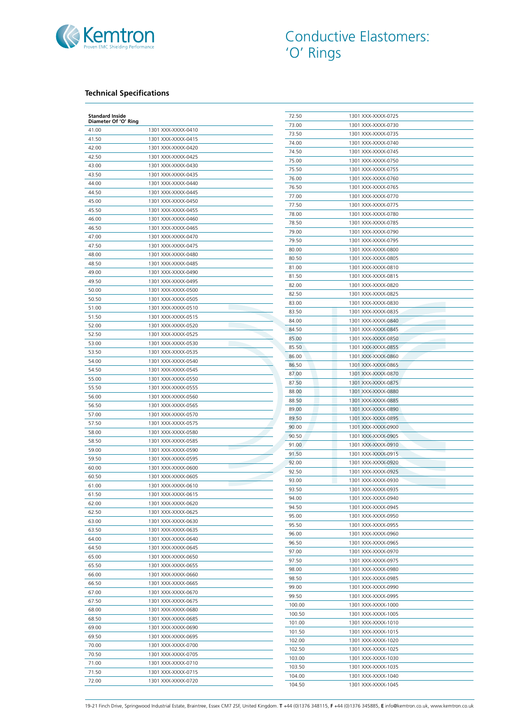

## **Technical Specifications**

| <b>Standard Inside</b><br>Diameter Of 'O' Ring |                                          | 72.50  | 1301 XXX-XXXX-0725 |
|------------------------------------------------|------------------------------------------|--------|--------------------|
| 41.00                                          | 1301 XXX-XXXX-0410                       | 73.00  | 1301 XXX-XXXX-0730 |
| 41.50                                          | 1301 XXX-XXXX-0415                       | 73.50  | 1301 XXX-XXXX-0735 |
|                                                | 1301 XXX-XXXX-0420                       | 74.00  | 1301 XXX-XXXX-0740 |
| 42.00<br>42.50                                 |                                          | 74.50  | 1301 XXX-XXXX-0745 |
| 43.00                                          | 1301 XXX-XXXX-0425                       | 75.00  | 1301 XXX-XXXX-0750 |
|                                                | 1301 XXX-XXXX-0430                       | 75.50  | 1301 XXX-XXXX-0755 |
| 43.50                                          | 1301 XXX-XXXX-0435                       | 76.00  | 1301 XXX-XXXX-0760 |
| 44.00                                          | 1301 XXX-XXXX-0440                       | 76.50  | 1301 XXX-XXXX-0765 |
| 44.50                                          | 1301 XXX-XXXX-0445                       | 77.00  | 1301 XXX-XXXX-0770 |
| 45.00                                          | 1301 XXX-XXXX-0450                       | 77.50  | 1301 XXX-XXXX-0775 |
| 45.50                                          | 1301 XXX-XXXX-0455                       | 78.00  | 1301 XXX-XXXX-0780 |
| 46.00                                          | 1301 XXX-XXXX-0460                       | 78.50  | 1301 XXX-XXXX-0785 |
| 46.50                                          | 1301 XXX-XXXX-0465                       | 79.00  | 1301 XXX-XXXX-0790 |
| 47.00                                          | 1301 XXX-XXXX-0470                       | 79.50  | 1301 XXX-XXXX-0795 |
| 47.50                                          | 1301 XXX-XXXX-0475                       | 80.00  | 1301 XXX-XXXX-0800 |
| 48.00                                          | 1301 XXX-XXXX-0480                       | 80.50  | 1301 XXX-XXXX-0805 |
| 48.50                                          | 1301 XXX-XXXX-0485                       | 81.00  | 1301 XXX-XXXX-0810 |
| 49.00                                          | 1301 XXX-XXXX-0490                       | 81.50  | 1301 XXX-XXXX-0815 |
| 49.50                                          | 1301 XXX-XXXX-0495                       | 82.00  | 1301 XXX-XXXX-0820 |
| 50.00                                          | 1301 XXX-XXXX-0500                       | 82.50  | 1301 XXX-XXXX-0825 |
| 50.50                                          | 1301 XXX-XXXX-0505                       |        |                    |
| 51.00                                          | 1301 XXX-XXXX-0510                       | 83.00  | 1301 XXX-XXXX-0830 |
| 51.50                                          | 1301 XXX-XXXX-0515                       | 83.50  | 1301 XXX-XXXX-0835 |
| 52.00                                          | 1301 XXX-XXXX-0520                       | 84.00  | 1301 XXX-XXXX-0840 |
| 52.50                                          | 1301 XXX-XXXX-0525                       | 84.50  | 1301 XXX-XXXX-0845 |
| 53.00                                          | 1301 XXX-XXXX-0530                       | 85.00  | 1301 XXX-XXXX-0850 |
| 53.50                                          | 1301 XXX-XXXX-0535                       | 85.50  | 1301 XXX-XXXX-0855 |
| 54.00                                          | 1301 XXX-XXXX-0540                       | 86.00  | 1301 XXX-XXXX-0860 |
| 54.50                                          | 1301 XXX-XXXX-0545                       | 86.50  | 1301 XXX-XXXX-0865 |
| 55.00                                          | 1301 XXX-XXXX-0550                       | 87.00  | 1301 XXX-XXXX-0870 |
| 55.50                                          | 1301 XXX-XXXX-0555                       | 87.50  | 1301 XXX-XXXX-0875 |
| 56.00                                          | 1301 XXX-XXXX-0560                       | 88.00  | 1301 XXX-XXXX-0880 |
| 56.50                                          | 1301 XXX-XXXX-0565                       | 88.50  | 1301 XXX-XXXX-0885 |
| 57.00                                          | 1301 XXX-XXXX-0570                       | 89.00  | 1301 XXX-XXXX-0890 |
| 57.50                                          | 1301 XXX-XXXX-0575                       | 89.50  | 1301 XXX-XXXX-0895 |
| 58.00                                          | 1301 XXX-XXXX-0580                       | 90.00  | 1301 XXX-XXXX-0900 |
| 58.50                                          | 1301 XXX-XXXX-0585                       | 90.50  | 1301 XXX-XXXX-0905 |
| 59.00                                          |                                          | 91.00  | 1301 XXX-XXXX-0910 |
|                                                | 1301 XXX-XXXX-0590                       | 91.50  | 1301 XXX-XXXX-0915 |
| 59.50                                          | 1301 XXX-XXXX-0595<br>1301 XXX-XXXX-0600 | 92.00  | 1301 XXX-XXXX-0920 |
| 60.00                                          |                                          | 92.50  | 1301 XXX-XXXX-0925 |
| 60.50                                          | 1301 XXX-XXXX-0605                       | 93.00  | 1301 XXX-XXXX-0930 |
| 61.00                                          | 1301 XXX-XXXX-0610                       | 93.50  | 1301 XXX-XXXX-0935 |
| 61.50                                          | 1301 XXX-XXXX-0615                       | 94.00  | 1301 XXX-XXXX-0940 |
| 62.00                                          | 1301 XXX-XXXX-0620                       | 94.50  | 1301 XXX-XXXX-0945 |
| 62.50                                          | 1301 XXX-XXXX-0625                       | 95.00  | 1301 XXX-XXXX-0950 |
| 63.00                                          | 1301 XXX-XXXX-0630                       | 95.50  | 1301 XXX-XXXX-0955 |
| 63.50                                          | 1301 XXX-XXXX-0635                       | 96.00  | 1301 XXX-XXXX-0960 |
| 64.00                                          | 1301 XXX-XXXX-0640                       | 96.50  | 1301 XXX-XXXX-0965 |
| 64.50                                          | 1301 XXX-XXXX-0645                       | 97.00  | 1301 XXX-XXXX-0970 |
| 65.00                                          | 1301 XXX-XXXX-0650                       | 97.50  | 1301 XXX-XXXX-0975 |
| 65.50                                          | 1301 XXX-XXXX-0655                       | 98.00  | 1301 XXX-XXXX-0980 |
| 66.00                                          | 1301 XXX-XXXX-0660                       | 98.50  | 1301 XXX-XXXX-0985 |
| 66.50                                          | 1301 XXX-XXXX-0665                       | 99.00  | 1301 XXX-XXXX-0990 |
| 67.00                                          | 1301 XXX-XXXX-0670                       | 99.50  | 1301 XXX-XXXX-0995 |
| 67.50                                          | 1301 XXX-XXXX-0675                       | 100.00 |                    |
| 68.00                                          | 1301 XXX-XXXX-0680                       |        | 1301 XXX-XXXX-1000 |
| 68.50                                          | 1301 XXX-XXXX-0685                       | 100.50 | 1301 XXX-XXXX-1005 |
| 69.00                                          | 1301 XXX-XXXX-0690                       | 101.00 | 1301 XXX-XXXX-1010 |
| 69.50                                          | 1301 XXX-XXXX-0695                       | 101.50 | 1301 XXX-XXXX-1015 |
| 70.00                                          | 1301 XXX-XXXX-0700                       | 102.00 | 1301 XXX-XXXX-1020 |
| 70.50                                          | 1301 XXX-XXXX-0705                       | 102.50 | 1301 XXX-XXXX-1025 |
| 71.00                                          | 1301 XXX-XXXX-0710                       | 103.00 | 1301 XXX-XXXX-1030 |
| 71.50                                          | 1301 XXX-XXXX-0715                       | 103.50 | 1301 XXX-XXXX-1035 |
|                                                | 1301 XXX-XXXX-0720                       | 104.00 | 1301 XXX-XXXX-1040 |
| 72.00                                          |                                          |        |                    |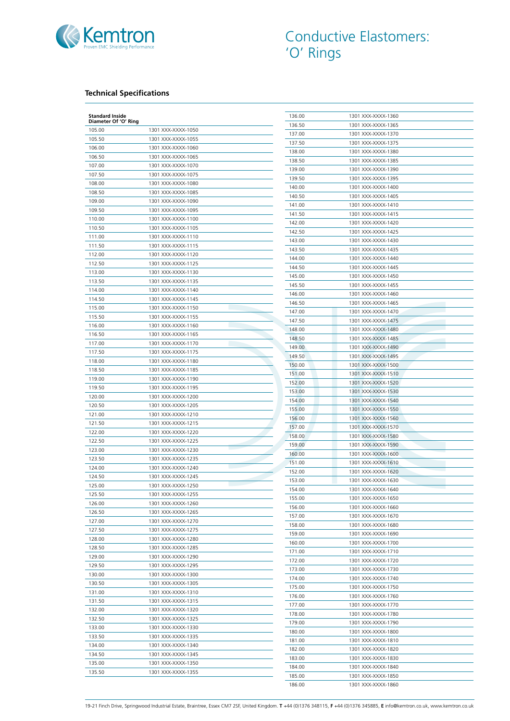

## **Technical Specifications**

| <b>Standard Inside</b><br>Diameter Of 'O' Ring |                    | 136.00           | 1301 XXX-XXXX-1360 |
|------------------------------------------------|--------------------|------------------|--------------------|
| 105.00                                         | 1301 XXX-XXXX-1050 | 136.50           | 1301 XXX-XXXX-1365 |
| 105.50                                         | 1301 XXX-XXXX-1055 | 137.00           | 1301 XXX-XXXX-1370 |
| 106.00                                         | 1301 XXX-XXXX-1060 | 137.50           | 1301 XXX-XXXX-1375 |
| 106.50                                         | 1301 XXX-XXXX-1065 | 138.00           | 1301 XXX-XXXX-1380 |
| 107.00                                         | 1301 XXX-XXXX-1070 | 138.50           | 1301 XXX-XXXX-1385 |
| 107.50                                         | 1301 XXX-XXXX-1075 | 139.00           | 1301 XXX-XXXX-1390 |
| 108.00                                         | 1301 XXX-XXXX-1080 | 139.50           | 1301 XXX-XXXX-1395 |
| 108.50                                         | 1301 XXX-XXXX-1085 | 140.00           | 1301 XXX-XXXX-1400 |
| 109.00                                         | 1301 XXX-XXXX-1090 | 140.50           | 1301 XXX-XXXX-1405 |
|                                                |                    | 141.00           | 1301 XXX-XXXX-1410 |
| 109.50                                         | 1301 XXX-XXXX-1095 | 141.50           | 1301 XXX-XXXX-1415 |
| 110.00                                         | 1301 XXX-XXXX-1100 | 142.00           | 1301 XXX-XXXX-1420 |
| 110.50                                         | 1301 XXX-XXXX-1105 | 142.50           | 1301 XXX-XXXX-1425 |
| 111.00                                         | 1301 XXX-XXXX-1110 | 143.00           | 1301 XXX-XXXX-1430 |
| 111.50                                         | 1301 XXX-XXXX-1115 | 143.50           | 1301 XXX-XXXX-1435 |
| 112.00                                         | 1301 XXX-XXXX-1120 | 144.00           | 1301 XXX-XXXX-1440 |
| 112.50                                         | 1301 XXX-XXXX-1125 | 144.50           | 1301 XXX-XXXX-1445 |
| 113.00                                         | 1301 XXX-XXXX-1130 | 145.00           | 1301 XXX-XXXX-1450 |
| 113.50                                         | 1301 XXX-XXXX-1135 | 145.50           | 1301 XXX-XXXX-1455 |
| 114.00                                         | 1301 XXX-XXXX-1140 | 146.00           | 1301 XXX-XXXX-1460 |
| 114.50                                         | 1301 XXX-XXXX-1145 | 146.50           | 1301 XXX-XXXX-1465 |
| 115.00                                         | 1301 XXX-XXXX-1150 | 147.00           | 1301 XXX-XXXX-1470 |
| 115.50                                         | 1301 XXX-XXXX-1155 | 147.50           | 1301 XXX-XXXX-1475 |
| 116.00                                         | 1301 XXX-XXXX-1160 | 148.00           | 1301 XXX-XXXX-1480 |
| 116.50                                         | 1301 XXX-XXXX-1165 | 148.50           | 1301 XXX-XXXX-1485 |
| 117.00                                         | 1301 XXX-XXXX-1170 | 149.00           | 1301 XXX-XXXX-1490 |
| 117.50                                         | 1301 XXX-XXXX-1175 | 149.50           | 1301 XXX-XXXX-1495 |
| 118.00                                         | 1301 XXX-XXXX-1180 | 150.00           | 1301 XXX-XXXX-1500 |
| 118.50                                         | 1301 XXX-XXXX-1185 | 151.00           | 1301 XXX-XXXX-1510 |
| 119.00                                         | 1301 XXX-XXXX-1190 | 152.00           | 1301 XXX-XXXX-1520 |
| 119.50                                         | 1301 XXX-XXXX-1195 | 153.00           | 1301 XXX-XXXX-1530 |
| 120.00                                         | 1301 XXX-XXXX-1200 | 154.00           | 1301 XXX-XXXX-1540 |
| 120.50                                         | 1301 XXX-XXXX-1205 | 155.00           | 1301 XXX-XXXX-1550 |
| 121.00                                         | 1301 XXX-XXXX-1210 | 156.00           | 1301 XXX-XXXX-1560 |
| 121.50                                         | 1301 XXX-XXXX-1215 | 157.00           | 1301 XXX-XXXX-1570 |
| 122.00                                         | 1301 XXX-XXXX-1220 | 158.00           | 1301 XXX-XXXX-1580 |
| 122.50                                         | 1301 XXX-XXXX-1225 | 159.00           | 1301 XXX-XXXX-1590 |
| 123.00                                         | 1301 XXX-XXXX-1230 | 160.00           | 1301 XXX-XXXX-1600 |
| 123.50                                         | 1301 XXX-XXXX-1235 |                  |                    |
| 124.00                                         | 1301 XXX-XXXX-1240 | 151.00<br>152.00 | 1301 XXX-XXXX-1610 |
| 124.50                                         | 1301 XXX-XXXX-1245 |                  | 1301 XXX-XXXX-1620 |
| 125.00                                         | 1301 XXX-XXXX-1250 | 153.00           | 1301 XXX-XXXX-1630 |
| 125.50                                         | 1301 XXX-XXXX-1255 | 154.00           | 1301 XXX-XXXX-1640 |
| 126.00                                         | 1301 XXX-XXXX-1260 | 155.00           | 1301 XXX-XXXX-1650 |
| 126.50                                         | 1301 XXX-XXXX-1265 | 156.00           | 1301 XXX-XXXX-1660 |
| 127.00                                         | 1301 XXX-XXXX-1270 | 157.00           | 1301 XXX-XXXX-1670 |
| 127.50                                         | 1301 XXX-XXXX-1275 | 158.00           | 1301 XXX-XXXX-1680 |
| 128.00                                         | 1301 XXX-XXXX-1280 | 159.00           | 1301 XXX-XXXX-1690 |
| 128.50                                         | 1301 XXX-XXXX-1285 | 160.00           | 1301 XXX-XXXX-1700 |
| 129.00                                         | 1301 XXX-XXXX-1290 | 171.00           | 1301 XXX-XXXX-1710 |
| 129.50                                         | 1301 XXX-XXXX-1295 | 172.00           | 1301 XXX-XXXX-1720 |
| 130.00                                         | 1301 XXX-XXXX-1300 | 173.00           | 1301 XXX-XXXX-1730 |
| 130.50                                         | 1301 XXX-XXXX-1305 | 174.00           | 1301 XXX-XXXX-1740 |
| 131.00                                         | 1301 XXX-XXXX-1310 | 175.00           | 1301 XXX-XXXX-1750 |
| 131.50                                         | 1301 XXX-XXXX-1315 | 176.00           | 1301 XXX-XXXX-1760 |
| 132.00                                         | 1301 XXX-XXXX-1320 | 177.00           | 1301 XXX-XXXX-1770 |
|                                                |                    | 178.00           | 1301 XXX-XXXX-1780 |
| 132.50                                         | 1301 XXX-XXXX-1325 | 179.00           | 1301 XXX-XXXX-1790 |
| 133.00                                         | 1301 XXX-XXXX-1330 | 180.00           | 1301 XXX-XXXX-1800 |
| 133.50                                         | 1301 XXX-XXXX-1335 | 181.00           | 1301 XXX-XXXX-1810 |
| 134.00                                         | 1301 XXX-XXXX-1340 | 182.00           | 1301 XXX-XXXX-1820 |
| 134.50                                         | 1301 XXX-XXXX-1345 | 183.00           | 1301 XXX-XXXX-1830 |
| 135.00                                         | 1301 XXX-XXXX-1350 | 184.00           | 1301 XXX-XXXX-1840 |
| 135.50                                         | 1301 XXX-XXXX-1355 | 185.00           | 1301 XXX-XXXX-1850 |
|                                                |                    | 186.00           | 1301 XXX-XXXX-1860 |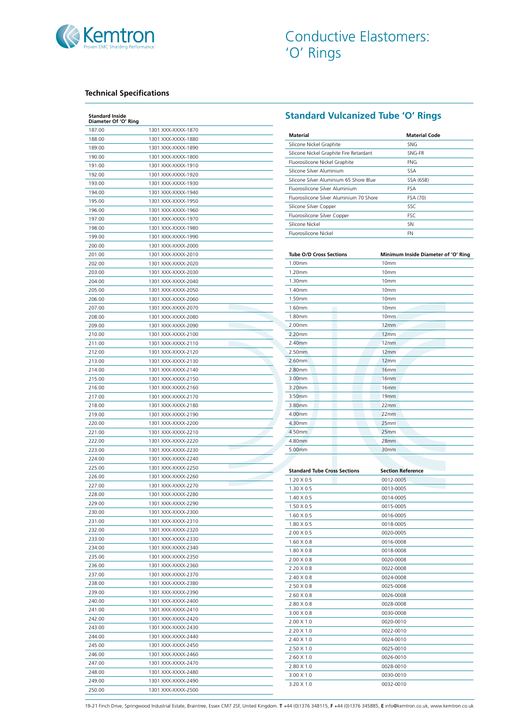

## **Technical Specifications**

| <b>Standard Inside</b><br>Diameter Of 'O' Ring |                    |
|------------------------------------------------|--------------------|
| 187.00                                         | 1301 XXX-XXXX-1870 |
| 188.00                                         | 1301 XXX-XXXX-1880 |
| 189.00                                         | 1301 XXX-XXXX-1890 |
| 190.00                                         | 1301 XXX-XXXX-1800 |
| 191.00                                         | 1301 XXX-XXXX-1910 |
| 192.00                                         | 1301 XXX-XXXX-1920 |
| 193.00                                         | 1301 XXX-XXXX-1930 |
| 194.00                                         | 1301 XXX-XXXX-1940 |
| 195.00                                         | 1301 XXX-XXXX-1950 |
| 196.00                                         | 1301 XXX-XXXX-1960 |
| 197.00                                         | 1301 XXX-XXXX-1970 |
| 198.00                                         | 1301 XXX-XXXX-1980 |
| 199.00                                         | 1301 XXX-XXXX-1990 |
| 200.00                                         | 1301 XXX-XXXX-2000 |
| 201.00                                         | 1301 XXX-XXXX-2010 |
| 202.00                                         | 1301 XXX-XXXX-2020 |
| 203.00                                         | 1301 XXX-XXXX-2030 |
| 204.00                                         | 1301 XXX-XXXX-2040 |
| 205.00                                         | 1301 XXX-XXXX-2050 |
| 206.00                                         | 1301 XXX-XXXX-2060 |
| 207.00                                         | 1301 XXX-XXXX-2070 |
|                                                |                    |
| 208.00                                         | 1301 XXX-XXXX-2080 |
| 209.00                                         | 1301 XXX-XXXX-2090 |
| 210.00                                         | 1301 XXX-XXXX-2100 |
| 211.00                                         | 1301 XXX-XXXX-2110 |
| 212.00                                         | 1301 XXX-XXXX-2120 |
| 213.00                                         | 1301 XXX-XXXX-2130 |
| 214.00                                         | 1301 XXX-XXXX-2140 |
| 215.00                                         | 1301 XXX-XXXX-2150 |
| 216.00                                         | 1301 XXX-XXXX-2160 |
| 217.00                                         | 1301 XXX-XXXX-2170 |
| 218.00                                         | 1301 XXX-XXXX-2180 |
| 219.00                                         | 1301 XXX-XXXX-2190 |
| 220.00                                         | 1301 XXX-XXXX-2200 |
| 221.00                                         | 1301 XXX-XXXX-2210 |
| 222.00                                         | 1301 XXX-XXXX-2220 |
| 223.00                                         | 1301 XXX-XXXX-2230 |
| 224.00                                         | 1301 XXX-XXXX-2240 |
| 225.00                                         | 1301 XXX-XXXX-2250 |
| 226.00                                         | 1301 XXX-XXXX-2260 |
| 227.00                                         | 1301 XXX-XXXX-2270 |
| 228.00                                         | 1301 XXX-XXXX-2280 |
| 229.00                                         | 1301 XXX-XXXX-2290 |
| 230.00                                         | 1301 XXX-XXXX-2300 |
| 231.00                                         | 1301 XXX-XXXX-2310 |
| 232.00                                         | 1301 XXX-XXXX-2320 |
| 233.00                                         | 1301 XXX-XXXX-2330 |
| 234.00                                         | 1301 XXX-XXXX-2340 |
| 235.00                                         | 1301 XXX-XXXX-2350 |
| 236.00                                         | 1301 XXX-XXXX-2360 |
| 237.00                                         | 1301 XXX-XXXX-2370 |
| 238.00                                         | 1301 XXX-XXXX-2380 |
| 239.00                                         | 1301 XXX-XXXX-2390 |
| 240.00                                         | 1301 XXX-XXXX-2400 |
| 241.00                                         | 1301 XXX-XXXX-2410 |
| 242.00                                         | 1301 XXX-XXXX-2420 |
| 243.00                                         | 1301 XXX-XXXX-2430 |
| 244.00                                         | 1301 XXX-XXXX-2440 |
| 245.00                                         | 1301 XXX-XXXX-2450 |
| 246.00                                         | 1301 XXX-XXXX-2460 |
| 247.00                                         | 1301 XXX-XXXX-2470 |
|                                                |                    |
| 248.00                                         | 1301 XXX-XXXX-2480 |
| 249.00                                         | 1301 XXX-XXXX-2490 |
| 250.00                                         | 1301 XXX-XXXX-2500 |

# **Standard Vulcanized Tube 'O' Rings**

| <b>Material</b>                          | Material Code |
|------------------------------------------|---------------|
| Silicone Nickel Graphite                 | <b>SNG</b>    |
| Silicone Nickel Graphite Fire Retardant  | SNG-FR        |
| Fluorosilicone Nickel Graphite           | FNG           |
| Silicone Silver Aluminium                | SSA           |
| Silicone Silver Aluminium 65 Shore Blue  | SSA (65B)     |
| Fluorosilicone Silver Aluminium          | FSA           |
| Eluorosilicone Silver Aluminium 70 Shore | FSA (70)      |
| Silicone Silver Copper                   | SSC           |
| Fluorosilicone Silver Copper             | <b>FSC</b>    |
| Silicone Nickel                          | SΝ            |
| Eluorosilicone Nickel                    | FN            |

| <b>Tube O/D Cross Sections</b> | Minimum Inside Diameter of 'O' Ring |
|--------------------------------|-------------------------------------|
| 1.00mm                         | 10mm                                |
| 1.20mm                         | 10mm                                |
| 1.30mm                         | 10mm                                |
| 1.40mm                         | 10mm                                |
| 1.50mm                         | 10mm                                |
| 1.60mm                         | 10mm                                |
| 1.80mm                         | 10mm                                |
| 2.00mm                         | 12mm                                |
| 2.20mm                         | 12mm                                |
| 2.40mm                         | 12mm                                |
| 2.50mm                         | 12mm                                |
| 2.60mm                         | 12mm                                |
| 2.80mm                         | 16 <sub>mm</sub>                    |
| 3.00mm                         | 16 <sub>mm</sub>                    |
| 3.20mm                         | 16mm                                |
| 3.50mm                         | 19mm                                |
| 3.80mm                         | 22mm                                |
| 4.00mm                         | 22mm                                |
| 4.30mm                         | 25mm                                |
| 4.50mm                         | 25mm                                |
| 4.80mm                         | 28mm                                |
| 5.00mm                         | 30mm                                |

| <b>Standard Tube Cross Sections</b> | <b>Section Reference</b> |  |
|-------------------------------------|--------------------------|--|
| $1.20 \times 0.5$                   | 0012-0005                |  |
| $1.30 \times 0.5$                   | 0013-0005                |  |
| $1.40 \times 0.5$                   | 0014-0005                |  |
| $1.50 \times 0.5$                   | 0015-0005                |  |
| $1.60 \times 0.5$                   | 0016-0005                |  |
| $1.80 \times 0.5$                   | 0018-0005                |  |
| $2.00 \times 0.5$                   | 0020-0005                |  |
| 1.60 X 0.8                          | 0016-0008                |  |
| 1.80 X 0.8                          | 0018-0008                |  |
| $2.00 \times 0.8$                   | 0020-0008                |  |
| 2.20 X 0.8                          | 0022-0008                |  |
| 2.40 X 0.8                          | 0024-0008                |  |
| 2.50 X 0.8                          | 0025-0008                |  |
| 2.60 X 0.8                          | 0026-0008                |  |
| 2.80 X 0.8                          | 0028-0008                |  |
| 3.00 X 0.8                          | 0030-0008                |  |
| $2.00 \times 1.0$                   | 0020-0010                |  |
| $2.20 \times 1.0$                   | 0022-0010                |  |
| $2.40 \times 1.0$                   | 0024-0010                |  |
| $2.50 \times 1.0$                   | 0025-0010                |  |
| $2.60 \times 1.0$                   | 0026-0010                |  |
| 2.80 X 1.0                          | 0028-0010                |  |
| $3.00 \times 1.0$                   | 0030-0010                |  |
| $3.20 \times 1.0$                   | 0032-0010                |  |
|                                     |                          |  |

19-21 Finch Drive, Springwood Industrial Estate, Braintree, Essex CM7 2SF, United Kingdom. **T** +44 (0)1376 348115, **F** +44 (0)1376 345885, **E** info@kemtron.co.uk, www.kemtron.co.uk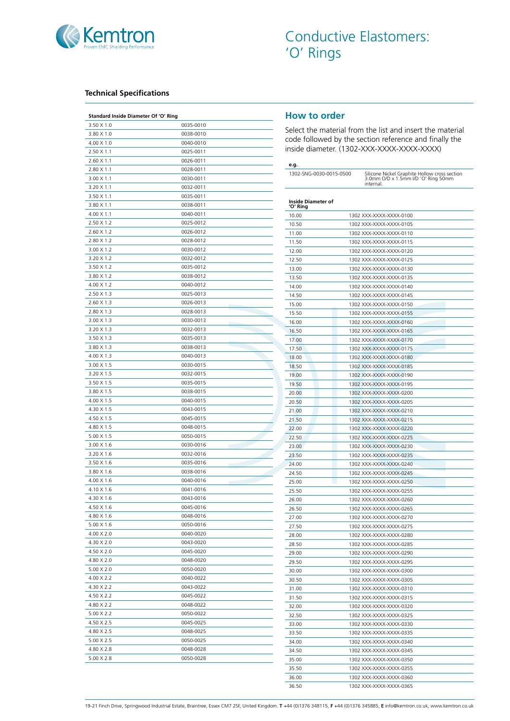

#### **Technical Specifications**

| 3.50 X 1.0<br>0035-0010<br>3.80 X 1.0<br>0038-0010<br>$4.00 \times 1.0$<br>0040-0010<br>2.50 X 1.1<br>0025-0011<br>$2.60 \times 1.1$<br>0026-0011<br>$2.80 \times 1.1$<br>0028-0011<br>$3.00 \times 1.1$<br>0030-0011<br>$3.20 \times 1.1$<br>0032-0011<br>$3.50 \times 1.1$<br>0035-0011<br>3.80 X 1.1<br>0038-0011<br>$4.00 \times 1.1$<br>0040-0011<br>2.50 X 1.2<br>0025-0012<br>2.60 X 1.2<br>0026-0012<br>2.80 X 1.2<br>0028-0012<br>3.00 X 1.2<br>0030-0012<br>3.20 X 1.2<br>0032-0012<br>$3.50 \times 1.2$<br>0035-0012<br>3.80 X 1.2<br>0038-0012<br>4.00 X 1.2<br>0040-0012<br>2.50 X 1.3<br>0025-0013<br>$2.60 \times 1.3$<br>0026-0013<br>2.80 X 1.3<br>0028-0013<br>$3.00 \times 1.3$<br>0030-0013<br>3.20 X 1.3<br>0032-0013<br>3.50 X 1.3<br>0035-0013<br>3.80 X 1.3<br>0038-0013<br>4.00 X 1.3<br>0040-0013<br>$3.00 \times 1.5$<br>0030-0015<br>3.20 X 1.5<br>0032-0015<br>3.50 X 1.5<br>0035-0015<br>3.80 X 1.5<br>0038-0015<br>4.00 X 1.5<br>0040-0015<br>4.30 X 1.5<br>0043-0015<br>4.50 X 1.5<br>0045-0015<br>4.80 X 1.5<br>0048-0015<br>5.00 X 1.5<br>0050-0015<br>3.00 X 1.6<br>0030-0016<br><b>Contract Contract</b><br>3.20 X 1.6<br>0032-0016<br>3.50 X 1.6<br>0035-0016<br>3.80 X 1.6<br>0038-0016<br>$4.00 \times 1.6$<br>0040-0016<br>4.10 X 1.6<br>0041-0016<br>4.30 X 1.6<br>0043-0016<br>4.50 X 1.6<br>0045-0016<br>4.80 X 1.6<br>0048-0016<br>5.00 X 1.6<br>0050-0016<br>4.00 X 2.0<br>0040-0020<br>4.30 X 2.0<br>0043-0020<br>4.50 X 2.0<br>0045-0020<br>4.80 X 2.0<br>0048-0020<br>$5.00 \times 2.0$<br>0050-0020<br>4.00 X 2.2<br>0040-0022<br>4.30 X 2.2<br>0043-0022<br>4.50 X 2.2<br>0045-0022<br>4.80 X 2.2<br>0048-0022<br>5.00 X 2.2<br>0050-0022<br>4.50 X 2.5<br>0045-0025<br>4.80 X 2.5<br>0048-0025<br>5.00 X 2.5<br>0050-0025<br>4.80 X 2.8<br>0048-0028<br>5.00 X 2.8<br>0050-0028 | Standard Inside Diameter Of 'O' Ring |  |
|------------------------------------------------------------------------------------------------------------------------------------------------------------------------------------------------------------------------------------------------------------------------------------------------------------------------------------------------------------------------------------------------------------------------------------------------------------------------------------------------------------------------------------------------------------------------------------------------------------------------------------------------------------------------------------------------------------------------------------------------------------------------------------------------------------------------------------------------------------------------------------------------------------------------------------------------------------------------------------------------------------------------------------------------------------------------------------------------------------------------------------------------------------------------------------------------------------------------------------------------------------------------------------------------------------------------------------------------------------------------------------------------------------------------------------------------------------------------------------------------------------------------------------------------------------------------------------------------------------------------------------------------------------------------------------------------------------------------------------------------------------------------------------------------------------------------------------|--------------------------------------|--|
|                                                                                                                                                                                                                                                                                                                                                                                                                                                                                                                                                                                                                                                                                                                                                                                                                                                                                                                                                                                                                                                                                                                                                                                                                                                                                                                                                                                                                                                                                                                                                                                                                                                                                                                                                                                                                                    |                                      |  |
|                                                                                                                                                                                                                                                                                                                                                                                                                                                                                                                                                                                                                                                                                                                                                                                                                                                                                                                                                                                                                                                                                                                                                                                                                                                                                                                                                                                                                                                                                                                                                                                                                                                                                                                                                                                                                                    |                                      |  |
|                                                                                                                                                                                                                                                                                                                                                                                                                                                                                                                                                                                                                                                                                                                                                                                                                                                                                                                                                                                                                                                                                                                                                                                                                                                                                                                                                                                                                                                                                                                                                                                                                                                                                                                                                                                                                                    |                                      |  |
|                                                                                                                                                                                                                                                                                                                                                                                                                                                                                                                                                                                                                                                                                                                                                                                                                                                                                                                                                                                                                                                                                                                                                                                                                                                                                                                                                                                                                                                                                                                                                                                                                                                                                                                                                                                                                                    |                                      |  |
|                                                                                                                                                                                                                                                                                                                                                                                                                                                                                                                                                                                                                                                                                                                                                                                                                                                                                                                                                                                                                                                                                                                                                                                                                                                                                                                                                                                                                                                                                                                                                                                                                                                                                                                                                                                                                                    |                                      |  |
|                                                                                                                                                                                                                                                                                                                                                                                                                                                                                                                                                                                                                                                                                                                                                                                                                                                                                                                                                                                                                                                                                                                                                                                                                                                                                                                                                                                                                                                                                                                                                                                                                                                                                                                                                                                                                                    |                                      |  |
|                                                                                                                                                                                                                                                                                                                                                                                                                                                                                                                                                                                                                                                                                                                                                                                                                                                                                                                                                                                                                                                                                                                                                                                                                                                                                                                                                                                                                                                                                                                                                                                                                                                                                                                                                                                                                                    |                                      |  |
|                                                                                                                                                                                                                                                                                                                                                                                                                                                                                                                                                                                                                                                                                                                                                                                                                                                                                                                                                                                                                                                                                                                                                                                                                                                                                                                                                                                                                                                                                                                                                                                                                                                                                                                                                                                                                                    |                                      |  |
|                                                                                                                                                                                                                                                                                                                                                                                                                                                                                                                                                                                                                                                                                                                                                                                                                                                                                                                                                                                                                                                                                                                                                                                                                                                                                                                                                                                                                                                                                                                                                                                                                                                                                                                                                                                                                                    |                                      |  |
|                                                                                                                                                                                                                                                                                                                                                                                                                                                                                                                                                                                                                                                                                                                                                                                                                                                                                                                                                                                                                                                                                                                                                                                                                                                                                                                                                                                                                                                                                                                                                                                                                                                                                                                                                                                                                                    |                                      |  |
|                                                                                                                                                                                                                                                                                                                                                                                                                                                                                                                                                                                                                                                                                                                                                                                                                                                                                                                                                                                                                                                                                                                                                                                                                                                                                                                                                                                                                                                                                                                                                                                                                                                                                                                                                                                                                                    |                                      |  |
|                                                                                                                                                                                                                                                                                                                                                                                                                                                                                                                                                                                                                                                                                                                                                                                                                                                                                                                                                                                                                                                                                                                                                                                                                                                                                                                                                                                                                                                                                                                                                                                                                                                                                                                                                                                                                                    |                                      |  |
|                                                                                                                                                                                                                                                                                                                                                                                                                                                                                                                                                                                                                                                                                                                                                                                                                                                                                                                                                                                                                                                                                                                                                                                                                                                                                                                                                                                                                                                                                                                                                                                                                                                                                                                                                                                                                                    |                                      |  |
|                                                                                                                                                                                                                                                                                                                                                                                                                                                                                                                                                                                                                                                                                                                                                                                                                                                                                                                                                                                                                                                                                                                                                                                                                                                                                                                                                                                                                                                                                                                                                                                                                                                                                                                                                                                                                                    |                                      |  |
|                                                                                                                                                                                                                                                                                                                                                                                                                                                                                                                                                                                                                                                                                                                                                                                                                                                                                                                                                                                                                                                                                                                                                                                                                                                                                                                                                                                                                                                                                                                                                                                                                                                                                                                                                                                                                                    |                                      |  |
|                                                                                                                                                                                                                                                                                                                                                                                                                                                                                                                                                                                                                                                                                                                                                                                                                                                                                                                                                                                                                                                                                                                                                                                                                                                                                                                                                                                                                                                                                                                                                                                                                                                                                                                                                                                                                                    |                                      |  |
|                                                                                                                                                                                                                                                                                                                                                                                                                                                                                                                                                                                                                                                                                                                                                                                                                                                                                                                                                                                                                                                                                                                                                                                                                                                                                                                                                                                                                                                                                                                                                                                                                                                                                                                                                                                                                                    |                                      |  |
|                                                                                                                                                                                                                                                                                                                                                                                                                                                                                                                                                                                                                                                                                                                                                                                                                                                                                                                                                                                                                                                                                                                                                                                                                                                                                                                                                                                                                                                                                                                                                                                                                                                                                                                                                                                                                                    |                                      |  |
|                                                                                                                                                                                                                                                                                                                                                                                                                                                                                                                                                                                                                                                                                                                                                                                                                                                                                                                                                                                                                                                                                                                                                                                                                                                                                                                                                                                                                                                                                                                                                                                                                                                                                                                                                                                                                                    |                                      |  |
|                                                                                                                                                                                                                                                                                                                                                                                                                                                                                                                                                                                                                                                                                                                                                                                                                                                                                                                                                                                                                                                                                                                                                                                                                                                                                                                                                                                                                                                                                                                                                                                                                                                                                                                                                                                                                                    |                                      |  |
|                                                                                                                                                                                                                                                                                                                                                                                                                                                                                                                                                                                                                                                                                                                                                                                                                                                                                                                                                                                                                                                                                                                                                                                                                                                                                                                                                                                                                                                                                                                                                                                                                                                                                                                                                                                                                                    |                                      |  |
|                                                                                                                                                                                                                                                                                                                                                                                                                                                                                                                                                                                                                                                                                                                                                                                                                                                                                                                                                                                                                                                                                                                                                                                                                                                                                                                                                                                                                                                                                                                                                                                                                                                                                                                                                                                                                                    |                                      |  |
|                                                                                                                                                                                                                                                                                                                                                                                                                                                                                                                                                                                                                                                                                                                                                                                                                                                                                                                                                                                                                                                                                                                                                                                                                                                                                                                                                                                                                                                                                                                                                                                                                                                                                                                                                                                                                                    |                                      |  |
|                                                                                                                                                                                                                                                                                                                                                                                                                                                                                                                                                                                                                                                                                                                                                                                                                                                                                                                                                                                                                                                                                                                                                                                                                                                                                                                                                                                                                                                                                                                                                                                                                                                                                                                                                                                                                                    |                                      |  |
|                                                                                                                                                                                                                                                                                                                                                                                                                                                                                                                                                                                                                                                                                                                                                                                                                                                                                                                                                                                                                                                                                                                                                                                                                                                                                                                                                                                                                                                                                                                                                                                                                                                                                                                                                                                                                                    |                                      |  |
|                                                                                                                                                                                                                                                                                                                                                                                                                                                                                                                                                                                                                                                                                                                                                                                                                                                                                                                                                                                                                                                                                                                                                                                                                                                                                                                                                                                                                                                                                                                                                                                                                                                                                                                                                                                                                                    |                                      |  |
|                                                                                                                                                                                                                                                                                                                                                                                                                                                                                                                                                                                                                                                                                                                                                                                                                                                                                                                                                                                                                                                                                                                                                                                                                                                                                                                                                                                                                                                                                                                                                                                                                                                                                                                                                                                                                                    |                                      |  |
|                                                                                                                                                                                                                                                                                                                                                                                                                                                                                                                                                                                                                                                                                                                                                                                                                                                                                                                                                                                                                                                                                                                                                                                                                                                                                                                                                                                                                                                                                                                                                                                                                                                                                                                                                                                                                                    |                                      |  |
|                                                                                                                                                                                                                                                                                                                                                                                                                                                                                                                                                                                                                                                                                                                                                                                                                                                                                                                                                                                                                                                                                                                                                                                                                                                                                                                                                                                                                                                                                                                                                                                                                                                                                                                                                                                                                                    |                                      |  |
|                                                                                                                                                                                                                                                                                                                                                                                                                                                                                                                                                                                                                                                                                                                                                                                                                                                                                                                                                                                                                                                                                                                                                                                                                                                                                                                                                                                                                                                                                                                                                                                                                                                                                                                                                                                                                                    |                                      |  |
|                                                                                                                                                                                                                                                                                                                                                                                                                                                                                                                                                                                                                                                                                                                                                                                                                                                                                                                                                                                                                                                                                                                                                                                                                                                                                                                                                                                                                                                                                                                                                                                                                                                                                                                                                                                                                                    |                                      |  |
|                                                                                                                                                                                                                                                                                                                                                                                                                                                                                                                                                                                                                                                                                                                                                                                                                                                                                                                                                                                                                                                                                                                                                                                                                                                                                                                                                                                                                                                                                                                                                                                                                                                                                                                                                                                                                                    |                                      |  |
|                                                                                                                                                                                                                                                                                                                                                                                                                                                                                                                                                                                                                                                                                                                                                                                                                                                                                                                                                                                                                                                                                                                                                                                                                                                                                                                                                                                                                                                                                                                                                                                                                                                                                                                                                                                                                                    |                                      |  |
|                                                                                                                                                                                                                                                                                                                                                                                                                                                                                                                                                                                                                                                                                                                                                                                                                                                                                                                                                                                                                                                                                                                                                                                                                                                                                                                                                                                                                                                                                                                                                                                                                                                                                                                                                                                                                                    |                                      |  |
|                                                                                                                                                                                                                                                                                                                                                                                                                                                                                                                                                                                                                                                                                                                                                                                                                                                                                                                                                                                                                                                                                                                                                                                                                                                                                                                                                                                                                                                                                                                                                                                                                                                                                                                                                                                                                                    |                                      |  |
|                                                                                                                                                                                                                                                                                                                                                                                                                                                                                                                                                                                                                                                                                                                                                                                                                                                                                                                                                                                                                                                                                                                                                                                                                                                                                                                                                                                                                                                                                                                                                                                                                                                                                                                                                                                                                                    |                                      |  |
|                                                                                                                                                                                                                                                                                                                                                                                                                                                                                                                                                                                                                                                                                                                                                                                                                                                                                                                                                                                                                                                                                                                                                                                                                                                                                                                                                                                                                                                                                                                                                                                                                                                                                                                                                                                                                                    |                                      |  |
|                                                                                                                                                                                                                                                                                                                                                                                                                                                                                                                                                                                                                                                                                                                                                                                                                                                                                                                                                                                                                                                                                                                                                                                                                                                                                                                                                                                                                                                                                                                                                                                                                                                                                                                                                                                                                                    |                                      |  |
|                                                                                                                                                                                                                                                                                                                                                                                                                                                                                                                                                                                                                                                                                                                                                                                                                                                                                                                                                                                                                                                                                                                                                                                                                                                                                                                                                                                                                                                                                                                                                                                                                                                                                                                                                                                                                                    |                                      |  |
|                                                                                                                                                                                                                                                                                                                                                                                                                                                                                                                                                                                                                                                                                                                                                                                                                                                                                                                                                                                                                                                                                                                                                                                                                                                                                                                                                                                                                                                                                                                                                                                                                                                                                                                                                                                                                                    |                                      |  |
|                                                                                                                                                                                                                                                                                                                                                                                                                                                                                                                                                                                                                                                                                                                                                                                                                                                                                                                                                                                                                                                                                                                                                                                                                                                                                                                                                                                                                                                                                                                                                                                                                                                                                                                                                                                                                                    |                                      |  |
|                                                                                                                                                                                                                                                                                                                                                                                                                                                                                                                                                                                                                                                                                                                                                                                                                                                                                                                                                                                                                                                                                                                                                                                                                                                                                                                                                                                                                                                                                                                                                                                                                                                                                                                                                                                                                                    |                                      |  |
|                                                                                                                                                                                                                                                                                                                                                                                                                                                                                                                                                                                                                                                                                                                                                                                                                                                                                                                                                                                                                                                                                                                                                                                                                                                                                                                                                                                                                                                                                                                                                                                                                                                                                                                                                                                                                                    |                                      |  |
|                                                                                                                                                                                                                                                                                                                                                                                                                                                                                                                                                                                                                                                                                                                                                                                                                                                                                                                                                                                                                                                                                                                                                                                                                                                                                                                                                                                                                                                                                                                                                                                                                                                                                                                                                                                                                                    |                                      |  |
|                                                                                                                                                                                                                                                                                                                                                                                                                                                                                                                                                                                                                                                                                                                                                                                                                                                                                                                                                                                                                                                                                                                                                                                                                                                                                                                                                                                                                                                                                                                                                                                                                                                                                                                                                                                                                                    |                                      |  |
|                                                                                                                                                                                                                                                                                                                                                                                                                                                                                                                                                                                                                                                                                                                                                                                                                                                                                                                                                                                                                                                                                                                                                                                                                                                                                                                                                                                                                                                                                                                                                                                                                                                                                                                                                                                                                                    |                                      |  |
|                                                                                                                                                                                                                                                                                                                                                                                                                                                                                                                                                                                                                                                                                                                                                                                                                                                                                                                                                                                                                                                                                                                                                                                                                                                                                                                                                                                                                                                                                                                                                                                                                                                                                                                                                                                                                                    |                                      |  |
|                                                                                                                                                                                                                                                                                                                                                                                                                                                                                                                                                                                                                                                                                                                                                                                                                                                                                                                                                                                                                                                                                                                                                                                                                                                                                                                                                                                                                                                                                                                                                                                                                                                                                                                                                                                                                                    |                                      |  |
|                                                                                                                                                                                                                                                                                                                                                                                                                                                                                                                                                                                                                                                                                                                                                                                                                                                                                                                                                                                                                                                                                                                                                                                                                                                                                                                                                                                                                                                                                                                                                                                                                                                                                                                                                                                                                                    |                                      |  |
|                                                                                                                                                                                                                                                                                                                                                                                                                                                                                                                                                                                                                                                                                                                                                                                                                                                                                                                                                                                                                                                                                                                                                                                                                                                                                                                                                                                                                                                                                                                                                                                                                                                                                                                                                                                                                                    |                                      |  |
|                                                                                                                                                                                                                                                                                                                                                                                                                                                                                                                                                                                                                                                                                                                                                                                                                                                                                                                                                                                                                                                                                                                                                                                                                                                                                                                                                                                                                                                                                                                                                                                                                                                                                                                                                                                                                                    |                                      |  |
|                                                                                                                                                                                                                                                                                                                                                                                                                                                                                                                                                                                                                                                                                                                                                                                                                                                                                                                                                                                                                                                                                                                                                                                                                                                                                                                                                                                                                                                                                                                                                                                                                                                                                                                                                                                                                                    |                                      |  |
|                                                                                                                                                                                                                                                                                                                                                                                                                                                                                                                                                                                                                                                                                                                                                                                                                                                                                                                                                                                                                                                                                                                                                                                                                                                                                                                                                                                                                                                                                                                                                                                                                                                                                                                                                                                                                                    |                                      |  |
|                                                                                                                                                                                                                                                                                                                                                                                                                                                                                                                                                                                                                                                                                                                                                                                                                                                                                                                                                                                                                                                                                                                                                                                                                                                                                                                                                                                                                                                                                                                                                                                                                                                                                                                                                                                                                                    |                                      |  |
|                                                                                                                                                                                                                                                                                                                                                                                                                                                                                                                                                                                                                                                                                                                                                                                                                                                                                                                                                                                                                                                                                                                                                                                                                                                                                                                                                                                                                                                                                                                                                                                                                                                                                                                                                                                                                                    |                                      |  |
|                                                                                                                                                                                                                                                                                                                                                                                                                                                                                                                                                                                                                                                                                                                                                                                                                                                                                                                                                                                                                                                                                                                                                                                                                                                                                                                                                                                                                                                                                                                                                                                                                                                                                                                                                                                                                                    |                                      |  |
|                                                                                                                                                                                                                                                                                                                                                                                                                                                                                                                                                                                                                                                                                                                                                                                                                                                                                                                                                                                                                                                                                                                                                                                                                                                                                                                                                                                                                                                                                                                                                                                                                                                                                                                                                                                                                                    |                                      |  |
|                                                                                                                                                                                                                                                                                                                                                                                                                                                                                                                                                                                                                                                                                                                                                                                                                                                                                                                                                                                                                                                                                                                                                                                                                                                                                                                                                                                                                                                                                                                                                                                                                                                                                                                                                                                                                                    |                                      |  |
|                                                                                                                                                                                                                                                                                                                                                                                                                                                                                                                                                                                                                                                                                                                                                                                                                                                                                                                                                                                                                                                                                                                                                                                                                                                                                                                                                                                                                                                                                                                                                                                                                                                                                                                                                                                                                                    |                                      |  |
|                                                                                                                                                                                                                                                                                                                                                                                                                                                                                                                                                                                                                                                                                                                                                                                                                                                                                                                                                                                                                                                                                                                                                                                                                                                                                                                                                                                                                                                                                                                                                                                                                                                                                                                                                                                                                                    |                                      |  |
|                                                                                                                                                                                                                                                                                                                                                                                                                                                                                                                                                                                                                                                                                                                                                                                                                                                                                                                                                                                                                                                                                                                                                                                                                                                                                                                                                                                                                                                                                                                                                                                                                                                                                                                                                                                                                                    |                                      |  |
|                                                                                                                                                                                                                                                                                                                                                                                                                                                                                                                                                                                                                                                                                                                                                                                                                                                                                                                                                                                                                                                                                                                                                                                                                                                                                                                                                                                                                                                                                                                                                                                                                                                                                                                                                                                                                                    |                                      |  |

## **How to order**

Select the material from the list and insert the material code followed by the section reference and finally the inside diameter. (1302-XXX-XXXX-XXXX-XXXX)

#### **e.g.**

÷

| 1302-SNG-0030-0015-0500               |  | Silicone Nickel Graphite Hollow cross section<br>3.0mm O/D x 1.5mm I/D 'O' Ring 50mm<br>internal. |  |  |
|---------------------------------------|--|---------------------------------------------------------------------------------------------------|--|--|
| <b>Inside Diameter of</b><br>ʻOʻ Ring |  |                                                                                                   |  |  |
| 10.00                                 |  | 1302 XXX-XXXX-XXXX-0100                                                                           |  |  |
| 10.50                                 |  | 1302 XXX-XXXX-XXXX-0105                                                                           |  |  |
| 11.00                                 |  | 1302 XXX-XXXX-XXXX-0110                                                                           |  |  |
| 11.50                                 |  | 1302 XXX-XXXX-XXXX-0115                                                                           |  |  |
| 12.00                                 |  | 1302 XXX-XXXX-XXXX-0120                                                                           |  |  |
| 12.50                                 |  | 1302 XXX-XXXX-XXXX-0125                                                                           |  |  |
| 13.00                                 |  | 1302 XXX-XXXX-XXXX-0130                                                                           |  |  |
| 13.50                                 |  | 1302 XXX-XXXX-XXXX-0135                                                                           |  |  |
| 14.00                                 |  | 1302 XXX-XXXX-XXXX-0140                                                                           |  |  |
| 14.50                                 |  | 1302 XXX-XXXX-XXXX-0145                                                                           |  |  |
| 15.00                                 |  | 1302 XXX-XXXX-XXXX-0150                                                                           |  |  |

| 11.50 | 1302 XXX-XXXX-XXXX-0115 |
|-------|-------------------------|
| 12.00 | 1302 XXX-XXXX-XXXX-0120 |
| 12.50 | 1302 XXX-XXXX-XXXX-0125 |
| 13.00 | 1302 XXX-XXXX-XXXX-0130 |
| 13.50 | 1302 XXX-XXXX-XXXX-0135 |
| 14.00 | 1302 XXX-XXXX-XXXX-0140 |
| 14.50 | 1302 XXX-XXXX-XXXX-0145 |
| 15.00 | 1302 XXX-XXXX-XXXX-0150 |
| 15.50 | 1302 XXX-XXXX-XXXX-0155 |
| 16.00 | 1302 XXX-XXXX-XXXX-0160 |
| 16.50 | 1302 XXX-XXXX-XXXX-0165 |
| 17.00 | 1302 XXX-XXXX-XXXX-0170 |
| 17.50 | 1302 XXX-XXXX-XXXX-0175 |
| 18.00 | 1302 XXX-XXXX-XXXX-0180 |
| 18.50 | 1302 XXX-XXXX-XXXX-0185 |
| 19.00 | 1302 XXX-XXXX-XXXX-0190 |
| 19.50 | 1302 XXX-XXXX-XXXX-0195 |
| 20.00 | 1302 XXX-XXXX-XXXX-0200 |
| 20.50 | 1302 XXX-XXXX-XXXX-0205 |
| 21.00 | 1302 XXX-XXXX-XXXX-0210 |
| 21.50 | 1302 XXX-XXXX-XXXX-0215 |
| 22.00 | 1302 XXX-XXXX-XXXX-0220 |
| 22.50 | 1302 XXX-XXXX-XXXX-0225 |
| 23.00 | 1302 XXX-XXXX-XXXX-0230 |
| 23.50 | 1302 XXX-XXXX-XXXX-0235 |
| 24.00 | 1302 XXX-XXXX-XXXX-0240 |
| 24.50 | 1302 XXX-XXXX-XXXX-0245 |
| 25.00 | 1302 XXX-XXXX-XXXX-0250 |
| 25.50 | 1302 XXX-XXXX-XXXX-0255 |
| 26.00 | 1302 XXX-XXXX-XXXX-0260 |
| 26.50 | 1302 XXX-XXXX-XXXX-0265 |
| 27.00 | 1302 XXX-XXXX-XXXX-0270 |
| 27.50 | 1302 XXX-XXXX-XXXX-0275 |
| 28.00 | 1302 XXX-XXXX-XXXX-0280 |
| 28.50 | 1302 XXX-XXXX-XXXX-0285 |
| 29.00 | 1302 XXX-XXXX-XXXX-0290 |
| 29.50 | 1302 XXX-XXXX-XXXX-0295 |
| 30.00 | 1302 XXX-XXXX-XXXX-0300 |
| 30.50 | 1302 XXX-XXXX-XXXX-0305 |
| 31.00 | 1302 XXX-XXXX-XXXX-0310 |
| 31.50 | 1302 XXX-XXXX-XXXX-0315 |
| 32.00 | 1302 XXX-XXXX-XXXX-0320 |
| 32.50 | 1302 XXX-XXXX-XXXX-0325 |
| 33.00 | 1302 XXX-XXXX-XXXX-0330 |
| 33.50 | 1302 XXX-XXXX-XXXX-0335 |
| 34.00 | 1302 XXX-XXXX-XXXX-0340 |
| 34.50 | 1302 XXX-XXXX-XXXX-0345 |
| 35.00 | 1302 XXX-XXXX-XXXX-0350 |
| 35.50 | 1302 XXX-XXXX-XXXX-0355 |
| 36.00 | 1302 XXX-XXXX-XXXX-0360 |
| 36.50 | 1302 XXX-XXXX-XXXX-0365 |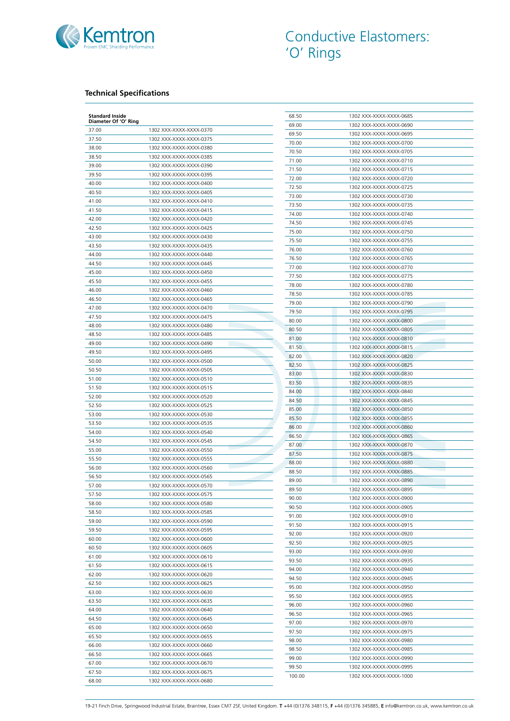

## **Technical Specifications**

| <b>Standard Inside</b><br>Diameter Of 'O' Ring |                                                    | 68.50 | 1302 XXX-XXXX-XXXX-0685 |
|------------------------------------------------|----------------------------------------------------|-------|-------------------------|
|                                                | 1302 XXX-XXXX-XXXX-0370                            | 69.00 | 1302 XXX-XXXX-XXXX-0690 |
| 37.00<br>37.50                                 | 1302 XXX-XXXX-XXXX-0375                            | 69.50 | 1302 XXX-XXXX-XXXX-0695 |
| 38.00                                          | 1302 XXX-XXXX-XXXX-0380                            | 70.00 | 1302 XXX-XXXX-XXXX-0700 |
| 38.50                                          | 1302 XXX-XXXX-XXXX-0385                            | 70.50 | 1302 XXX-XXXX-XXXX-0705 |
| 39.00                                          | 1302 XXX-XXXX-XXXX-0390                            | 71.00 | 1302 XXX-XXXX-XXXX-0710 |
|                                                |                                                    | 71.50 | 1302 XXX-XXXX-XXXX-0715 |
| 39.50                                          | 1302 XXX-XXXX-XXXX-0395                            | 72.00 | 1302 XXX-XXXX-XXXX-0720 |
| 40.00                                          | 1302 XXX-XXXX-XXXX-0400                            | 72.50 | 1302 XXX-XXXX-XXXX-0725 |
| 40.50                                          | 1302 XXX-XXXX-XXXX-0405                            | 73.00 | 1302 XXX-XXXX-XXXX-0730 |
| 41.00                                          | 1302 XXX-XXXX-XXXX-0410                            | 73.50 | 1302 XXX-XXXX-XXXX-0735 |
| 41.50                                          | 1302 XXX-XXXX-XXXX-0415                            | 74.00 | 1302 XXX-XXXX-XXXX-0740 |
| 42.00                                          | 1302 XXX-XXXX-XXXX-0420                            | 74.50 | 1302 XXX-XXXX-XXXX-0745 |
| 42.50                                          | 1302 XXX-XXXX-XXXX-0425                            | 75.00 | 1302 XXX-XXXX-XXXX-0750 |
| 43.00                                          | 1302 XXX-XXXX-XXXX-0430                            | 75.50 | 1302 XXX-XXXX-XXXX-0755 |
| 43.50                                          | 1302 XXX-XXXX-XXXX-0435                            | 76.00 | 1302 XXX-XXXX-XXXX-0760 |
| 44.00                                          | 1302 XXX-XXXX-XXXX-0440                            | 76.50 | 1302 XXX-XXXX-XXXX-0765 |
| 44.50                                          | 1302 XXX-XXXX-XXXX-0445                            | 77.00 | 1302 XXX-XXXX-XXXX-0770 |
| 45.00                                          | 1302 XXX-XXXX-XXXX-0450                            | 77.50 | 1302 XXX-XXXX-XXXX-0775 |
| 45.50                                          | 1302 XXX-XXXX-XXXX-0455                            | 78.00 | 1302 XXX-XXXX-XXXX-0780 |
| 46.00                                          | 1302 XXX-XXXX-XXXX-0460                            | 78.50 | 1302 XXX-XXXX-XXXX-0785 |
| 46.50                                          | 1302 XXX-XXXX-XXXX-0465                            | 79.00 | 1302 XXX-XXXX-XXXX-0790 |
| 47.00                                          | 1302 XXX-XXXX-XXXX-0470                            | 79.50 | 1302 XXX-XXXX-XXXX-0795 |
| 47.50                                          | 1302 XXX-XXXX-XXXX-0475                            | 80.00 |                         |
| 48.00                                          | 1302 XXX-XXXX-XXXX-0480                            |       | 1302 XXX-XXXX-XXXX-0800 |
| 48.50                                          | 1302 XXX-XXXX-XXXX-0485                            | 80.50 | 1302 XXX-XXXX-XXXX-0805 |
| 49.00                                          | 1302 XXX-XXXX-XXXX-0490                            | 81.00 | 1302 XXX-XXXX-XXXX-0810 |
| 49.50                                          | 1302 XXX-XXXX-XXXX-0495                            | 81.50 | 1302 XXX-XXXX-XXXX-0815 |
| 50.00                                          | 1302 XXX-XXXX-XXXX-0500                            | 82.00 | 1302 XXX-XXXX-XXXX-0820 |
| 50.50                                          | 1302 XXX-XXXX-XXXX-0505                            | 82.50 | 1302 XXX-XXXX-XXXX-0825 |
| 51.00                                          | 1302 XXX-XXXX-XXXX-0510                            | 83.00 | 1302 XXX-XXXX-XXXX-0830 |
| 51.50                                          | 1302 XXX-XXXX-XXXX-0515                            | 83.50 | 1302 XXX-XXXX-XXXX-0835 |
| 52.00                                          | 1302 XXX-XXXX-XXXX-0520                            | 84.00 | 1302 XXX-XXXX-XXXX-0840 |
| 52.50                                          | 1302 XXX-XXXX-XXXX-0525                            | 84.50 | 1302 XXX-XXXX-XXXX-0845 |
| 53.00                                          | 1302 XXX-XXXX-XXXX-0530                            | 85.00 | 1302 XXX-XXXX-XXXX-0850 |
| 53.50                                          | 1302 XXX-XXXX-XXXX-0535                            | 85.50 | 1302 XXX-XXXX-XXXX-0855 |
| 54.00                                          | 1302 XXX-XXXX-XXXX-0540                            | 86.00 | 1302 XXX-XXXX-XXXX-0860 |
| 54.50                                          | 1302 XXX-XXXX-XXXX-0545                            | 86.50 | 1302 XXX-XXXX-XXXX-0865 |
|                                                | 1302 XXX-XXXX-XXXX-0550                            | 87.00 | 1302 XXX-XXXX-XXXX-0870 |
| 55.00                                          |                                                    | 87.50 | 1302 XXX-XXXX-XXXX-0875 |
| 55.50                                          | 1302 XXX-XXXX-XXXX-0555                            | 88.00 | 1302 XXX-XXXX-XXXX-0880 |
| 56.00                                          | 1302 XXX-XXXX-XXXX-0560                            | 88.50 | 1302 XXX-XXXX-XXXX-0885 |
| 56.50                                          | 1302 XXX-XXXX-XXXX-0565                            | 89.00 | 1302 XXX-XXXX-XXXX-0890 |
| 57.00                                          | 1302 XXX-XXXX-XXXX-0570                            | 89.50 | 1302 XXX-XXXX-XXXX-0895 |
| 57.50                                          | 1302 XXX-XXXX-XXXX-0575                            | 90.00 | 1302 XXX-XXXX-XXXX-0900 |
| 58.00                                          | 1302 XXX-XXXX-XXXX-0580                            | 90.50 | 1302 XXX-XXXX-XXXX-0905 |
| 58.50                                          | 1302 XXX-XXXX-XXXX-0585                            | 91.00 | 1302 XXX-XXXX-XXXX-0910 |
| 59.00                                          | 1302 XXX-XXXX-XXXX-0590                            | 91.50 | 1302 XXX-XXXX-XXXX-0915 |
| 59.50                                          | 1302 XXX-XXXX-XXXX-0595                            | 92.00 | 1302 XXX-XXXX-XXXX-0920 |
| 60.00                                          | 1302 XXX-XXXX-XXXX-0600                            | 92.50 | 1302 XXX-XXXX-XXXX-0925 |
| 60.50                                          | 1302 XXX-XXXX-XXXX-0605                            | 93.00 | 1302 XXX-XXXX-XXXX-0930 |
| 61.00                                          | 1302 XXX-XXXX-XXXX-0610                            | 93.50 | 1302 XXX-XXXX-XXXX-0935 |
| 61.50                                          | 1302 XXX-XXXX-XXXX-0615                            | 94.00 | 1302 XXX-XXXX-XXXX-0940 |
| 62.00                                          | 1302 XXX-XXXX-XXXX-0620                            | 94.50 | 1302 XXX-XXXX-XXXX-0945 |
| 62.50                                          | 1302 XXX-XXXX-XXXX-0625                            | 95.00 | 1302 XXX-XXXX-XXXX-0950 |
| 63.00                                          | 1302 XXX-XXXX-XXXX-0630                            | 95.50 | 1302 XXX-XXXX-XXXX-0955 |
| 63.50                                          | 1302 XXX-XXXX-XXXX-0635                            | 96.00 | 1302 XXX-XXXX-XXXX-0960 |
| 64.00                                          | 1302 XXX-XXXX-XXXX-0640                            |       |                         |
| 64.50                                          | 1302 XXX-XXXX-XXXX-0645                            | 96.50 | 1302 XXX-XXXX-XXXX-0965 |
| 65.00                                          | 1302 XXX-XXXX-XXXX-0650                            | 97.00 | 1302 XXX-XXXX-XXXX-0970 |
| 65.50                                          | 1302 XXX-XXXX-XXXX-0655                            | 97.50 | 1302 XXX-XXXX-XXXX-0975 |
|                                                | 1302 XXX-XXXX-XXXX-0660                            | 98.00 | 1302 XXX-XXXX-XXXX-0980 |
|                                                |                                                    | 98.50 | 1302 XXX-XXXX-XXXX-0985 |
| 66.00                                          |                                                    |       |                         |
| 66.50                                          | 1302 XXX-XXXX-XXXX-0665                            | 99.00 | 1302 XXX-XXXX-XXXX-0990 |
| 67.00<br>67.50                                 | 1302 XXX-XXXX-XXXX-0670<br>1302 XXX-XXXX-XXXX-0675 | 99.50 | 1302 XXX-XXXX-XXXX-0995 |

19-21 Finch Drive, Springwood Industrial Estate, Braintree, Essex CM7 2SF, United Kingdom. **T** +44 (0)1376 348115, **F** +44 (0)1376 345885, **E** info@kemtron.co.uk, www.kemtron.co.uk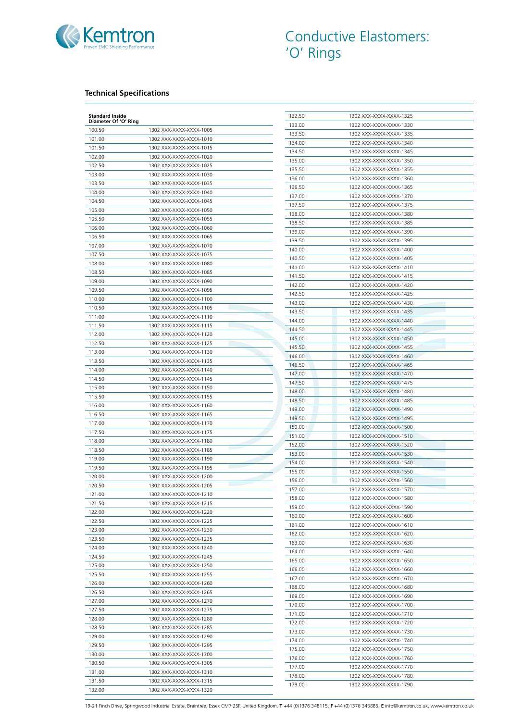

## **Technical Specifications**

| <b>Standard Inside</b> |                         | 132.50 | 1302 XXX-XXXX-XXXX-1325 |
|------------------------|-------------------------|--------|-------------------------|
| Diameter Of 'O' Ring   |                         | 133.00 | 1302 XXX-XXXX-XXXX-1330 |
| 100.50                 | 1302 XXX-XXXX-XXXX-1005 | 133.50 | 1302 XXX-XXXX-XXXX-1335 |
| 101.00                 | 1302 XXX-XXXX-XXXX-1010 | 134.00 | 1302 XXX-XXXX-XXXX-1340 |
| 101.50                 | 1302 XXX-XXXX-XXXX-1015 | 134.50 | 1302 XXX-XXXX-XXXX-1345 |
| 102.00                 | 1302 XXX-XXXX-XXXX-1020 | 135.00 | 1302 XXX-XXXX-XXXX-1350 |
| 102.50                 | 1302 XXX-XXXX-XXXX-1025 | 135.50 | 1302 XXX-XXXX-XXXX-1355 |
| 103.00                 | 1302 XXX-XXXX-XXXX-1030 |        |                         |
| 103.50                 | 1302 XXX-XXXX-XXXX-1035 | 136.00 | 1302 XXX-XXXX-XXXX-1360 |
| 104.00                 | 1302 XXX-XXXX-XXXX-1040 | 136.50 | 1302 XXX-XXXX-XXXX-1365 |
| 104.50                 | 1302 XXX-XXXX-XXXX-1045 | 137.00 | 1302 XXX-XXXX-XXXX-1370 |
| 105.00                 | 1302 XXX-XXXX-XXXX-1050 | 137.50 | 1302 XXX-XXXX-XXXX-1375 |
| 105.50                 | 1302 XXX-XXXX-XXXX-1055 | 138.00 | 1302 XXX-XXXX-XXXX-1380 |
| 106.00                 | 1302 XXX-XXXX-XXXX-1060 | 138.50 | 1302 XXX-XXXX-XXXX-1385 |
|                        |                         | 139.00 | 1302 XXX-XXXX-XXXX-1390 |
| 106.50                 | 1302 XXX-XXXX-XXXX-1065 | 139.50 | 1302 XXX-XXXX-XXXX-1395 |
| 107.00                 | 1302 XXX-XXXX-XXXX-1070 | 140.00 | 1302 XXX-XXXX-XXXX-1400 |
| 107.50                 | 1302 XXX-XXXX-XXXX-1075 | 140.50 | 1302 XXX-XXXX-XXXX-1405 |
| 108.00                 | 1302 XXX-XXXX-XXXX-1080 | 141.00 | 1302 XXX-XXXX-XXXX-1410 |
| 108.50                 | 1302 XXX-XXXX-XXXX-1085 | 141.50 | 1302 XXX-XXXX-XXXX-1415 |
| 109.00                 | 1302 XXX-XXXX-XXXX-1090 | 142.00 | 1302 XXX-XXXX-XXXX-1420 |
| 109.50                 | 1302 XXX-XXXX-XXXX-1095 | 142.50 | 1302 XXX-XXXX-XXXX-1425 |
| 110.00                 | 1302 XXX-XXXX-XXXX-1100 | 143.00 | 1302 XXX-XXXX-XXXX-1430 |
| 110.50                 | 1302 XXX-XXXX-XXXX-1105 | 143.50 | 1302 XXX-XXXX-XXXX-1435 |
| 111.00                 | 1302 XXX-XXXX-XXXX-1110 | 144.00 | 1302 XXX-XXXX-XXXX-1440 |
| 111.50                 | 1302 XXX-XXXX-XXXX-1115 |        |                         |
| 112.00                 | 1302 XXX-XXXX-XXXX-1120 | 144.50 | 1302 XXX-XXXX-XXXX-1445 |
| 112.50                 | 1302 XXX-XXXX-XXXX-1125 | 145.00 | 1302 XXX-XXXX-XXXX-1450 |
| 113.00                 | 1302 XXX-XXXX-XXXX-1130 | 145.50 | 1302 XXX-XXXX-XXXX-1455 |
| 113.50                 | 1302 XXX-XXXX-XXXX-1135 | 146.00 | 1302 XXX-XXXX-XXXX-1460 |
| 114.00                 | 1302 XXX-XXXX-XXXX-1140 | 146.50 | 1302 XXX-XXXX-XXXX-1465 |
| 114.50                 | 1302 XXX-XXXX-XXXX-1145 | 147.00 | 1302 XXX-XXXX-XXXX-1470 |
|                        | 1302 XXX-XXXX-XXXX-1150 | 147.50 | 1302 XXX-XXXX-XXXX-1475 |
| 115.00                 |                         | 148.00 | 1302 XXX-XXXX-XXXX-1480 |
| 115.50                 | 1302 XXX-XXXX-XXXX-1155 | 148.50 | 1302 XXX-XXXX-XXXX-1485 |
| 116.00                 | 1302 XXX-XXXX-XXXX-1160 | 149.00 | 1302 XXX-XXXX-XXXX-1490 |
| 116.50                 | 1302 XXX-XXXX-XXXX-1165 | 149.50 | 1302 XXX-XXXX-XXXX-1495 |
| 117.00                 | 1302 XXX-XXXX-XXXX-1170 | 150.00 | 1302 XXX-XXXX-XXXX-1500 |
| 117.50                 | 1302 XXX-XXXX-XXXX-1175 | 151.00 | 1302 XXX-XXXX-XXXX-1510 |
| 118.00                 | 1302 XXX-XXXX-XXXX-1180 | 152.00 | 1302 XXX-XXXX-XXXX-1520 |
| 118.50                 | 1302 XXX-XXXX-XXXX-1185 | 153.00 | 1302 XXX-XXXX-XXXX-1530 |
| 119.00                 | 1302 XXX-XXXX-XXXX-1190 | 154.00 | 1302 XXX-XXXX-XXXX-1540 |
| 119.50                 | 1302 XXX-XXXX-XXXX-1195 | 155.00 | 1302 XXX-XXXX-XXXX-1550 |
| 120.00                 | 1302 XXX-XXXX-XXXX-1200 | 156.00 | 1302 XXX-XXXX-XXXX-1560 |
| 120.50                 | 1302 XXX-XXXX-XXXX-1205 | 157.00 | 1302 XXX-XXXX-XXXX-1570 |
| 121.00                 | 1302 XXX-XXXX-XXXX-1210 | 158.00 | 1302 XXX-XXXX-XXXX-1580 |
| 121.50                 | 1302 XXX-XXXX-XXXX-1215 | 159.00 | 1302 XXX-XXXX-XXXX-1590 |
| 122.00                 | 1302 XXX-XXXX-XXXX-1220 |        |                         |
| 122.50                 | 1302 XXX-XXXX-XXXX-1225 | 160.00 | 1302 XXX-XXXX-XXXX-1600 |
| 123.00                 | 1302 XXX-XXXX-XXXX-1230 | 161.00 | 1302 XXX-XXXX-XXXX-1610 |
| 123.50                 | 1302 XXX-XXXX-XXXX-1235 | 162.00 | 1302 XXX-XXXX-XXXX-1620 |
| 124.00                 | 1302 XXX-XXXX-XXXX-1240 | 163.00 | 1302 XXX-XXXX-XXXX-1630 |
| 124.50                 | 1302 XXX-XXXX-XXXX-1245 | 164.00 | 1302 XXX-XXXX-XXXX-1640 |
| 125.00                 | 1302 XXX-XXXX-XXXX-1250 | 165.00 | 1302 XXX-XXXX-XXXX-1650 |
| 125.50                 | 1302 XXX-XXXX-XXXX-1255 | 166.00 | 1302 XXX-XXXX-XXXX-1660 |
|                        |                         | 167.00 | 1302 XXX-XXXX-XXXX-1670 |
| 126.00                 | 1302 XXX-XXXX-XXXX-1260 | 168.00 | 1302 XXX-XXXX-XXXX-1680 |
| 126.50                 | 1302 XXX-XXXX-XXXX-1265 | 169.00 | 1302 XXX-XXXX-XXXX-1690 |
| 127.00                 | 1302 XXX-XXXX-XXXX-1270 | 170.00 | 1302 XXX-XXXX-XXXX-1700 |
| 127.50                 | 1302 XXX-XXXX-XXXX-1275 | 171.00 | 1302 XXX-XXXX-XXXX-1710 |
| 128.00                 | 1302 XXX-XXXX-XXXX-1280 | 172.00 | 1302 XXX-XXXX-XXXX-1720 |
| 128.50                 | 1302 XXX-XXXX-XXXX-1285 | 173.00 | 1302 XXX-XXXX-XXXX-1730 |
| 129.00                 | 1302 XXX-XXXX-XXXX-1290 | 174.00 | 1302 XXX-XXXX-XXXX-1740 |
| 129.50                 | 1302 XXX-XXXX-XXXX-1295 | 175.00 | 1302 XXX-XXXX-XXXX-1750 |
| 130.00                 | 1302 XXX-XXXX-XXXX-1300 |        | 1302 XXX-XXXX-XXXX-1760 |
| 130.50                 | 1302 XXX-XXXX-XXXX-1305 | 176.00 |                         |
| 131.00                 | 1302 XXX-XXXX-XXXX-1310 | 177.00 | 1302 XXX-XXXX-XXXX-1770 |
| 131.50                 | 1302 XXX-XXXX-XXXX-1315 | 178.00 | 1302 XXX-XXXX-XXXX-1780 |
| 132.00                 | 1302 XXX-XXXX-XXXX-1320 | 179.00 | 1302 XXX-XXXX-XXXX-1790 |

19-21 Finch Drive, Springwood Industrial Estate, Braintree, Essex CM7 2SF, United Kingdom. **T** +44 (0)1376 348115, **F** +44 (0)1376 345885, **E** info@kemtron.co.uk, www.kemtron.co.uk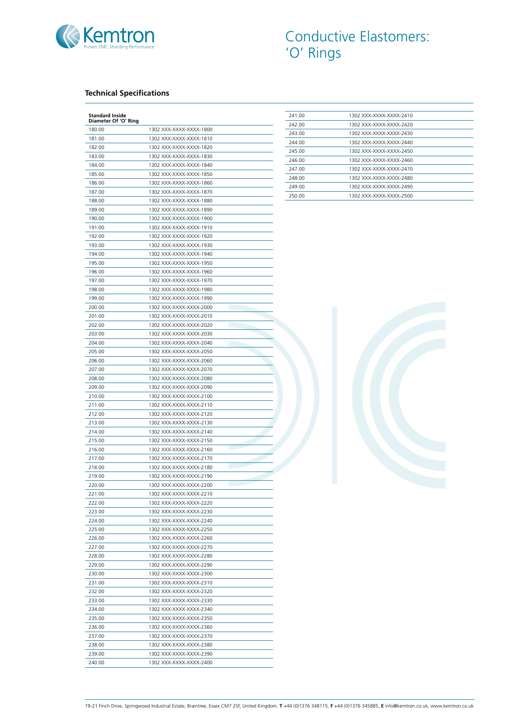

## **Technical Specifications**

| <b>Standard Inside</b><br>Diameter Of 'O' Ring |                         |
|------------------------------------------------|-------------------------|
| 180.00                                         | 1302 XXX-XXXX-XXXX-1800 |
| 181.00                                         | 1302 XXX-XXXX-XXXX-1810 |
| 182.00                                         | 1302 XXX-XXXX-XXXX-1820 |
| 183.00                                         | 1302 XXX-XXXX-XXXX-1830 |
| 184.00                                         | 1302 XXX-XXXX-XXXX-1840 |
| 185.00                                         | 1302 XXX-XXXX-XXXX-1850 |
| 186.00                                         | 1302 XXX-XXXX-XXXX-1860 |
| 187.00                                         | 1302 XXX-XXXX-XXXX-1870 |
| 188.00                                         | 1302 XXX-XXXX-XXXX-1880 |
| 189.00                                         | 1302 XXX-XXXX-XXXX-1890 |
| 190.00                                         | 1302 XXX-XXXX-XXXX-1900 |
| 191.00                                         | 1302 XXX-XXXX-XXXX-1910 |
| 192.00                                         | 1302 XXX-XXXX-XXXX-1920 |
| 193.00                                         | 1302 XXX-XXXX-XXXX-1930 |
| 194.00                                         | 1302 XXX-XXXX-XXXX-1940 |
| 195.00                                         | 1302 XXX-XXXX-XXXX-1950 |
| 196.00                                         | 1302 XXX-XXXX-XXXX-1960 |
| 197.00                                         | 1302 XXX-XXXX-XXXX-1970 |
| 198.00                                         | 1302 XXX-XXXX-XXXX-1980 |
| 199.00                                         | 1302 XXX-XXXX-XXXX-1990 |
| 200.00                                         | 1302 XXX-XXXX-XXXX-2000 |
| 201.00                                         | 1302 XXX-XXXX-XXXX-2010 |
| 202.00                                         | 1302 XXX-XXXX-XXXX-2020 |
| 203.00                                         | 1302 XXX-XXXX-XXXX-2030 |
| 204.00                                         | 1302 XXX-XXXX-XXXX-2040 |
| 205.00                                         | 1302 XXX-XXXX-XXXX-2050 |
| 206.00                                         | 1302 XXX-XXXX-XXXX-2060 |
| 207.00                                         | 1302 XXX-XXXX-XXXX-2070 |
| 208.00                                         | 1302 XXX-XXXX-XXXX-2080 |
| 209.00                                         | 1302 XXX-XXXX-XXXX-2090 |
| 210.00                                         | 1302 XXX-XXXX-XXXX-2100 |
| 211.00                                         | 1302 XXX-XXXX-XXXX-2110 |
| 212.00                                         | 1302 XXX-XXXX-XXXX-2120 |
| 213.00                                         | 1302 XXX-XXXX-XXXX-2130 |
| 214.00                                         | 1302 XXX-XXXX-XXXX-2140 |
| 215.00                                         | 1302 XXX-XXXX-XXXX-2150 |
| 216.00                                         | 1302 XXX-XXXX-XXXX-2160 |
| 217.00                                         | 1302 XXX-XXXX-XXXX-2170 |
| 218.00                                         | 1302 XXX-XXXX-XXXX-2180 |
| 219.00                                         | 1302 XXX-XXXX-XXXX-2190 |
| 220.00                                         | 1302 XXX-XXXX-XXXX-2200 |
| 221.00                                         | 1302 XXX-XXXX-XXXX-2210 |
| 222.00                                         | 1302 XXX-XXXX-XXXX-2220 |
| 223.00                                         | 1302 XXX-XXXX-XXXX-2230 |
| 224.00                                         | 1302 XXX-XXXX-XXXX-2240 |
| 225.00                                         | 1302 XXX-XXXX-XXXX-2250 |
| 226.00                                         | 1302 XXX-XXXX-XXXX-2260 |
| 227.00                                         | 1302 XXX-XXXX-XXXX-2270 |
| 228.00                                         | 1302 XXX-XXXX-XXXX-2280 |
| 229.00                                         | 1302 XXX-XXXX-XXXX-2290 |
| 230.00                                         | 1302 XXX-XXXX-XXXX-2300 |
| 231.00                                         | 1302 XXX-XXXX-XXXX-2310 |
| 232.00                                         | 1302 XXX-XXXX-XXXX-2320 |
| 233.00                                         | 1302 XXX-XXXX-XXXX-2330 |
| 234.00                                         | 1302 XXX-XXXX-XXXX-2340 |
| 235.00                                         | 1302 XXX-XXXX-XXXX-2350 |
| 236.00                                         | 1302 XXX-XXXX-XXXX-2360 |
| 237.00                                         | 1302 XXX-XXXX-XXXX-2370 |
| 238.00                                         | 1302 XXX-XXXX-XXXX-2380 |
| 239.00                                         | 1302 XXX-XXXX-XXXX-2390 |
| 240.00                                         | 1302 XXX-XXXX-XXXX-2400 |

| 241.00 | 1302 XXX-XXXX-XXXX-2410 |
|--------|-------------------------|
| 242.00 | 1302 XXX-XXXX-XXXX-2420 |
| 243.00 | 1302 XXX-XXXX-XXXX-2430 |
| 244.00 | 1302 XXX-XXXX-XXXX-2440 |
| 245.00 | 1302 XXX-XXXX-XXXX-2450 |
| 246.00 | 1302 XXX-XXXX-XXXX-2460 |
| 247.00 | 1302 XXX-XXXX-XXXX-2470 |
| 248.00 | 1302 XXX-XXXX-XXXX-2480 |
| 249.00 | 1302 XXX-XXXX-XXXX-2490 |
| 250.00 | 1302 XXX-XXXX-XXXX-2500 |

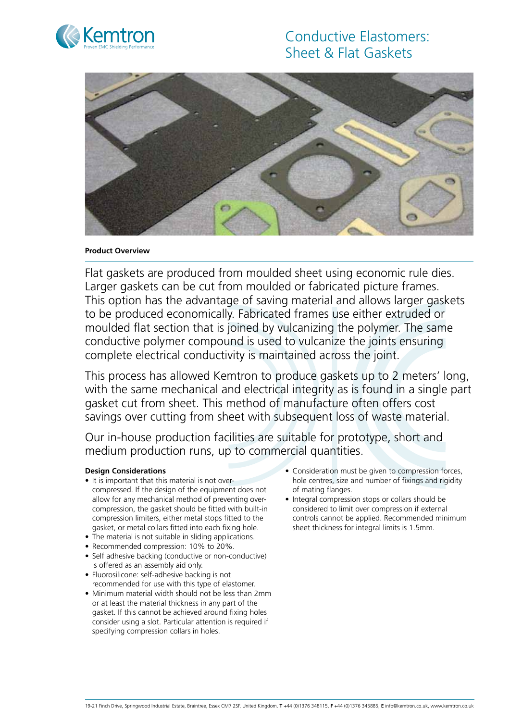

# Conductive Elastomers: Sheet & Flat Gaskets



#### **Product Overview**

Flat gaskets are produced from moulded sheet using economic rule dies. Larger gaskets can be cut from moulded or fabricated picture frames. This option has the advantage of saving material and allows larger gaskets to be produced economically. Fabricated frames use either extruded or moulded flat section that is joined by vulcanizing the polymer. The same conductive polymer compound is used to vulcanize the joints ensuring complete electrical conductivity is maintained across the joint.

This process has allowed Kemtron to produce gaskets up to 2 meters' long, with the same mechanical and electrical integrity as is found in a single part gasket cut from sheet. This method of manufacture often offers cost savings over cutting from sheet with subsequent loss of waste material.

Our in-house production facilities are suitable for prototype, short and medium production runs, up to commercial quantities.

# **Design Considerations**

- It is important that this material is not overcompressed. If the design of the equipment does not allow for any mechanical method of preventing overcompression, the gasket should be fitted with built-in compression limiters, either metal stops fitted to the gasket, or metal collars fitted into each fixing hole.
- The material is not suitable in sliding applications.
- Recommended compression: 10% to 20%.
- Self adhesive backing (conductive or non-conductive) is offered as an assembly aid only.
- Fluorosilicone: self-adhesive backing is not recommended for use with this type of elastomer.
- Minimum material width should not be less than 2mm or at least the material thickness in any part of the gasket. If this cannot be achieved around fixing holes consider using a slot. Particular attention is required if specifying compression collars in holes.
- Consideration must be given to compression forces, hole centres, size and number of fixings and rigidity of mating flanges.
- Integral compression stops or collars should be considered to limit over compression if external controls cannot be applied. Recommended minimum sheet thickness for integral limits is 1.5mm.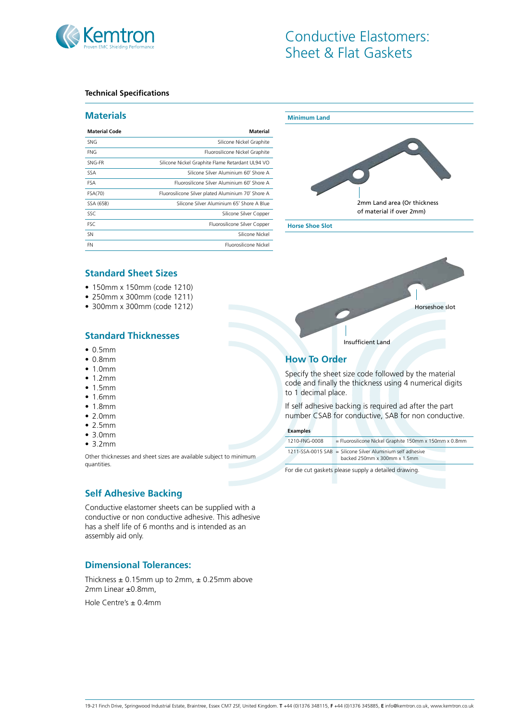

# Conductive Elastomers: Sheet & Flat Gaskets

#### **Technical Specifications**

#### **Materials**

| <b>Material Code</b> | Material                                           |
|----------------------|----------------------------------------------------|
| <b>SNG</b>           | Silicone Nickel Graphite                           |
| <b>FNG</b>           | Fluorosilicone Nickel Graphite                     |
| SNG-FR               | Silicone Nickel Graphite Flame Retardant UL94 VO   |
| SSA.                 | Silicone Silver Aluminium 60° Shore A              |
| <b>FSA</b>           | Fluorosilicone Silver Aluminium 60° Shore A        |
| FSA(70)              | Fluorosilicone Silver plated Aluminium 70° Shore A |
| SSA (65B)            | Silicone Silver Aluminium 65° Shore A Blue         |
| SSC                  | Silicone Silver Copper                             |
| <b>FSC</b>           | Fluorosilicone Silver Copper                       |
| <b>SN</b>            | Silicone Nickel                                    |
| FN                   | Fluorosilicone Nickel                              |



**Standard Sheet Sizes**

- • 150mm x 150mm (code 1210)
- • 250mm x 300mm (code 1211)
- • 300mm x 300mm (code 1212)

# **Standard Thicknesses**

- $\bullet$  0.5mm
- • 0.8mm
- $\bullet$  1.0mm
- $1.2mm$
- $1.5mm$
- $1.6mm$
- 1.8mm
- $\bullet$  2.0mm
- $\bullet$  2.5mm
- • 3.0mm
- $3.2mm$

Other thicknesses and sheet sizes are available subject to minimum quantities.

# **Self Adhesive Backing**

Conductive elastomer sheets can be supplied with a conductive or non conductive adhesive. This adhesive has a shelf life of 6 months and is intended as an assembly aid only.

# **Dimensional Tolerances:**

Thickness  $\pm$  0.15mm up to 2mm,  $\pm$  0.25mm above 2mm Linear ±0.8mm,

Hole Centre's ± 0.4mm



# **How To Order**

Specify the sheet size code followed by the material code and finally the thickness using 4 numerical digits to 1 decimal place.

Horseshoe slot

If self adhesive backing is required ad after the part number CSAB for conductive, SAB for non conductive.

#### **Examples**

1210-FNG-0008 = Fluorosilicone Nickel Graphite 150mm x 150mm x 0.8mm 1211-SSA-0015 SAB = Silicone Silver Aluminium self adhesive backed 250mm x 300mm x 1.5mm

For die cut gaskets please supply a detailed drawing.